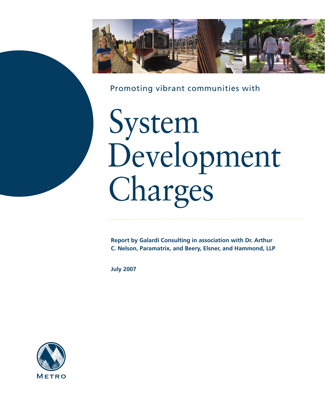

Promoting vibrant communities with

# System Development Charges

**Report by Galardi Consulting in association with Dr. Arthur C. Nelson, Paramatrix, and Beery, Elsner, and Hammond, LLP**

**July 2007**

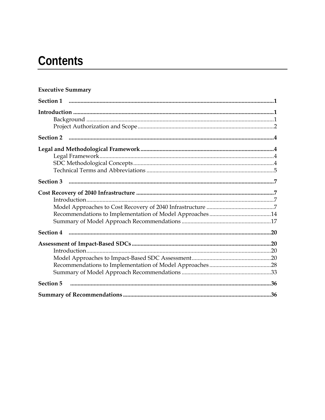# **Contents**

#### **Executive Summary**

| Section 3        |
|------------------|
|                  |
|                  |
|                  |
|                  |
|                  |
|                  |
|                  |
|                  |
|                  |
|                  |
|                  |
| <b>Section 5</b> |
|                  |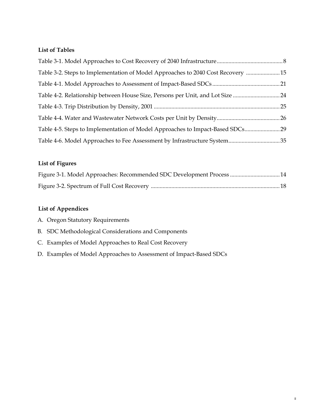#### **List of Tables**

| Table 3-2. Steps to Implementation of Model Approaches to 2040 Cost Recovery 15 |  |
|---------------------------------------------------------------------------------|--|
|                                                                                 |  |
| Table 4-2. Relationship between House Size, Persons per Unit, and Lot Size 24   |  |
|                                                                                 |  |
|                                                                                 |  |
| Table 4-5. Steps to Implementation of Model Approaches to Impact-Based SDCs 29  |  |
|                                                                                 |  |

#### **List of Figures**

| Figure 3-1. Model Approaches: Recommended SDC Development Process  14 |  |
|-----------------------------------------------------------------------|--|
|                                                                       |  |

II

#### **List of Appendices**

|  |  |  |  | A. Oregon Statutory Requirements |
|--|--|--|--|----------------------------------|
|--|--|--|--|----------------------------------|

- B. SDC Methodological Considerations and Components
- C. Examples of Model Approaches to Real Cost Recovery
- D. Examples of Model Approaches to Assessment of Impact-Based SDCs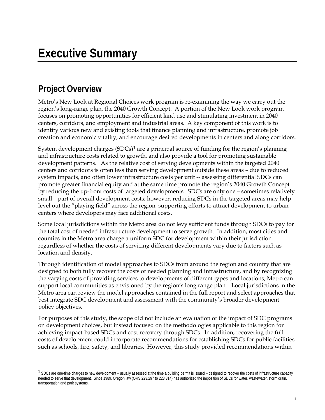# **Project Overview**

 $\overline{a}$ 

Metro's New Look at Regional Choices work program is re-examining the way we carry out the region's long-range plan, the 2040 Growth Concept. A portion of the New Look work program focuses on promoting opportunities for efficient land use and stimulating investment in 2040 centers, corridors, and employment and industrial areas. A key component of this work is to identify various new and existing tools that finance planning and infrastructure, promote job creation and economic vitality, and encourage desired developments in centers and along corridors.

System development charges  $(SDCs)^1$  are a principal source of funding for the region's planning and infrastructure costs related to growth, and also provide a tool for promoting sustainable development patterns. As the relative cost of serving developments within the targeted 2040 centers and corridors is often less than serving development outside these areas – due to reduced system impacts, and often lower infrastructure costs per unit -- assessing differential SDCs can promote greater financial equity and at the same time promote the region's 2040 Growth Concept by reducing the up-front costs of targeted developments. SDCs are only one – sometimes relatively small – part of overall development costs; however, reducing SDCs in the targeted areas may help level out the "playing field" across the region, supporting efforts to attract development to urban centers where developers may face additional costs.

Some local jurisdictions within the Metro area do not levy sufficient funds through SDCs to pay for the total cost of needed infrastructure development to serve growth. In addition, most cities and counties in the Metro area charge a uniform SDC for development within their jurisdiction regardless of whether the costs of servicing different developments vary due to factors such as location and density.

Through identification of model approaches to SDCs from around the region and country that are designed to both fully recover the costs of needed planning and infrastructure, and by recognizing the varying costs of providing services to developments of different types and locations, Metro can support local communities as envisioned by the region's long range plan. Local jurisdictions in the Metro area can review the model approaches contained in the full report and select approaches that best integrate SDC development and assessment with the community's broader development policy objectives.

For purposes of this study, the scope did not include an evaluation of the impact of SDC programs on development choices, but instead focused on the methodologies applicable to this region for achieving impact-based SDCs and cost recovery through SDCs. In addition, recovering the full costs of development could incorporate recommendations for establishing SDCs for public facilities such as schools, fire, safety, and libraries. However, this study provided recommendations within

<span id="page-4-0"></span><sup>&</sup>lt;sup>1</sup> SDCs are one-time charges to new development – usually assessed at the time a building permit is issued – designed to recover the costs of infrastructure capacity needed to serve that development. Since 1989, Oregon law (ORS 223.297 to 223.314) has authorized the imposition of SDCs for water, wastewater, storm drain, transportation and park systems.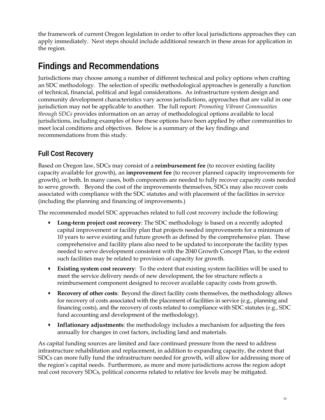the framework of current Oregon legislation in order to offer local jurisdictions approaches they can apply immediately. Next steps should include additional research in these areas for application in the region.

# **Findings and Recommendations**

Jurisdictions may choose among a number of different technical and policy options when crafting an SDC methodology. The selection of specific methodological approaches is generally a function of technical, financial, political and legal considerations. As infrastructure system design and community development characteristics vary across jurisdictions, approaches that are valid in one jurisdiction may not be applicable to another. The full report: *Promoting Vibrant Communities through SDCs* provides information on an array of methodological options available to local jurisdictions, including examples of how these options have been applied by other communities to meet local conditions and objectives. Below is a summary of the key findings and recommendations from this study.

#### **Full Cost Recovery**

Based on Oregon law, SDCs may consist of a **reimbursement fee** (to recover existing facility capacity available for growth), an **improvement fee** (to recover planned capacity improvements for growth), or both. In many cases, both components are needed to fully recover capacity costs needed to serve growth. Beyond the cost of the improvements themselves, SDCs may also recover costs associated with compliance with the SDC statutes and with placement of the facilities in service (including the planning and financing of improvements.)

The recommended model SDC approaches related to full cost recovery include the following:

- **Long-term project cost recovery**: The SDC methodology is based on a recently adopted capital improvement or facility plan that projects needed improvements for a minimum of 10 years to serve existing and future growth as defined by the comprehensive plan. These comprehensive and facility plans also need to be updated to incorporate the facility types needed to serve development consistent with the 2040 Growth Concept Plan, to the extent such facilities may be related to provision of capacity for growth.
- **Existing system cost recovery**: To the extent that existing system facilities will be used to meet the service delivery needs of new development, the fee structure reflects a reimbursement component designed to recover available capacity costs from growth.
- **Recovery of other costs**: Beyond the direct facility costs themselves, the methodology allows for recovery of costs associated with the placement of facilities in service (e.g., planning and financing costs), and the recovery of costs related to compliance with SDC statutes (e.g., SDC fund accounting and development of the methodology).
- **Inflationary adjustments**: the methodology includes a mechanism for adjusting the fees annually for changes in cost factors, including land and materials.

As capital funding sources are limited and face continued pressure from the need to address infrastructure rehabilitation and replacement, in addition to expanding capacity, the extent that SDCs can more fully fund the infrastructure needed for growth, will allow for addressing more of the region's capital needs. Furthermore, as more and more jurisdictions across the region adopt real cost recovery SDCs, political concerns related to relative fee levels may be mitigated.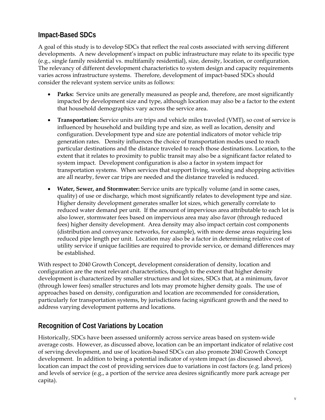#### **Impact-Based SDCs**

A goal of this study is to develop SDCs that reflect the real costs associated with serving different developments. A new development's impact on public infrastructure may relate to its specific type (e.g., single family residential vs. multifamily residential), size, density, location, or configuration. The relevancy of different development characteristics to system design and capacity requirements varies across infrastructure systems. Therefore, development of impact-based SDCs should consider the relevant system service units as follows:

- **Parks:** Service units are generally measured as people and, therefore, are most significantly impacted by development size and type, although location may also be a factor to the extent that household demographics vary across the service area.
- **Transportation:** Service units are trips and vehicle miles traveled (VMT), so cost of service is influenced by household and building type and size, as well as location, density and configuration. Development type and size are potential indicators of motor vehicle trip generation rates. Density influences the choice of transportation modes used to reach particular destinations and the distance traveled to reach those destinations. Location, to the extent that it relates to proximity to public transit may also be a significant factor related to system impact. Development configuration is also a factor in system impact for transportation systems. When services that support living, working and shopping activities are all nearby, fewer car trips are needed and the distance traveled is reduced.
- **Water, Sewer, and Stormwater:** Service units are typically volume (and in some cases, quality) of use or discharge, which most significantly relates to development type and size. Higher density development generates smaller lot sizes, which generally correlate to reduced water demand per unit. If the amount of impervious area attributable to each lot is also lower, stormwater fees based on impervious area may also favor (through reduced fees) higher density development. Area density may also impact certain cost components (distribution and conveyance networks, for example), with more dense areas requiring less reduced pipe length per unit. Location may also be a factor in determining relative cost of utility service if unique facilities are required to provide service, or demand differences may be established.

With respect to 2040 Growth Concept, development consideration of density, location and configuration are the most relevant characteristics, though to the extent that higher density development is characterized by smaller structures and lot sizes, SDCs that, at a minimum, favor (through lower fees) smaller structures and lots may promote higher density goals. The use of approaches based on density, configuration and location are recommended for consideration, particularly for transportation systems, by jurisdictions facing significant growth and the need to address varying development patterns and locations.

#### **Recognition of Cost Variations by Location**

Historically, SDCs have been assessed uniformly across service areas based on system-wide average costs. However, as discussed above, location can be an important indicator of relative cost of serving development, and use of location-based SDCs can also promote 2040 Growth Concept development. In addition to being a potential indicator of system impact (as discussed above), location can impact the cost of providing services due to variations in cost factors (e.g. land prices) and levels of service (e.g., a portion of the service area desires significantly more park acreage per capita).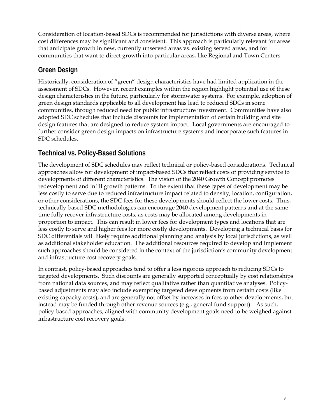Consideration of location-based SDCs is recommended for jurisdictions with diverse areas, where cost differences may be significant and consistent. This approach is particularly relevant for areas that anticipate growth in new, currently unserved areas vs. existing served areas, and for communities that want to direct growth into particular areas, like Regional and Town Centers.

#### **Green Design**

Historically, consideration of "green" design characteristics have had limited application in the assessment of SDCs. However, recent examples within the region highlight potential use of these design characteristics in the future, particularly for stormwater systems. For example, adoption of green design standards applicable to all development has lead to reduced SDCs in some communities, through reduced need for public infrastructure investment. Communities have also adopted SDC schedules that include discounts for implementation of certain building and site design features that are designed to reduce system impact. Local governments are encouraged to further consider green design impacts on infrastructure systems and incorporate such features in SDC schedules.

#### **Technical vs. Policy-Based Solutions**

The development of SDC schedules may reflect technical or policy-based considerations. Technical approaches allow for development of impact-based SDCs that reflect costs of providing service to developments of different characteristics. The vision of the 2040 Growth Concept promotes redevelopment and infill growth patterns. To the extent that these types of development may be less costly to serve due to reduced infrastructure impact related to density, location, configuration, or other considerations, the SDC fees for these developments should reflect the lower costs. Thus, technically-based SDC methodologies can encourage 2040 development patterns and at the same time fully recover infrastructure costs, as costs may be allocated among developments in proportion to impact. This can result in lower fees for development types and locations that are less costly to serve and higher fees for more costly developments. Developing a technical basis for SDC differentials will likely require additional planning and analysis by local jurisdictions, as well as additional stakeholder education. The additional resources required to develop and implement such approaches should be considered in the context of the jurisdiction's community development and infrastructure cost recovery goals.

In contrast, policy-based approaches tend to offer a less rigorous approach to reducing SDCs to targeted developments. Such discounts are generally supported conceptually by cost relationships from national data sources, and may reflect qualitative rather than quantitative analyses. Policybased adjustments may also include exempting targeted developments from certain costs (like existing capacity costs), and are generally not offset by increases in fees to other developments, but instead may be funded through other revenue sources (e.g., general fund support). As such, policy-based approaches, aligned with community development goals need to be weighed against infrastructure cost recovery goals.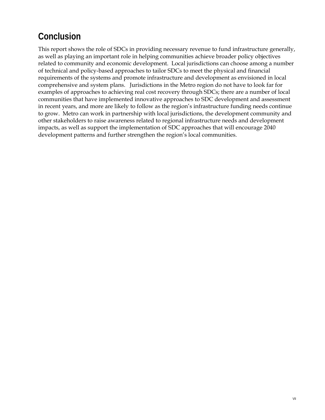# **Conclusion**

This report shows the role of SDCs in providing necessary revenue to fund infrastructure generally, as well as playing an important role in helping communities achieve broader policy objectives related to community and economic development. Local jurisdictions can choose among a number of technical and policy-based approaches to tailor SDCs to meet the physical and financial requirements of the systems and promote infrastructure and development as envisioned in local comprehensive and system plans. Jurisdictions in the Metro region do not have to look far for examples of approaches to achieving real cost recovery through SDCs; there are a number of local communities that have implemented innovative approaches to SDC development and assessment in recent years, and more are likely to follow as the region's infrastructure funding needs continue to grow. Metro can work in partnership with local jurisdictions, the development community and other stakeholders to raise awareness related to regional infrastructure needs and development impacts, as well as support the implementation of SDC approaches that will encourage 2040 development patterns and further strengthen the region's local communities.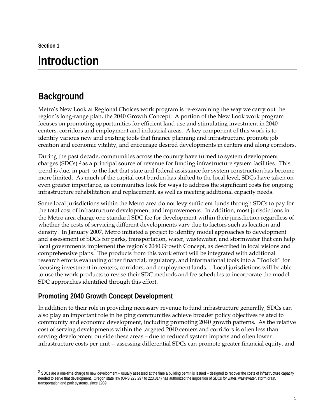<span id="page-10-0"></span>**Section 1** 

 $\overline{a}$ 

# **Introduction**

# **Background**

Metro's New Look at Regional Choices work program is re-examining the way we carry out the region's long-range plan, the 2040 Growth Concept. A portion of the New Look work program focuses on promoting opportunities for efficient land use and stimulating investment in 2040 centers, corridors and employment and industrial areas. A key component of this work is to identify various new and existing tools that finance planning and infrastructure, promote job creation and economic vitality, and encourage desired developments in centers and along corridors.

During the past decade, communities across the country have turned to system development charges (SDCs) [2](#page-10-1) as a principal source of revenue for funding infrastructure system facilities. This trend is due, in part, to the fact that state and federal assistance for system construction has become more limited. As much of the capital cost burden has shifted to the local level, SDCs have taken on even greater importance, as communities look for ways to address the significant costs for ongoing infrastructure rehabilitation and replacement, as well as meeting additional capacity needs.

Some local jurisdictions within the Metro area do not levy sufficient funds through SDCs to pay for the total cost of infrastructure development and improvements. In addition, most jurisdictions in the Metro area charge one standard SDC fee for development within their jurisdiction regardless of whether the costs of servicing different developments vary due to factors such as location and density. In January 2007, Metro initiated a project to identify model approaches to development and assessment of SDCs for parks, transportation, water, wastewater, and stormwater that can help local governments implement the region's 2040 Growth Concept, as described in local visions and comprehensive plans. The products from this work effort will be integrated with additional research efforts evaluating other financial, regulatory, and informational tools into a "Toolkit" for focusing investment in centers, corridors, and employment lands. Local jurisdictions will be able to use the work products to revise their SDC methods and fee schedules to incorporate the model SDC approaches identified through this effort.

#### **Promoting 2040 Growth Concept Development**

In addition to their role in providing necessary revenue to fund infrastructure generally, SDCs can also play an important role in helping communities achieve broader policy objectives related to community and economic development, including promoting 2040 growth patterns. As the relative cost of serving developments within the targeted 2040 centers and corridors is often less than serving development outside these areas – due to reduced system impacts and often lower infrastructure costs per unit -- assessing differential SDCs can promote greater financial equity, and

<span id="page-10-1"></span><sup>&</sup>lt;sup>2</sup> SDCs are a one-time charge to new development – usually assessed at the time a building permit is issued – designed to recover the costs of infrastructure capacity needed to serve that development. Oregon state law (ORS 223.297 to 223.314) has authorized the imposition of SDCs for water, wastewater, storm drain, transportation and park systems, since 1989.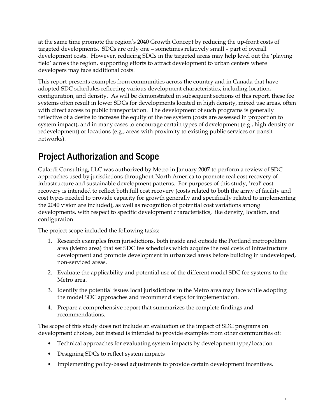<span id="page-11-0"></span>at the same time promote the region's 2040 Growth Concept by reducing the up-front costs of targeted developments. SDCs are only one – sometimes relatively small – part of overall development costs. However, reducing SDCs in the targeted areas may help level out the 'playing field' across the region, supporting efforts to attract development to urban centers where developers may face additional costs.

This report presents examples from communities across the country and in Canada that have adopted SDC schedules reflecting various development characteristics, including location, configuration, and density. As will be demonstrated in subsequent sections of this report, these fee systems often result in lower SDCs for developments located in high density, mixed use areas, often with direct access to public transportation. The development of such programs is generally reflective of a desire to increase the equity of the fee system (costs are assessed in proportion to system impact), and in many cases to encourage certain types of development (e.g., high density or redevelopment) or locations (e.g., areas with proximity to existing public services or transit networks).

# **Project Authorization and Scope**

Galardi Consulting, LLC was authorized by Metro in January 2007 to perform a review of SDC approaches used by jurisdictions throughout North America to promote real cost recovery of infrastructure and sustainable development patterns. For purposes of this study, 'real' cost recovery is intended to reflect both full cost recovery (costs related to both the array of facility and cost types needed to provide capacity for growth generally and specifically related to implementing the 2040 vision are included), as well as recognition of potential cost variations among developments, with respect to specific development characteristics, like density, location, and configuration.

The project scope included the following tasks:

- 1. Research examples from jurisdictions, both inside and outside the Portland metropolitan area (Metro area) that set SDC fee schedules which acquire the real costs of infrastructure development and promote development in urbanized areas before building in undeveloped, non-serviced areas.
- 2. Evaluate the applicability and potential use of the different model SDC fee systems to the Metro area.
- 3. Identify the potential issues local jurisdictions in the Metro area may face while adopting the model SDC approaches and recommend steps for implementation.
- 4. Prepare a comprehensive report that summarizes the complete findings and recommendations.

The scope of this study does not include an evaluation of the impact of SDC programs on development choices, but instead is intended to provide examples from other communities of:

- Technical approaches for evaluating system impacts by development type/location
- Designing SDCs to reflect system impacts
- Implementing policy-based adjustments to provide certain development incentives.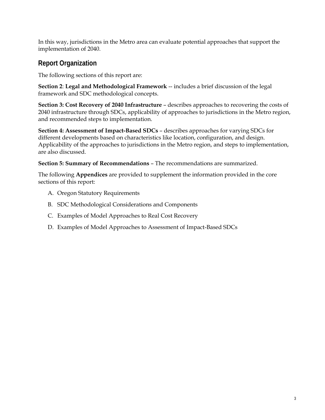<span id="page-12-0"></span>In this way, jurisdictions in the Metro area can evaluate potential approaches that support the implementation of 2040.

#### **Report Organization**

The following sections of this report are:

**Section 2**: **Legal and Methodological Framework** -- includes a brief discussion of the legal framework and SDC methodological concepts.

**Section 3: Cost Recovery of 2040 Infrastructure** – describes approaches to recovering the costs of 2040 infrastructure through SDCs, applicability of approaches to jurisdictions in the Metro region, and recommended steps to implementation.

**Section 4: Assessment of Impact-Based SDCs** – describes approaches for varying SDCs for different developments based on characteristics like location, configuration, and design. Applicability of the approaches to jurisdictions in the Metro region, and steps to implementation, are also discussed.

**Section 5: Summary of Recommendations** – The recommendations are summarized.

The following **Appendices** are provided to supplement the information provided in the core sections of this report:

- A. Oregon Statutory Requirements
- B. SDC Methodological Considerations and Components
- C. Examples of Model Approaches to Real Cost Recovery
- D. Examples of Model Approaches to Assessment of Impact-Based SDCs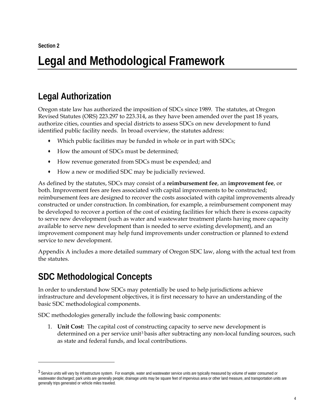# <span id="page-13-0"></span>**Legal and Methodological Framework**

# **Legal Authorization**

Oregon state law has authorized the imposition of SDCs since 1989. The statutes, at Oregon Revised Statutes (ORS) 223.297 to 223.314, as they have been amended over the past 18 years, authorize cities, counties and special districts to assess SDCs on new development to fund identified public facility needs. In broad overview, the statutes address:

- Which public facilities may be funded in whole or in part with SDCs;
- How the amount of SDCs must be determined;
- How revenue generated from SDCs must be expended; and
- How a new or modified SDC may be judicially reviewed.

As defined by the statutes, SDCs may consist of a **reimbursement fee**, an **improvement fee**, or both. Improvement fees are fees associated with capital improvements to be constructed; reimbursement fees are designed to recover the costs associated with capital improvements already constructed or under construction. In combination, for example, a reimbursement component may be developed to recover a portion of the cost of existing facilities for which there is excess capacity to serve new development (such as water and wastewater treatment plants having more capacity available to serve new development than is needed to serve existing development), and an improvement component may help fund improvements under construction or planned to extend service to new development.

Appendix A includes a more detailed summary of Oregon SDC law, along with the actual text from the statutes.

## **SDC Methodological Concepts**

-

In order to understand how SDCs may potentially be used to help jurisdictions achieve infrastructure and development objectives, it is first necessary to have an understanding of the basic SDC methodological components.

SDC methodologies generally include the following basic components:

1. **Unit Cost:** The capital cost of constructing capacity to serve new development is determined on a per service unit<sup>[3](#page-13-1)</sup> basis after subtracting any non-local funding sources, such as state and federal funds, and local contributions.

<span id="page-13-1"></span><sup>&</sup>lt;sup>3</sup> Service units will vary by infrastructure system. For example, water and wastewater service units are typically measured by volume of water consumed or wastewater discharged; park units are generally people; drainage units may be square feet of impervious area or other land measure, and transportation units are generally trips generated or vehicle miles traveled.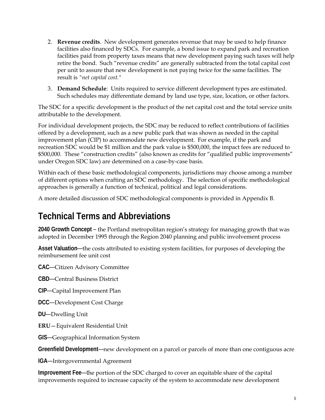- <span id="page-14-0"></span>2. **Revenue credits**. New development generates revenue that may be used to help finance facilities also financed by SDCs. For example, a bond issue to expand park and recreation facilities paid from property taxes means that new development paying such taxes will help retire the bond. Such "revenue credits" are generally subtracted from the total capital cost per unit to assure that new development is not paying twice for the same facilities. The result is *"net capital cost."*
- 3. **Demand Schedule**: Units required to service different development types are estimated. Such schedules may differentiate demand by land use type, size, location, or other factors.

The SDC for a specific development is the product of the net capital cost and the total service units attributable to the development.

For individual development projects, the SDC may be reduced to reflect contributions of facilities offered by a development, such as a new public park that was shown as needed in the capital improvement plan (CIP) to accommodate new development. For example, if the park and recreation SDC would be \$1 million and the park value is \$500,000, the impact fees are reduced to \$500,000. These "construction credits" (also known as credits for "qualified public improvements" under Oregon SDC law) are determined on a case-by-case basis.

Within each of these basic methodological components, jurisdictions may choose among a number of different options when crafting an SDC methodology. The selection of specific methodological approaches is generally a function of technical, political and legal considerations.

A more detailed discussion of SDC methodological components is provided in Appendix B.

## **Technical Terms and Abbreviations**

**2040 Growth Concept** – the Portland metropolitan region's strategy for managing growth that was adopted in December 1995 through the Region 2040 planning and public involvement process

**Asset Valuation**—the costs attributed to existing system facilities, for purposes of developing the reimbursement fee unit cost

**CAC**—Citizen Advisory Committee

**CBD**—Central Business District

- **CIP**—Capital Improvement Plan
- **DCC**—Development Cost Charge
- **DU**—Dwelling Unit
- **ERU**—Equivalent Residential Unit
- **GIS**—Geographical Information System

**Greenfield Development**—new development on a parcel or parcels of more than one contiguous acre

**IGA**—Intergovernmental Agreement

**Improvement Fee**—the portion of the SDC charged to cover an equitable share of the capital improvements required to increase capacity of the system to accommodate new development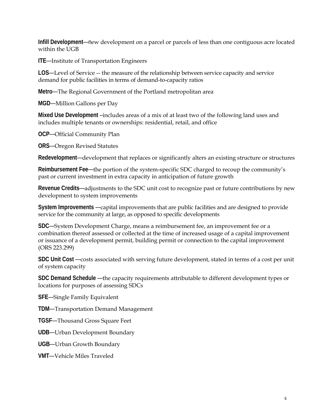**Infill Development**—new development on a parcel or parcels of less than one contiguous acre located within the UGB

**ITE**—Institute of Transportation Engineers

**LOS**—Level of Service -- the measure of the relationship between service capacity and service demand for public facilities in terms of demand-to-capacity ratios

**Metro**—The Regional Government of the Portland metropolitan area

**MGD**—Million Gallons per Day

**Mixed Use Development** –includes areas of a mix of at least two of the following land uses and includes multiple tenants or ownerships: residential, retail, and office

**OCP**—Official Community Plan

**ORS**—Oregon Revised Statutes

**Redevelopment**—development that replaces or significantly alters an existing structure or structures

**Reimbursement Fee**—the portion of the system-specific SDC charged to recoup the community's past or current investment in extra capacity in anticipation of future growth

**Revenue Credits**—adjustments to the SDC unit cost to recognize past or future contributions by new development to system improvements

**System Improvements** —capital improvements that are public facilities and are designed to provide service for the community at large, as opposed to specific developments

**SDC**—System Development Charge, means a reimbursement fee, an improvement fee or a combination thereof assessed or collected at the time of increased usage of a capital improvement or issuance of a development permit, building permit or connection to the capital improvement (ORS 223.299)

**SDC Unit Cost** —costs associated with serving future development, stated in terms of a cost per unit of system capacity

**SDC Demand Schedule** —the capacity requirements attributable to different development types or locations for purposes of assessing SDCs

**SFE**—Single Family Equivalent

**TDM**—Transportation Demand Management

**TGSF**—Thousand Gross Square Feet

**UDB**—Urban Development Boundary

**UGB**—Urban Growth Boundary

**VMT**—Vehicle Miles Traveled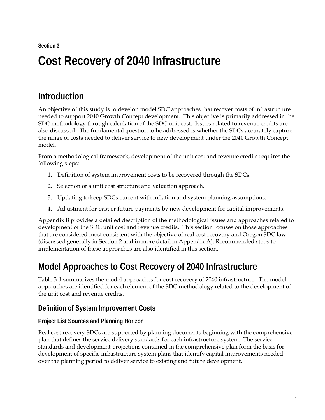# <span id="page-16-0"></span>**Cost Recovery of 2040 Infrastructure**

# **Introduction**

An objective of this study is to develop model SDC approaches that recover costs of infrastructure needed to support 2040 Growth Concept development. This objective is primarily addressed in the SDC methodology through calculation of the SDC unit cost. Issues related to revenue credits are also discussed. The fundamental question to be addressed is whether the SDCs accurately capture the range of costs needed to deliver service to new development under the 2040 Growth Concept model.

From a methodological framework, development of the unit cost and revenue credits requires the following steps:

- 1. Definition of system improvement costs to be recovered through the SDCs.
- 2. Selection of a unit cost structure and valuation approach.
- 3. Updating to keep SDCs current with inflation and system planning assumptions.
- 4. Adjustment for past or future payments by new development for capital improvements.

Appendix B provides a detailed description of the methodological issues and approaches related to development of the SDC unit cost and revenue credits. This section focuses on those approaches that are considered most consistent with the objective of real cost recovery and Oregon SDC law (discussed generally in Section 2 and in more detail in Appendix A). Recommended steps to implementation of these approaches are also identified in this section.

# **Model Approaches to Cost Recovery of 2040 Infrastructure**

Table 3-1 summarizes the model approaches for cost recovery of 2040 infrastructure. The model approaches are identified for each element of the SDC methodology related to the development of the unit cost and revenue credits.

#### **Definition of System Improvement Costs**

#### **Project List Sources and Planning Horizon**

Real cost recovery SDCs are supported by planning documents beginning with the comprehensive plan that defines the service delivery standards for each infrastructure system. The service standards and development projections contained in the comprehensive plan form the basis for development of specific infrastructure system plans that identify capital improvements needed over the planning period to deliver service to existing and future development.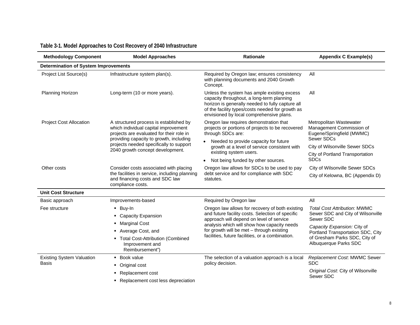<span id="page-17-0"></span>

| <b>Methodology Component</b>                | <b>Model Approaches</b>                                                                                                    | Rationale                                                                                                                                                                                                                                    | <b>Appendix C Example(s)</b>                                                     |
|---------------------------------------------|----------------------------------------------------------------------------------------------------------------------------|----------------------------------------------------------------------------------------------------------------------------------------------------------------------------------------------------------------------------------------------|----------------------------------------------------------------------------------|
| <b>Determination of System Improvements</b> |                                                                                                                            |                                                                                                                                                                                                                                              |                                                                                  |
| Project List Source(s)                      | Infrastructure system plan(s).                                                                                             | Required by Oregon law; ensures consistency<br>with planning documents and 2040 Growth<br>Concept.                                                                                                                                           | All                                                                              |
| Planning Horizon                            | Long-term (10 or more years).                                                                                              | Unless the system has ample existing excess<br>capacity throughout, a long-term planning<br>horizon is generally needed to fully capture all<br>of the facility types/costs needed for growth as<br>envisioned by local comprehensive plans. | All                                                                              |
| <b>Project Cost Allocation</b>              | A structured process is established by<br>which individual capital improvement<br>projects are evaluated for their role in | Oregon law requires demonstration that<br>projects or portions of projects to be recovered<br>through SDCs are:                                                                                                                              | Metropolitan Wastewater<br>Management Commission of<br>Eugene/Springfield (MWMC) |
|                                             | providing capacity to growth, including<br>projects needed specifically to support                                         | Needed to provide capacity for future<br>$\bullet$                                                                                                                                                                                           | Sewer SDCs                                                                       |
|                                             | 2040 growth concept development.                                                                                           | growth at a level of service consistent with<br>existing system users.                                                                                                                                                                       | City of Wilsonville Sewer SDCs<br>City of Portland Transportation                |
|                                             |                                                                                                                            | Not being funded by other sources.<br>$\bullet$                                                                                                                                                                                              | <b>SDCs</b>                                                                      |
| Other costs                                 | Consider costs associated with placing                                                                                     | Oregon law allows for SDCs to be used to pay                                                                                                                                                                                                 | City of Wilsonville Sewer SDCs                                                   |
|                                             | the facilities in service, including planning<br>and financing costs and SDC law<br>compliance costs.                      | debt service and for compliance with SDC<br>statutes.                                                                                                                                                                                        | City of Kelowna, BC (Appendix D)                                                 |
| <b>Unit Cost Structure</b>                  |                                                                                                                            |                                                                                                                                                                                                                                              |                                                                                  |
| Basic approach                              | Improvements-based                                                                                                         | Required by Oregon law                                                                                                                                                                                                                       | All                                                                              |
| Fee structure                               | $\blacksquare$ Buy-In                                                                                                      | Oregon law allows for recovery of both existing                                                                                                                                                                                              | <b>Total Cost Attribution: MWMC</b>                                              |
|                                             | • Capacity Expansion                                                                                                       | and future facility costs. Selection of specific<br>approach will depend on level of service                                                                                                                                                 | Sewer SDC and City of Wilsonville<br>Sewer SDC                                   |
|                                             | <b>Marginal Cost</b>                                                                                                       | analysis which will show how capacity needs                                                                                                                                                                                                  | Capacity Expansion: City of                                                      |
|                                             | Average Cost, and                                                                                                          | for growth will be met - through existing<br>facilities, future facilities, or a combination.                                                                                                                                                | Portland Transportation SDC, City                                                |
|                                             | • Total Cost-Attribution (Combined<br>Improvement and<br>Reimbursement")                                                   |                                                                                                                                                                                                                                              | of Gresham Parks SDC, City of<br>Albuquerque Parks SDC                           |
| <b>Existing System Valuation</b>            | • Book value                                                                                                               | The selection of a valuation approach is a local                                                                                                                                                                                             | Replacement Cost. MWMC Sewer                                                     |
| <b>Basis</b>                                | • Original cost                                                                                                            | policy decision.                                                                                                                                                                                                                             | <b>SDC</b>                                                                       |
|                                             | Replacement cost                                                                                                           |                                                                                                                                                                                                                                              | Original Cost. City of Wilsonville<br>Sewer SDC                                  |
|                                             | • Replacement cost less depreciation                                                                                       |                                                                                                                                                                                                                                              |                                                                                  |

### **Table 3-1. Model Approaches to Cost Recovery of 2040 Infrastructure**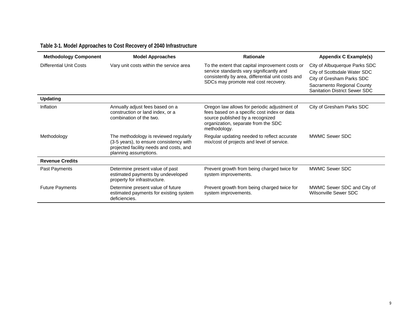| <b>Methodology Component</b> | <b>Model Approaches</b>                                                                                                                              | <b>Rationale</b>                                                                                                                                                                         | Appendix C Example(s)                                                                                                                                            |
|------------------------------|------------------------------------------------------------------------------------------------------------------------------------------------------|------------------------------------------------------------------------------------------------------------------------------------------------------------------------------------------|------------------------------------------------------------------------------------------------------------------------------------------------------------------|
| Differential Unit Costs      | Vary unit costs within the service area                                                                                                              | To the extent that capital improvement costs or<br>service standards vary significantly and<br>consistently by area, differential unit costs and<br>SDCs may promote real cost recovery. | City of Albuquerque Parks SDC<br>City of Scottsdale Water SDC<br>City of Gresham Parks SDC<br>Sacramento Regional County<br><b>Sanitation District Sewer SDC</b> |
| <b>Updating</b>              |                                                                                                                                                      |                                                                                                                                                                                          |                                                                                                                                                                  |
| Inflation                    | Annually adjust fees based on a<br>construction or land index, or a<br>combination of the two.                                                       | Oregon law allows for periodic adjustment of<br>fees based on a specific cost index or data<br>source published by a recognized<br>organization, separate from the SDC<br>methodology.   | City of Gresham Parks SDC                                                                                                                                        |
| Methodology                  | The methodology is reviewed regularly<br>(3-5 years), to ensure consistency with<br>projected facility needs and costs, and<br>planning assumptions. | Regular updating needed to reflect accurate<br>mix/cost of projects and level of service.                                                                                                | MWMC Sewer SDC                                                                                                                                                   |
| <b>Revenue Credits</b>       |                                                                                                                                                      |                                                                                                                                                                                          |                                                                                                                                                                  |
| Past Payments                | Determine present value of past<br>estimated payments by undeveloped<br>property for infrastructure.                                                 | Prevent growth from being charged twice for<br>system improvements.                                                                                                                      | MWMC Sewer SDC                                                                                                                                                   |
| <b>Future Payments</b>       | Determine present value of future<br>estimated payments for existing system<br>deficiencies.                                                         | Prevent growth from being charged twice for<br>system improvements.                                                                                                                      | MWMC Sewer SDC and City of<br>Wilsonville Sewer SDC                                                                                                              |

#### **Table 3-1. Model Approaches to Cost Recovery of 2040 Infrastructure**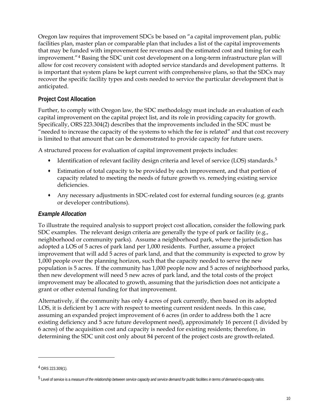Oregon law requires that improvement SDCs be based on "a capital improvement plan, public facilities plan, master plan or comparable plan that includes a list of the capital improvements that may be funded with improvement fee revenues and the estimated cost and timing for each improvement."[4](#page-19-0) Basing the SDC unit cost development on a long-term infrastructure plan will allow for cost recovery consistent with adopted service standards and development patterns. It is important that system plans be kept current with comprehensive plans, so that the SDCs may recover the specific facility types and costs needed to service the particular development that is anticipated.

#### **Project Cost Allocation**

Further, to comply with Oregon law, the SDC methodology must include an evaluation of each capital improvement on the capital project list, and its role in providing capacity for growth. Specifically, ORS 223.304(2) describes that the improvements included in the SDC must be "needed to increase the capacity of the systems to which the fee is related" and that cost recovery is limited to that amount that can be demonstrated to provide capacity for future users.

A structured process for evaluation of capital improvement projects includes:

- Identification of relevant facility design criteria and level of service (LOS) standards.<sup>[5](#page-19-1)</sup>
- Estimation of total capacity to be provided by each improvement, and that portion of capacity related to meeting the needs of future growth vs. remedying existing service deficiencies.
- Any necessary adjustments in SDC-related cost for external funding sources (e.g. grants or developer contributions).

#### *Example Allocation*

To illustrate the required analysis to support project cost allocation, consider the following park SDC examples. The relevant design criteria are generally the type of park or facility (e.g., neighborhood or community parks). Assume a neighborhood park, where the jurisdiction has adopted a LOS of 5 acres of park land per 1,000 residents. Further, assume a project improvement that will add 5 acres of park land, and that the community is expected to grow by 1,000 people over the planning horizon, such that the capacity needed to serve the new population is 5 acres. If the community has 1,000 people now and 5 acres of neighborhood parks, then new development will need 5 new acres of park land, and the total costs of the project improvement may be allocated to growth, assuming that the jurisdiction does not anticipate a grant or other external funding for that improvement.

Alternatively, if the community has only 4 acres of park currently, then based on its adopted LOS, it is deficient by 1 acre with respect to meeting current resident needs. In this case, assuming an expanded project improvement of 6 acres (in order to address both the 1 acre existing deficiency and 5 acre future development need), approximately 16 percent (1 divided by 6 acres) of the acquisition cost and capacity is needed for existing residents; therefore, in determining the SDC unit cost only about 84 percent of the project costs are growth-related.

 $\overline{a}$ 

<span id="page-19-0"></span><sup>4</sup> ORS 223.309(1).

<span id="page-19-1"></span><sup>5</sup> Level of service is a *measure of the relationship between service capacity and service demand for public facilities in terms of demand-to-capacity ratios.*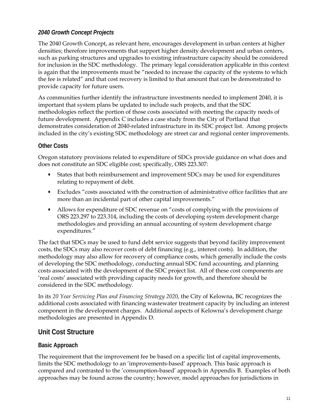#### *2040 Growth Concept Projects*

The 2040 Growth Concept, as relevant here, encourages development in urban centers at higher densities; therefore improvements that support higher density development and urban centers, such as parking structures and upgrades to existing infrastructure capacity should be considered for inclusion in the SDC methodology. The primary legal consideration applicable in this context is again that the improvements must be "needed to increase the capacity of the systems to which the fee is related" and that cost recovery is limited to that amount that can be demonstrated to provide capacity for future users.

As communities further identify the infrastructure investments needed to implement 2040, it is important that system plans be updated to include such projects, and that the SDC methodologies reflect the portion of those costs associated with meeting the capacity needs of future development. Appendix C includes a case study from the City of Portland that demonstrates consideration of 2040-related infrastructure in its SDC project list. Among projects included in the city's existing SDC methodology are street car and regional center improvements.

#### **Other Costs**

Oregon statutory provisions related to expenditure of SDCs provide guidance on what does and does not constitute an SDC eligible cost; specifically, ORS 223.307:

- States that both reimbursement and improvement SDCs may be used for expenditures relating to repayment of debt.
- Excludes "costs associated with the construction of administrative office facilities that are more than an incidental part of other capital improvements."
- Allows for expenditure of SDC revenue on "costs of complying with the provisions of ORS 223.297 to 223.314, including the costs of developing system development charge methodologies and providing an annual accounting of system development charge expenditures."

The fact that SDCs may be used to fund debt service suggests that beyond facility improvement costs, the SDCs may also recover costs of debt financing (e.g., interest costs). In addition, the methodology may also allow for recovery of compliance costs, which generally include the costs of developing the SDC methodology, conducting annual SDC fund accounting, and planning costs associated with the development of the SDC project list. All of these cost components are 'real costs' associated with providing capacity needs for growth, and therefore should be considered in the SDC methodology.

In its *20 Year Servicing Plan and Financing Strategy 2020*, the City of Kelowna, BC recognizes the additional costs associated with financing wastewater treatment capacity by including an interest component in the development charges. Additional aspects of Kelowna's development charge methodologies are presented in Appendix D.

#### **Unit Cost Structure**

#### **Basic Approach**

The requirement that the improvement fee be based on a specific list of capital improvements, limits the SDC methodology to an 'improvements-based' approach. This basic approach is compared and contrasted to the 'consumption-based' approach in Appendix B. Examples of both approaches may be found across the country; however, model approaches for jurisdictions in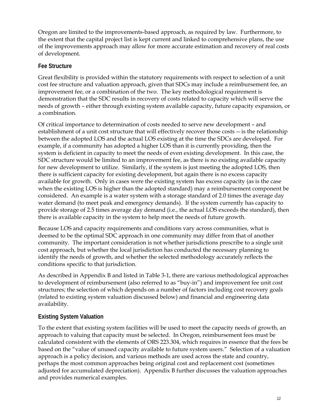Oregon are limited to the improvements-based approach, as required by law. Furthermore, to the extent that the capital project list is kept current and linked to comprehensive plans, the use of the improvements approach may allow for more accurate estimation and recovery of real costs of development.

#### **Fee Structure**

Great flexibility is provided within the statutory requirements with respect to selection of a unit cost fee structure and valuation approach, given that SDCs may include a reimbursement fee, an improvement fee, or a combination of the two. The key methodological requirement is demonstration that the SDC results in recovery of costs related to capacity which will serve the needs of growth – either through existing system available capacity, future capacity expansion, or a combination.

Of critical importance to determination of costs needed to serve new development – and establishment of a unit cost structure that will effectively recover those costs -- is the relationship between the adopted LOS and the actual LOS existing at the time the SDCs are developed. For example, if a community has adopted a higher LOS than it is currently providing, then the system is deficient in capacity to meet the needs of even existing development. In this case, the SDC structure would be limited to an improvement fee, as there is no existing available capacity for new development to utilize. Similarly, if the system is just meeting the adopted LOS, then there is sufficient capacity for existing development, but again there is no excess capacity available for growth. Only in cases were the existing system has excess capacity (as is the case when the existing LOS is higher than the adopted standard) may a reimbursement component be considered. An example is a water system with a storage standard of 2.0 times the average day water demand (to meet peak and emergency demands). If the system currently has capacity to provide storage of 2.5 times average day demand (i.e., the actual LOS exceeds the standard), then there is available capacity in the system to help meet the needs of future growth.

Because LOS and capacity requirements and conditions vary across communities, what is deemed to be the optimal SDC approach in one community may differ from that of another community. The important consideration is not whether jurisdictions prescribe to a single unit cost approach, but whether the local jurisdiction has conducted the necessary planning to identify the needs of growth, and whether the selected methodology accurately reflects the conditions specific to that jurisdiction.

As described in Appendix B and listed in Table 3-1, there are various methodological approaches to development of reimbursement (also referred to as "buy-in") and improvement fee unit cost structures; the selection of which depends on a number of factors including cost recovery goals (related to existing system valuation discussed below) and financial and engineering data availability.

#### **Existing System Valuation**

To the extent that existing system facilities will be used to meet the capacity needs of growth, an approach to valuing that capacity must be selected. In Oregon, reimbursement fees must be calculated consistent with the elements of ORS 223.304, which requires in essence that the fees be based on the "value of unused capacity available to future system users." Selection of a valuation approach is a policy decision, and various methods are used across the state and country, perhaps the most common approaches being original cost and replacement cost (sometimes adjusted for accumulated depreciation). Appendix B further discusses the valuation approaches and provides numerical examples.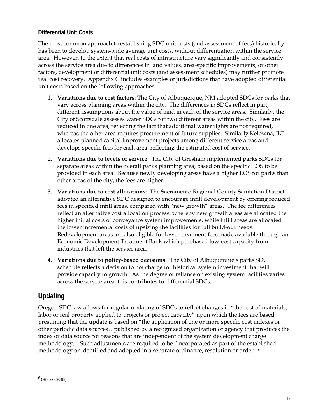#### **Differential Unit Costs**

The most common approach to establishing SDC unit costs (and assessment of fees) historically has been to develop system-wide average unit costs, without differentiation within the service area. However, to the extent that real costs of infrastructure vary significantly and consistently across the service area due to differences in land values, area-specific improvements, or other factors, development of differential unit costs (and assessment schedules) may further promote real cost recovery. Appendix C includes examples of jurisdictions that have adopted differential unit costs based on the following approaches:

- 1. **Variations due to cost factors**: The City of Albuquerque, NM adopted SDCs for parks that vary across planning areas within the city. The differences in SDCs reflect in part, different assumptions about the value of land in each of the service areas. Similarly, the City of Scottsdale assesses water SDCs for two different areas within the city. Fees are reduced in one area, reflecting the fact that additional water rights are not required, whereas the other area requires procurement of future supplies. Similarly Kelowna, BC allocates planned capital improvement projects among different service areas and develops specific fees for each area, reflecting the estimated cost of service.
- 2. **Variations due to levels of service**: The City of Gresham implemented parks SDCs for separate areas within the overall parks planning area, based on the specific LOS to be provided in each area. Because newly developing areas have a higher LOS for parks than other areas of the city, the fees are higher.
- 3. **Variations due to cost allocations**: The Sacramento Regional County Sanitation District adopted an alternative SDC designed to encourage infill development by offering reduced fees in specified infill areas, compared with "new growth" areas. The fee differences reflect an alternative cost allocation process, whereby new growth areas are allocated the higher initial costs of conveyance system improvements, while infill areas are allocated the lower incremental costs of upsizing the facilities for full build-out needs. Redevelopment areas are also eligible for lower treatment fees made available through an Economic Development Treatment Bank which purchased low-cost capacity from industries that left the service area.
- 4. **Variations due to policy-based decisions**: The City of Albuquerque's parks SDC schedule reflects a decision to not charge for historical system investment that will provide capacity to growth. As the degree of reliance on existing system facilities varies across the service area, this contributes to differential SDCs.

#### **Updating**

Oregon SDC law allows for regular updating of SDCs to reflect changes in "the cost of materials, labor or real property applied to projects or project capacity" upon which the fees are based, presuming that the update is based on "the application of one or more specific cost indexes or other periodic data sources…published by a recognized organization or agency that produces the index or data source for reasons that are independent of the system development charge methodology." Such adjustments are required to be "incorporated as part of the established methodology or identified and adopted in a separate ordinance, resolution or order."[6](#page-22-0)

<u>.</u>

<span id="page-22-0"></span><sup>6</sup> ORS 223.304(8)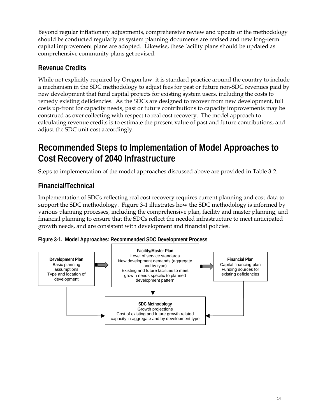<span id="page-23-0"></span>Beyond regular inflationary adjustments, comprehensive review and update of the methodology should be conducted regularly as system planning documents are revised and new long-term capital improvement plans are adopted. Likewise, these facility plans should be updated as comprehensive community plans get revised.

#### **Revenue Credits**

While not explicitly required by Oregon law, it is standard practice around the country to include a mechanism in the SDC methodology to adjust fees for past or future non-SDC revenues paid by new development that fund capital projects for existing system users, including the costs to remedy existing deficiencies. As the SDCs are designed to recover from new development, full costs up-front for capacity needs, past or future contributions to capacity improvements may be construed as over collecting with respect to real cost recovery. The model approach to calculating revenue credits is to estimate the present value of past and future contributions, and adjust the SDC unit cost accordingly.

## **Recommended Steps to Implementation of Model Approaches to Cost Recovery of 2040 Infrastructure**

Steps to implementation of the model approaches discussed above are provided in Table 3-2.

#### **Financial/Technical**

Implementation of SDCs reflecting real cost recovery requires current planning and cost data to support the SDC methodology. Figure 3-1 illustrates how the SDC methodology is informed by various planning processes, including the comprehensive plan, facility and master planning, and financial planning to ensure that the SDCs reflect the needed infrastructure to meet anticipated growth needs, and are consistent with development and financial policies.



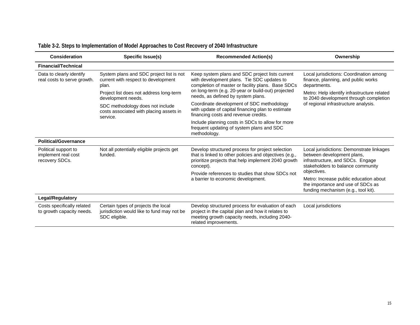<span id="page-24-0"></span>

| <b>Consideration</b>                                                                                                                                                                                                                                 | Specific Issue(s)                                                                                  | <b>Recommended Action(s)</b>                                                                                                                                                      | Ownership                                                                                                                                        |
|------------------------------------------------------------------------------------------------------------------------------------------------------------------------------------------------------------------------------------------------------|----------------------------------------------------------------------------------------------------|-----------------------------------------------------------------------------------------------------------------------------------------------------------------------------------|--------------------------------------------------------------------------------------------------------------------------------------------------|
| <b>Financial/Technical</b>                                                                                                                                                                                                                           |                                                                                                    |                                                                                                                                                                                   |                                                                                                                                                  |
| System plans and SDC project list is not<br>Keep system plans and SDC project lists current<br>Data to clearly identify<br>with development plans. Tie SDC updates to<br>real costs to serve growth.<br>current with respect to development<br>plan. | completion of master or facility plans. Base SDCs                                                  | Local jurisdictions: Coordination among<br>finance, planning, and public works<br>departments.                                                                                    |                                                                                                                                                  |
|                                                                                                                                                                                                                                                      | Project list does not address long-term<br>development needs.                                      | on long-term (e.g. 20-year or build-out) projected<br>needs, as defined by system plans.                                                                                          | Metro: Help identify infrastructure related<br>to 2040 development through completion                                                            |
|                                                                                                                                                                                                                                                      | SDC methodology does not include<br>costs associated with placing assets in<br>service.            | Coordinate development of SDC methodology<br>with update of capital financing plan to estimate<br>financing costs and revenue credits.                                            | of regional infrastructure analysis.                                                                                                             |
|                                                                                                                                                                                                                                                      |                                                                                                    | Include planning costs in SDCs to allow for more<br>frequent updating of system plans and SDC<br>methodology.                                                                     |                                                                                                                                                  |
| <b>Political/Governance</b>                                                                                                                                                                                                                          |                                                                                                    |                                                                                                                                                                                   |                                                                                                                                                  |
| Political support to<br>implement real cost<br>recovery SDCs.                                                                                                                                                                                        | Not all potentially eligible projects get<br>funded.                                               | Develop structured process for project selection<br>that is linked to other policies and objectives (e.g.,<br>prioritize projects that help implement 2040 growth<br>concept).    | Local jurisdictions: Demonstrate linkages<br>between development plans,<br>infrastructure, and SDCs. Engage<br>stakeholders to balance community |
|                                                                                                                                                                                                                                                      |                                                                                                    | Provide references to studies that show SDCs not                                                                                                                                  | objectives.                                                                                                                                      |
|                                                                                                                                                                                                                                                      |                                                                                                    | a barrier to economic development.                                                                                                                                                | Metro: Increase public education about<br>the importance and use of SDCs as<br>funding mechanism (e.g., tool kit).                               |
| <b>Legal/Regulatory</b>                                                                                                                                                                                                                              |                                                                                                    |                                                                                                                                                                                   |                                                                                                                                                  |
| Costs specifically related<br>to growth capacity needs.                                                                                                                                                                                              | Certain types of projects the local<br>jurisdiction would like to fund may not be<br>SDC eligible. | Develop structured process for evaluation of each<br>project in the capital plan and how it relates to<br>meeting growth capacity needs, including 2040-<br>related improvements. | Local jurisdictions                                                                                                                              |

#### **Table 3-2. Steps to Implementation of Model Approaches to Cost Recovery of 2040 Infrastructure**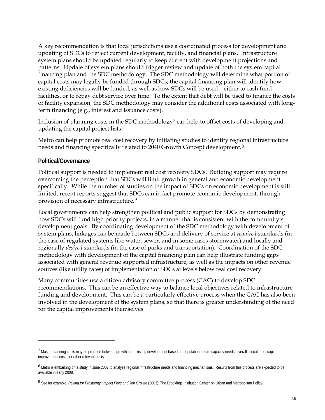A key recommendation is that local jurisdictions use a coordinated process for development and updating of SDCs to reflect current development, facility, and financial plans. Infrastructure system plans should be updated regularly to keep current with development projections and patterns. Update of system plans should trigger review and update of both the system capital financing plan and the SDC methodology. The SDC methodology will determine what portion of capital costs may legally be funded through SDCs; the capital financing plan will identify how existing deficiencies will be funded, as well as how SDCs will be used – either to cash fund facilities, or to repay debt service over time. To the extent that debt will be used to finance the costs of facility expansion, the SDC methodology may consider the additional costs associated with longterm financing (e.g., interest and issuance costs).

Inclusion of planning costs in the SDC methodology<sup>[7](#page-25-0)</sup> can help to offset costs of developing and updating the capital project lists.

Metro can help promote real cost recovery by initiating studies to identify regional infrastructure needs and financing specifically related to 2040 Growth Concept development.[8](#page-25-1)

#### **Political/Governance**

 $\overline{a}$ 

Political support is needed to implement real cost recovery SDCs. Building support may require overcoming the perception that SDCs will limit growth in general and economic development specifically. While the number of studies on the impact of SDCs on economic development is still limited, recent reports suggest that SDCs can in fact promote economic development, through provision of necessary infrastructure.[9](#page-25-2) 

Local governments can help strengthen political and public support for SDCs by demonstrating how SDCs will fund high priority projects, in a manner that is consistent with the community's development goals. By coordinating development of the SDC methodology with development of system plans, linkages can be made between SDCs and delivery of service at *required* standards (in the case of regulated systems like water, sewer, and in some cases stormwater) and locally and regionally *desired* standards (in the case of parks and transportation). Coordination of the SDC methodology with development of the capital financing plan can help illustrate funding gaps associated with general revenue supported infrastructure, as well as the impacts on other revenue sources (like utility rates) of implementation of SDCs at levels below real cost recovery.

Many communities use a citizen advisory committee process (CAC) to develop SDC recommendations. This can be an effective way to balance local objectives related to infrastructure funding and development. This can be a particularly effective process when the CAC has also been involved in the development of the system plans, so that there is greater understanding of the need for the capital improvements themselves.

<sup>7</sup> Master planning costs may be prorated between growth and existing development based on population, future capacity needs, overall allocation of capital improvement costs, or other relevant basis

<sup>8</sup> Metro is embarking on a study in June 2007 to analyze regional infrastructure needs and financing mechanisms. Results from this process are expected to be available in early 2008.

<span id="page-25-2"></span><span id="page-25-1"></span><span id="page-25-0"></span><sup>9</sup> See for example: Paying for Prosperity: Impact Fees and Job Growth (2003). The Brookings Institution Center on Urban and Metropolitan Policy.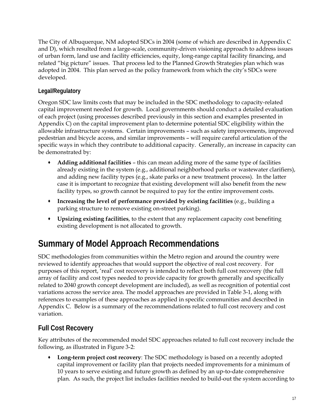<span id="page-26-0"></span>The City of Albuquerque, NM adopted SDCs in 2004 (some of which are described in Appendix C and D), which resulted from a large-scale, community-driven visioning approach to address issues of urban form, land use and facility efficiencies, equity, long-range capital facility financing, and related "big picture" issues. That process led to the Planned Growth Strategies plan which was adopted in 2004. This plan served as the policy framework from which the city's SDCs were developed.

#### **Legal/Regulatory**

Oregon SDC law limits costs that may be included in the SDC methodology to capacity-related capital improvement needed for growth. Local governments should conduct a detailed evaluation of each project (using processes described previously in this section and examples presented in Appendix C) on the capital improvement plan to determine potential SDC eligibility within the allowable infrastructure systems. Certain improvements – such as safety improvements, improved pedestrian and bicycle access, and similar improvements – will require careful articulation of the specific ways in which they contribute to additional capacity. Generally, an increase in capacity can be demonstrated by:

- **Adding additional facilities** this can mean adding more of the same type of facilities already existing in the system (e.g., additional neighborhood parks or wastewater clarifiers), and adding new facility types (e.g., skate parks or a new treatment process). In the latter case it is important to recognize that existing development will also benefit from the new facility types, so growth cannot be required to pay for the entire improvement costs.
- **Increasing the level of performance provided by existing facilities** (e.g., building a parking structure to remove existing on-street parking).
- **Upsizing existing facilities**, to the extent that any replacement capacity cost benefiting existing development is not allocated to growth.

# **Summary of Model Approach Recommendations**

SDC methodologies from communities within the Metro region and around the country were reviewed to identify approaches that would support the objective of real cost recovery. For purposes of this report, 'real' cost recovery is intended to reflect both full cost recovery (the full array of facility and cost types needed to provide capacity for growth generally and specifically related to 2040 growth concept development are included), as well as recognition of potential cost variations across the service area. The model approaches are provided in Table 3-1, along with references to examples of these approaches as applied in specific communities and described in Appendix C. Below is a summary of the recommendations related to full cost recovery and cost variation.

#### **Full Cost Recovery**

Key attributes of the recommended model SDC approaches related to full cost recovery include the following, as illustrated in Figure 3-2:

 **Long-term project cost recovery**: The SDC methodology is based on a recently adopted capital improvement or facility plan that projects needed improvements for a minimum of 10 years to serve existing and future growth as defined by an up-to-date comprehensive plan. As such, the project list includes facilities needed to build-out the system according to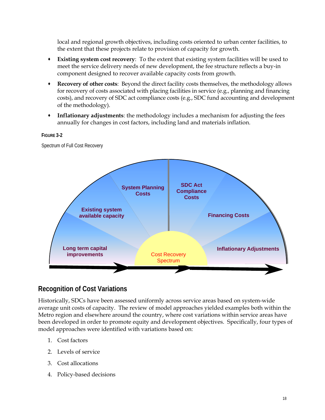local and regional growth objectives, including costs oriented to urban center facilities, to the extent that these projects relate to provision of capacity for growth.

- **Existing system cost recovery**: To the extent that existing system facilities will be used to meet the service delivery needs of new development, the fee structure reflects a buy-in component designed to recover available capacity costs from growth.
- **Recovery of other costs**: Beyond the direct facility costs themselves, the methodology allows for recovery of costs associated with placing facilities in service (e.g., planning and financing costs), and recovery of SDC act compliance costs (e.g., SDC fund accounting and development of the methodology).
- **Inflationary adjustments**: the methodology includes a mechanism for adjusting the fees annually for changes in cost factors, including land and materials inflation.

## **Existing system available capacity System Planning Costs Inflationary Adjustments Financing Costs SDC Act Compliance Costs**  Cost Recovery Spectrum **Long term capital improvements**

#### **FIGURE 3-2**

Spectrum of Full Cost Recovery

#### **Recognition of Cost Variations**

Historically, SDCs have been assessed uniformly across service areas based on system-wide average unit costs of capacity. The review of model approaches yielded examples both within the Metro region and elsewhere around the country, where cost variations within service areas have been developed in order to promote equity and development objectives. Specifically, four types of model approaches were identified with variations based on:

- 1. Cost factors
- 2. Levels of service
- 3. Cost allocations
- 4. Policy-based decisions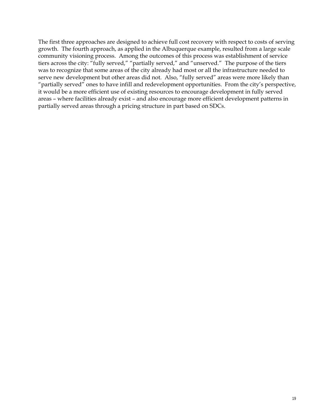The first three approaches are designed to achieve full cost recovery with respect to costs of serving growth. The fourth approach, as applied in the Albuquerque example, resulted from a large scale community visioning process. Among the outcomes of this process was establishment of service tiers across the city: "fully served," "partially served," and "unserved." The purpose of the tiers was to recognize that some areas of the city already had most or all the infrastructure needed to serve new development but other areas did not. Also, "fully served" areas were more likely than "partially served" ones to have infill and redevelopment opportunities. From the city's perspective, it would be a more efficient use of existing resources to encourage development in fully served areas – where facilities already exist – and also encourage more efficient development patterns in partially served areas through a pricing structure in part based on SDCs.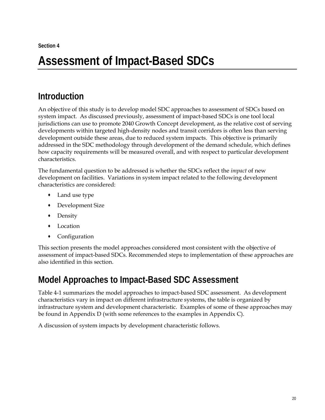# <span id="page-29-0"></span>**Assessment of Impact-Based SDCs**

# **Introduction**

An objective of this study is to develop model SDC approaches to assessment of SDCs based on system impact. As discussed previously, assessment of impact-based SDCs is one tool local jurisdictions can use to promote 2040 Growth Concept development, as the relative cost of serving developments within targeted high-density nodes and transit corridors is often less than serving development outside these areas, due to reduced system impacts. This objective is primarily addressed in the SDC methodology through development of the demand schedule, which defines how capacity requirements will be measured overall, and with respect to particular development characteristics.

The fundamental question to be addressed is whether the SDCs reflect the *impact* of new development on facilities. Variations in system impact related to the following development characteristics are considered:

- Land use type
- Development Size
- Density
- Location
- Configuration

This section presents the model approaches considered most consistent with the objective of assessment of impact-based SDCs. Recommended steps to implementation of these approaches are also identified in this section.

## **Model Approaches to Impact-Based SDC Assessment**

Table 4-1 summarizes the model approaches to impact-based SDC assessment. As development characteristics vary in impact on different infrastructure systems, the table is organized by infrastructure system and development characteristic. Examples of some of these approaches may be found in Appendix D (with some references to the examples in Appendix C).

A discussion of system impacts by development characteristic follows.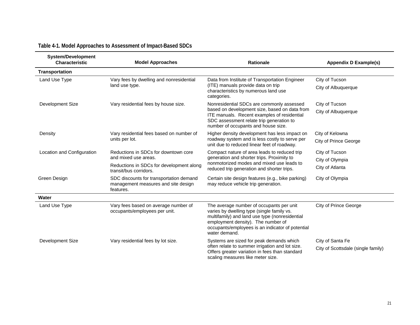<span id="page-30-0"></span>

| <b>System/Development</b><br><b>Characteristic</b> | <b>Model Approaches</b>                                                                     | <b>Rationale</b>                                                                                                                                                                                                                                    | <b>Appendix D Example(s)</b>       |
|----------------------------------------------------|---------------------------------------------------------------------------------------------|-----------------------------------------------------------------------------------------------------------------------------------------------------------------------------------------------------------------------------------------------------|------------------------------------|
| <b>Transportation</b>                              |                                                                                             |                                                                                                                                                                                                                                                     |                                    |
| Land Use Type                                      | Vary fees by dwelling and nonresidential                                                    | Data from Institute of Transportation Engineer                                                                                                                                                                                                      | City of Tucson                     |
|                                                    | land use type.                                                                              | (ITE) manuals provide data on trip<br>characteristics by numerous land use<br>categories.                                                                                                                                                           | City of Albuquerque                |
| Development Size                                   | Vary residential fees by house size.                                                        | Nonresidential SDCs are commonly assessed                                                                                                                                                                                                           | City of Tucson                     |
|                                                    |                                                                                             | based on development size, based on data from<br>ITE manuals. Recent examples of residential<br>SDC assessment relate trip generation to<br>number of occupants and house size.                                                                     | City of Albuquerque                |
| Density                                            | Vary residential fees based on number of                                                    | Higher density development has less impact on                                                                                                                                                                                                       | City of Kelowna                    |
|                                                    | units per lot.                                                                              | roadway system and is less costly to serve per<br>unit due to reduced linear feet of roadway.                                                                                                                                                       | <b>City of Prince George</b>       |
| Location and Configuration                         | Reductions in SDCs for downtown core                                                        | Compact nature of area leads to reduced trip                                                                                                                                                                                                        | City of Tucson                     |
|                                                    | and mixed use areas.                                                                        | generation and shorter trips. Proximity to<br>nonmotorized modes and mixed use leads to                                                                                                                                                             | City of Olympia                    |
|                                                    | Reductions in SDCs for development along<br>transit/bus corridors.                          | reduced trip generation and shorter trips.                                                                                                                                                                                                          | City of Atlanta                    |
| Green Design                                       | SDC discounts for transportation demand<br>management measures and site design<br>features. | Certain site design features (e.g., bike parking)<br>may reduce vehicle trip generation.                                                                                                                                                            | City of Olympia                    |
| Water                                              |                                                                                             |                                                                                                                                                                                                                                                     |                                    |
| Land Use Type                                      | Vary fees based on average number of<br>occupants/employees per unit.                       | The average number of occupants per unit<br>varies by dwelling type (single family vs.<br>multifamily) and land use type (nonresidential<br>employment density). The number of<br>occupants/employees is an indicator of potential<br>water demand. | <b>City of Prince George</b>       |
| Development Size                                   | Vary residential fees by lot size.                                                          | Systems are sized for peak demands which                                                                                                                                                                                                            | City of Santa Fe                   |
|                                                    |                                                                                             | often relate to summer irrigation and lot size.<br>Offers greater variation in fees than standard<br>scaling measures like meter size.                                                                                                              | City of Scottsdale (single family) |

#### **Table 4-1. Model Approaches to Assessment of Impact-Based SDCs**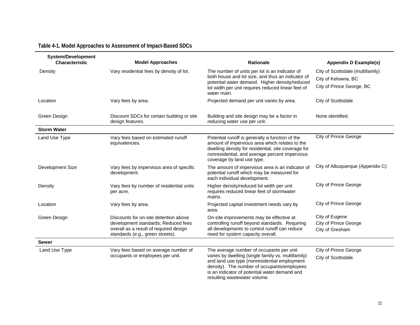#### **Table 4-1. Model Approaches to Assessment of Impact-Based SDCs**

| <b>System/Development</b><br><b>Characteristic</b> | <b>Model Approaches</b>                                                                                           | <b>Rationale</b>                                                                                                                                                                                                                         | <b>Appendix D Example(s)</b>                    |
|----------------------------------------------------|-------------------------------------------------------------------------------------------------------------------|------------------------------------------------------------------------------------------------------------------------------------------------------------------------------------------------------------------------------------------|-------------------------------------------------|
| Density                                            | Vary residential fees by density of lot.                                                                          | The number of units per lot is an indicator of                                                                                                                                                                                           | City of Scottsdale (multifamily)                |
|                                                    |                                                                                                                   | both house and lot size, and thus an indicator of<br>potential water demand. Higher density/reduced                                                                                                                                      | City of Kelowna, BC                             |
|                                                    |                                                                                                                   | lot width per unit requires reduced linear feet of<br>water main.                                                                                                                                                                        | City of Prince George, BC                       |
| Location                                           | Vary fees by area.                                                                                                | Projected demand per unit varies by area.                                                                                                                                                                                                | City of Scottsdale                              |
| Green Design                                       | Discount SDCs for certain building or site<br>design features.                                                    | Building and site design may be a factor in<br>reducing water use per unit.                                                                                                                                                              | None identified.                                |
| <b>Storm Water</b>                                 |                                                                                                                   |                                                                                                                                                                                                                                          |                                                 |
| Land Use Type                                      | Vary fees based on estimated runoff<br>equivalencies.                                                             | Potential runoff is generally a function of the<br>amount of impervious area which relates to the<br>dwelling density for residential, site coverage for<br>nonresidential, and average percent impervious<br>coverage by land use type. | City of Prince George                           |
| Development Size                                   | Vary fees by impervious area of specific<br>development.                                                          | The amount of impervious area is an indicator of<br>potential runoff which may be measured for<br>each individual development.                                                                                                           | City of Albuquerque (Appendix C)                |
| Density                                            | Vary fees by number of residential units<br>per acre.                                                             | Higher density/reduced lot width per unit<br>requires reduced linear feet of stormwater<br>mains.                                                                                                                                        | <b>City of Prince George</b>                    |
| Location                                           | Vary fees by area.                                                                                                | Projected capital investment needs vary by<br>area.                                                                                                                                                                                      | <b>City of Prince George</b>                    |
| Green Design                                       | Discounts for on-site detention above                                                                             | On-site improvements may be effective at                                                                                                                                                                                                 | City of Eugene                                  |
|                                                    | development standards; Reduced fees<br>overall as a result of required design<br>standards (e.g., green streets). | controlling runoff beyond standards. Requiring<br>all developments to control runoff can reduce<br>need for system capacity overall.                                                                                                     | <b>City of Prince George</b><br>City of Gresham |
| <b>Sewer</b>                                       |                                                                                                                   |                                                                                                                                                                                                                                          |                                                 |
| Land Use Type                                      | Vary fees based on average number of                                                                              | The average number of occupants per unit                                                                                                                                                                                                 | City of Prince George                           |
|                                                    | occupants or employees per unit.                                                                                  | varies by dwelling (single family vs. multifamily)<br>and land use type (nonresidential employment<br>density). The number of occupants/employees<br>is an indicator of potential water demand and<br>resulting wastewater volume.       | City of Scottsdale                              |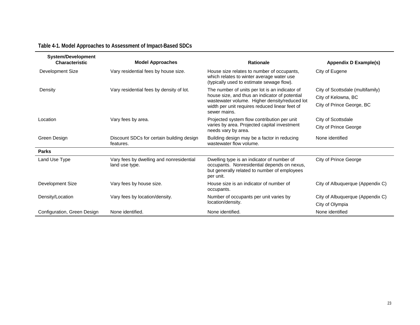#### **Table 4-1. Model Approaches to Assessment of Impact-Based SDCs**

| <b>System/Development</b><br><b>Characteristic</b> | <b>Model Approaches</b>                                    | <b>Rationale</b>                                                                                                                                       | Appendix D Example(s)            |
|----------------------------------------------------|------------------------------------------------------------|--------------------------------------------------------------------------------------------------------------------------------------------------------|----------------------------------|
| Development Size                                   | Vary residential fees by house size.                       | House size relates to number of occupants,<br>which relates to winter average water use<br>(typically used to estimate sewage flow).                   | City of Eugene                   |
| Density                                            | Vary residential fees by density of lot.                   | The number of units per lot is an indicator of                                                                                                         | City of Scottsdale (multifamily) |
|                                                    |                                                            | house size, and thus an indicator of potential<br>wastewater volume. Higher density/reduced lot                                                        | City of Kelowna, BC              |
|                                                    |                                                            | width per unit requires reduced linear feet of<br>sewer mains.                                                                                         | City of Prince George, BC        |
| Location                                           | Vary fees by area.                                         | Projected system flow contribution per unit                                                                                                            | City of Scottsdale               |
|                                                    |                                                            | varies by area. Projected capital investment<br>needs vary by area.                                                                                    | City of Prince George            |
| Green Design                                       | Discount SDCs for certain building design<br>features.     | Building design may be a factor in reducing<br>wastewater flow volume.                                                                                 | None identified                  |
| <b>Parks</b>                                       |                                                            |                                                                                                                                                        |                                  |
| Land Use Type                                      | Vary fees by dwelling and nonresidential<br>land use type. | Dwelling type is an indicator of number of<br>occupants. Nonresidential depends on nexus,<br>but generally related to number of employees<br>per unit. | City of Prince George            |
| Development Size                                   | Vary fees by house size.                                   | House size is an indicator of number of<br>occupants.                                                                                                  | City of Albuquerque (Appendix C) |
| Density/Location                                   | Vary fees by location/density.                             | Number of occupants per unit varies by                                                                                                                 | City of Albuquerque (Appendix C) |
|                                                    |                                                            | location/density.                                                                                                                                      | City of Olympia                  |
| Configuration, Green Design                        | None identified.                                           | None identified.                                                                                                                                       | None identified                  |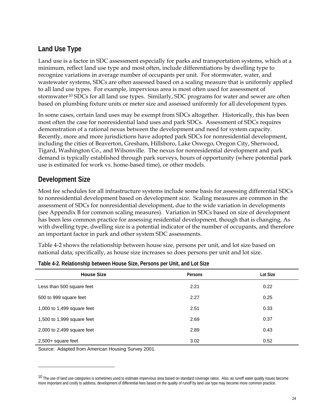#### <span id="page-33-0"></span>**Land Use Type**

Land use is a factor in SDC assessment especially for parks and transportation systems, which at a minimum, reflect land use type and most often, include differentiations by dwelling type to recognize variations in average number of occupants per unit. For stormwater, water, and wastewater systems, SDCs are often assessed based on a scaling measure that is uniformly applied to all land use types. For example, impervious area is most often used for assessment of stormwater<sup>[10](#page-33-0)</sup> SDCs for all land use types. Similarly, SDC programs for water and sewer are often based on plumbing fixture units or meter size and assessed uniformly for all development types.

In some cases, certain land uses may be exempt from SDCs altogether. Historically, this has been most often the case for nonresidential land uses and park SDCs. Assessment of SDCs requires demonstration of a rational nexus between the development and need for system capacity. Recently, more and more jurisdictions have adopted park SDCs for nonresidential development, including the cities of Beaverton, Gresham, Hillsboro, Lake Oswego, Oregon City, Sherwood, Tigard, Washington Co., and Wilsonville. The nexus for nonresidential development and park demand is typically established through park surveys, hours of opportunity (where potential park use is estimated for work vs. home-based time), or other models.

#### **Development Size**

Most fee schedules for all infrastructure systems include some basis for assessing differential SDCs to nonresidential development based on development size. Scaling measures are common in the assessment of SDCs for nonresidential development, due to the wide variation in developments (see Appendix B for common scaling measures). Variation in SDCs based on size of development has been less common practice for assessing residential development, though that is changing. As with dwelling type, dwelling size is a potential indicator of the number of occupants, and therefore an important factor in park and other system SDC assessments.

Table 4-2 shows the relationship between house size, persons per unit, and lot size based on national data; specifically, as house size increases so does persons per unit and lot size.

| <b>House Size</b>            | Persons | Lot Size |
|------------------------------|---------|----------|
| Less than 500 square feet    | 2.21    | 0.22     |
| 500 to 999 square feet       | 2.27    | 0.25     |
| 1,000 to 1,499 square feet   | 2.51    | 0.33     |
| 1,500 to 1,999 square feet   | 2.69    | 0.37     |
| 2,000 to $2,499$ square feet | 2.89    | 0.43     |
| $2,500+$ square feet         | 3.02    | 0.52     |

| Table 4-2. Relationship between House Size, Persons per Unit, and Lot Size |  |  |
|----------------------------------------------------------------------------|--|--|
|----------------------------------------------------------------------------|--|--|

Source: Adapted from American Housing Survey 2001.

 $\overline{a}$ 

<sup>&</sup>lt;sup>10</sup> The use of land use categories is sometimes used to estimate impervious area based on standard coverage ratios. Also, as runoff water quality issues become more important and costly to address, development of differential fees based on the quality of runoff by land use type may become more common practice.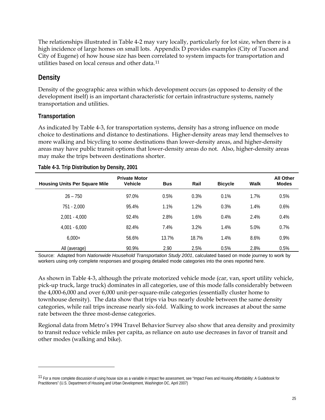<span id="page-34-0"></span>The relationships illustrated in Table 4-2 may vary locally, particularly for lot size, when there is a high incidence of large homes on small lots. Appendix D provides examples (City of Tucson and City of Eugene) of how house size has been correlated to system impacts for transportation and utilities based on local census and other data.[11](#page-34-0)

#### **Density**

Density of the geographic area within which development occurs (as opposed to density of the development itself) is an important characteristic for certain infrastructure systems, namely transportation and utilities.

#### **Transportation**

 $\overline{a}$ 

As indicated by Table 4-3, for transportation systems, density has a strong influence on mode choice to destinations and distance to destinations. Higher-density areas may lend themselves to more walking and bicycling to some destinations than lower-density areas, and higher-density areas may have public transit options that lower-density areas do not. Also, higher-density areas may make the trips between destinations shorter.

| <b>Housing Units Per Square Mile</b> | <b>Private Motor</b><br><b>Vehicle</b> | <b>Bus</b> | Rail  | <b>Bicycle</b> | Walk | <b>All Other</b><br><b>Modes</b> |
|--------------------------------------|----------------------------------------|------------|-------|----------------|------|----------------------------------|
| $26 - 750$                           | 97.0%                                  | 0.5%       | 0.3%  | 0.1%           | 1.7% | 0.5%                             |
| 751 - 2,000                          | 95.4%                                  | 1.1%       | 1.2%  | 0.3%           | 1.4% | 0.6%                             |
| $2.001 - 4.000$                      | 92.4%                                  | 2.8%       | 1.6%  | 0.4%           | 2.4% | 0.4%                             |
| $4.001 - 6.000$                      | 82.4%                                  | 7.4%       | 3.2%  | 1.4%           | 5.0% | 0.7%                             |
| $6,000+$                             | 56.6%                                  | 13.7%      | 18.7% | 1.4%           | 8.6% | 0.9%                             |
| All (average)                        | 90.9%                                  | 2.90       | 2.5%  | 0.5%           | 2.8% | 0.5%                             |

|  | Table 4-3. Trip Distribution by Density, 2001 |  |
|--|-----------------------------------------------|--|

Source: Adapted from *Nationwide Household Transportation Study 2001*, calculated based on mode journey to work by workers using only complete responses and grouping detailed mode categories into the ones reported here.

As shown in Table 4-3, although the private motorized vehicle mode (car, van, sport utility vehicle, pick-up truck, large truck) dominates in all categories, use of this mode falls considerably between the 4,000-6,000 and over 6,000 unit-per-square-mile categories (essentially cluster home to townhouse density). The data show that trips via bus nearly double between the same density categories, while rail trips increase nearly six-fold. Walking to work increases at about the same rate between the three most-dense categories.

Regional data from Metro's 1994 Travel Behavior Survey also show that area density and proximity to transit reduce vehicle miles per capita, as reliance on auto use decreases in favor of transit and other modes (walking and bike).

<sup>&</sup>lt;sup>11</sup> For a more complete discussion of using house size as a variable in impact fee assessment, see "Impact Fees and Housing Affordability: A Guidebook for Practitioners" (U.S. Department of Housing and Urban Development, Washington DC, April 2007)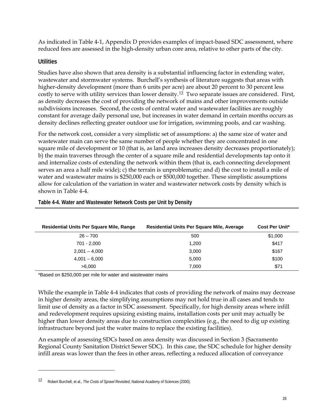<span id="page-35-0"></span>As indicated in Table 4-1, Appendix D provides examples of impact-based SDC assessment, where reduced fees are assessed in the high-density urban core area, relative to other parts of the city.

#### **Utilities**

 $\overline{a}$ 

Studies have also shown that area density is a substantial influencing factor in extending water, wastewater and stormwater systems. Burchell's synthesis of literature suggests that areas with higher-density development (more than 6 units per acre) are about 20 percent to 30 percent less costly to serve with utility services than lower density.[1](#page-35-0)2 Two separate issues are considered. First, as density decreases the cost of providing the network of mains and other improvements outside subdivisions increases. Second, the costs of central water and wastewater facilities are roughly constant for average daily personal use, but increases in water demand in certain months occurs as density declines reflecting greater outdoor use for irrigation, swimming pools, and car washing.

For the network cost, consider a very simplistic set of assumptions: a) the same size of water and wastewater main can serve the same number of people whether they are concentrated in one square mile of development or 10 (that is, as land area increases density decreases proportionately); b) the main traverses through the center of a square mile and residential developments tap onto it and internalize costs of extending the network within them (that is, each connecting development serves an area a half mile wide); c) the terrain is unproblematic; and d) the cost to install a mile of water and wastewater mains is \$250,000 each or \$500,000 together. These simplistic assumptions allow for calculation of the variation in water and wastewater network costs by density which is shown in Table 4-4.

| Residential Units Per Square Mile, Range | Residential Units Per Square Mile, Average | <b>Cost Per Unit*</b> |
|------------------------------------------|--------------------------------------------|-----------------------|
| $26 - 700$                               | 500                                        | \$1,000               |
| 701 - 2,000                              | 1,200                                      | \$417                 |
| $2,001 - 4,000$                          | 3,000                                      | \$167                 |
| $4,001 - 6,000$                          | 5,000                                      | \$100                 |
| >6.000                                   | 7.000                                      | \$71                  |

**Table 4-4. Water and Wastewater Network Costs per Unit by Density** 

\*Based on \$250,000 per mile for water and wastewater mains

While the example in Table 4-4 indicates that costs of providing the network of mains may decrease in higher density areas, the simplifying assumptions may not hold true in all cases and tends to limit use of density as a factor in SDC assessment. Specifically, for high density areas where infill and redevelopment requires upsizing existing mains, installation costs per unit may actually be higher than lower density areas due to construction complexities (e.g., the need to dig up existing infrastructure beyond just the water mains to replace the existing facilities).

An example of assessing SDCs based on area density was discussed in Section 3 (Sacramento Regional County Sanitation District Sewer SDC). In this case, the SDC schedule for higher density infill areas was lower than the fees in other areas, reflecting a reduced allocation of conveyance

<sup>12</sup> Robert Burchell, et al., *The Costs of Sprawl Revisited*, National Academy of Sciences (2000).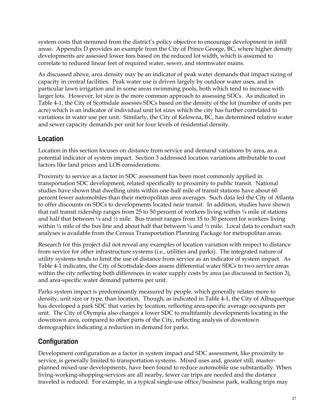system costs that stemmed from the district's policy objective to encourage development in infill areas. Appendix D provides an example from the City of Prince George, BC, where higher density developments are assessed lower fees based on the reduced lot width, which is assumed to correlate to reduced linear feet of required water, sewer, and stormwater mains.

As discussed above, area density may be an indicator of peak water demands that impact sizing of capacity in central facilities. Peak water use is driven largely by outdoor water uses, and in particular lawn irrigation and in some areas swimming pools, both which tend to increase with larger lots. However, lot size is the more common approach to assessing SDCs. As indicated in Table 4-1, the City of Scottsdale assesses SDCs based on the density of the lot (number of units per acre) which is an indicator of individual unit lot sizes which the city has further correlated to variations in water use per unit. Similarly, the City of Kelowna, BC, has determined relative water and sewer capacity demands per unit for four levels of residential density.

### **Location**

Location in this section focuses on distance from service and demand variations by area, as a potential indicator of system impact. Section 3 addressed location variations attributable to cost factors like land prices and LOS considerations.

Proximity to service as a factor in SDC assessment has been most commonly applied in transportation SDC development, related specifically to proximity to public transit. National studies have shown that dwelling units within one-half mile of transit stations have about 60 percent fewer automobiles than their metropolitan area averages. Such data led the City of Atlanta to offer discounts on SDCs to developments located near transit. In addition, studies have shown that rail transit ridership ranges from 25 to 50 percent of workers living within  $\frac{1}{4}$  mile of stations and half that between  $\frac{1}{4}$  and  $\frac{1}{2}$  mile. Bus transit ranges from 15 to 30 percent for workers living within  $\frac{1}{4}$  mile of the bus line and about half that between  $\frac{1}{4}$  and  $\frac{1}{2}$  mile. Local data to conduct such analyses is available from the Census Transportation Planning Package for metropolitan areas.

Research for this project did not reveal any examples of location variation with respect to distance from service for other infrastructure systems (i.e., utilities and parks). The integrated nature of utility systems tends to limit the use of distance from service as an indicator of system impact. As Table 4-1 indicates, the City of Scottsdale does assess differential water SDCs to two service areas within the city reflecting both differences in water supply costs by area (as discussed in Section 3), and area-specific water demand patterns per unit.

Parks system impact is predominantly measured by people, which generally relates more to density, unit size or type, than location. Though, as indicated in Table 4-1, the City of Albuquerque has developed a park SDC that varies by location, reflecting area-specific average occupants per unit. The City of Olympia also charges a lower SDC to multifamily developments locating in the downtown area, compared to other parts of the City, reflecting analysis of downtown demographics indicating a reduction in demand for parks.

## **Configuration**

Development configuration as a factor in system impact and SDC assessment, like proximity to service, is generally limited to transportation systems. Mixed uses and, greater still, masterplanned mixed-use developments, have been found to reduce automobile use substantially. When living-working-shopping-services are all nearby, fewer car trips are needed and the distance traveled is reduced. For example, in a typical single-use office/business park, walking trips may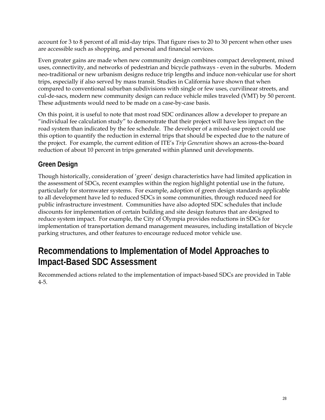account for 3 to 8 percent of all mid-day trips. That figure rises to 20 to 30 percent when other uses are accessible such as shopping, and personal and financial services.

Even greater gains are made when new community design combines compact development, mixed uses, connectivity, and networks of pedestrian and bicycle pathways - even in the suburbs. Modern neo-traditional or new urbanism designs reduce trip lengths and induce non-vehicular use for short trips, especially if also served by mass transit. Studies in California have shown that when compared to conventional suburban subdivisions with single or few uses, curvilinear streets, and cul-de-sacs, modern new community design can reduce vehicle miles traveled (VMT) by 50 percent. These adjustments would need to be made on a case-by-case basis.

On this point, it is useful to note that most road SDC ordinances allow a developer to prepare an "individual fee calculation study" to demonstrate that their project will have less impact on the road system than indicated by the fee schedule. The developer of a mixed-use project could use this option to quantify the reduction in external trips that should be expected due to the nature of the project. For example, the current edition of ITE's *Trip Generation* shows an across-the-board reduction of about 10 percent in trips generated within planned unit developments.

## **Green Design**

Though historically, consideration of 'green' design characteristics have had limited application in the assessment of SDCs, recent examples within the region highlight potential use in the future, particularly for stormwater systems. For example, adoption of green design standards applicable to all development have led to reduced SDCs in some communities, through reduced need for public infrastructure investment. Communities have also adopted SDC schedules that include discounts for implementation of certain building and site design features that are designed to reduce system impact. For example, the City of Olympia provides reductions in SDCs for implementation of transportation demand management measures, including installation of bicycle parking structures, and other features to encourage reduced motor vehicle use.

# **Recommendations to Implementation of Model Approaches to Impact-Based SDC Assessment**

Recommended actions related to the implementation of impact-based SDCs are provided in Table 4-5.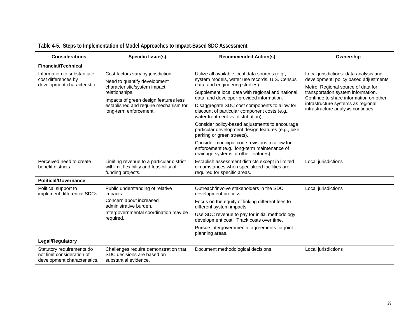| <b>Considerations</b>                                                                   | <b>Specific Issue(s)</b>                                                                                                   | <b>Recommended Action(s)</b>                                                                                                          | Ownership                                                                                                             |  |
|-----------------------------------------------------------------------------------------|----------------------------------------------------------------------------------------------------------------------------|---------------------------------------------------------------------------------------------------------------------------------------|-----------------------------------------------------------------------------------------------------------------------|--|
| <b>Financial/Technical</b>                                                              |                                                                                                                            |                                                                                                                                       |                                                                                                                       |  |
| Information to substantiate<br>cost differences by<br>development characteristic.       | Cost factors vary by jurisdiction.<br>Need to quantify development<br>characteristic/system impact                         | Utilize all available local data sources (e.g.,<br>system models, water use records, U.S. Census<br>data, and engineering studies).   | Local jurisdictions: data analysis and<br>development; policy based adjustments<br>Metro: Regional source of data for |  |
|                                                                                         | relationships.<br>Impacts of green design features less<br>established and require mechanism for<br>long-term enforcement. | Supplement local data with regional and national<br>data, and developer-provided information.                                         | transportation system information.<br>Continue to share information on other                                          |  |
|                                                                                         |                                                                                                                            | Disaggregate SDC cost components to allow for<br>discount of particular component costs (e.g.,<br>water treatment vs. distribution).  | infrastructure systems as regional<br>infrastructure analysis continues.                                              |  |
|                                                                                         |                                                                                                                            | Consider policy-based adjustments to encourage<br>particular development design features (e.g., bike<br>parking or green streets).    |                                                                                                                       |  |
|                                                                                         |                                                                                                                            | Consider municipal code revisions to allow for<br>enforcement (e.g., long-term maintenance of<br>drainage systems or other features). |                                                                                                                       |  |
| Perceived need to create<br>benefit districts.                                          | Limiting revenue to a particular district<br>will limit flexibility and feasibility of<br>funding projects.                | Establish assessment districts except in limited<br>circumstances when specialized facilities are<br>required for specific areas.     | Local jurisdictions                                                                                                   |  |
| <b>Political/Governance</b>                                                             |                                                                                                                            |                                                                                                                                       |                                                                                                                       |  |
| Political support to<br>implement differential SDCs.                                    | Public understanding of relative<br>impacts.                                                                               | Outreach/involve stakeholders in the SDC<br>development process.                                                                      | Local jurisdictions                                                                                                   |  |
|                                                                                         | Concern about increased<br>administrative burden.                                                                          | Focus on the equity of linking different fees to<br>different system impacts.                                                         |                                                                                                                       |  |
|                                                                                         | Intergovernmental coordination may be<br>required.                                                                         | Use SDC revenue to pay for initial methodology<br>development cost. Track costs over time.                                            |                                                                                                                       |  |
|                                                                                         |                                                                                                                            | Pursue intergovernmental agreements for joint<br>planning areas.                                                                      |                                                                                                                       |  |
| <b>Legal/Regulatory</b>                                                                 |                                                                                                                            |                                                                                                                                       |                                                                                                                       |  |
| Statutory requirements do<br>not limit consideration of<br>development characteristics. | Challenges require demonstration that<br>SDC decisions are based on<br>substantial evidence.                               | Document methodological decisions.                                                                                                    | Local jurisdictions                                                                                                   |  |

## **Table 4-5. Steps to Implementation of Model Approaches to Impact-Based SDC Assessment**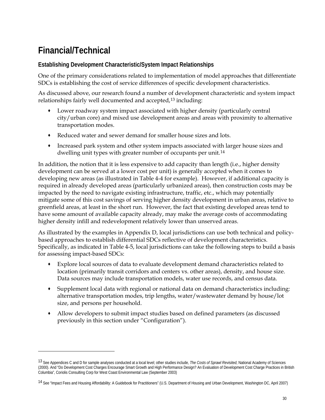# <span id="page-39-0"></span>**Financial/Technical**

-

### **Establishing Development Characteristic/System Impact Relationships**

One of the primary considerations related to implementation of model approaches that differentiate SDCs is establishing the cost of service differences of specific development characteristics.

As discussed above, our research found a number of development characteristic and system impact relationships fairly well documented and accepted,<sup>[13](#page-39-0)</sup> including:

- Lower roadway system impact associated with higher density (particularly central city/urban core) and mixed use development areas and areas with proximity to alternative transportation modes.
- Reduced water and sewer demand for smaller house sizes and lots.
- Increased park system and other system impacts associated with larger house sizes and dwelling unit types with greater number of occupants per unit.<sup>[14](#page-39-0)</sup>

In addition, the notion that it is less expensive to add capacity than length (i.e., higher density development can be served at a lower cost per unit) is generally accepted when it comes to developing new areas (as illustrated in Table 4-4 for example). However, if additional capacity is required in already developed areas (particularly urbanized areas), then construction costs may be impacted by the need to navigate existing infrastructure, traffic, etc., which may potentially mitigate some of this cost savings of serving higher density development in urban areas, relative to greenfield areas, at least in the short run. However, the fact that existing developed areas tend to have some amount of available capacity already, may make the average costs of accommodating higher density infill and redevelopment relatively lower than unserved areas.

As illustrated by the examples in Appendix D, local jurisdictions can use both technical and policybased approaches to establish differential SDCs reflective of development characteristics. Specifically, as indicated in Table 4-5, local jurisdictions can take the following steps to build a basis for assessing impact-based SDCs:

- Explore local sources of data to evaluate development demand characteristics related to location (primarily transit corridors and centers vs. other areas), density, and house size. Data sources may include transportation models, water use records, and census data.
- Supplement local data with regional or national data on demand characteristics including: alternative transportation modes, trip lengths, water/wastewater demand by house/lot size, and persons per household.
- Allow developers to submit impact studies based on defined parameters (as discussed previously in this section under "Configuration").

<sup>13</sup> See Appendices C and D for sample analyses conducted at a local level; other studies include, *The Costs of Sprawl Revisited*, National Academy of Sciences (2000). And "Do Development Cost Charges Encourage Smart Growth and High Performance Design? An Evaluation of Development Cost Charge Practices in British Columbia", Coriolis Consulting Corp for West Coast Environmental Law (September 2003)

<sup>14</sup> See "Impact Fees and Housing Affordability: A Guidebook for Practitioners" (U.S. Department of Housing and Urban Development, Washington DC, April 2007)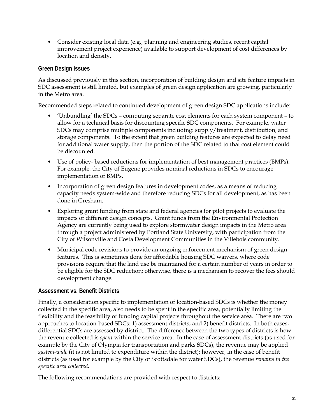Consider existing local data (e.g., planning and engineering studies, recent capital improvement project experience) available to support development of cost differences by location and density.

### **Green Design Issues**

As discussed previously in this section, incorporation of building design and site feature impacts in SDC assessment is still limited, but examples of green design application are growing, particularly in the Metro area.

Recommended steps related to continued development of green design SDC applications include:

- 'Unbundling' the SDCs computing separate cost elements for each system component to allow for a technical basis for discounting specific SDC components. For example, water SDCs may comprise multiple components including: supply/treatment, distribution, and storage components. To the extent that green building features are expected to delay need for additional water supply, then the portion of the SDC related to that cost element could be discounted.
- Use of policy- based reductions for implementation of best management practices (BMPs). For example, the City of Eugene provides nominal reductions in SDCs to encourage implementation of BMPs.
- Incorporation of green design features in development codes, as a means of reducing capacity needs system-wide and therefore reducing SDCs for all development, as has been done in Gresham.
- Exploring grant funding from state and federal agencies for pilot projects to evaluate the impacts of different design concepts. Grant funds from the Environmental Protection Agency are currently being used to explore stormwater design impacts in the Metro area through a project administered by Portland State University, with participation from the City of Wilsonville and Costa Development Communities in the Villebois community.
- Municipal code revisions to provide an ongoing enforcement mechanism of green design features. This is sometimes done for affordable housing SDC waivers, where code provisions require that the land use be maintained for a certain number of years in order to be eligible for the SDC reduction; otherwise, there is a mechanism to recover the fees should development change.

### **Assessment vs. Benefit Districts**

Finally, a consideration specific to implementation of location-based SDCs is whether the money collected in the specific area, also needs to be spent in the specific area, potentially limiting the flexibility and the feasibility of funding capital projects throughout the service area. There are two approaches to location-based SDCs: 1) assessment districts, and 2) benefit districts. In both cases, differential SDCs are assessed by district. The difference between the two types of districts is how the revenue collected is *spent* within the service area. In the case of assessment districts (as used for example by the City of Olympia for transportation and parks SDCs), the revenue may be applied *system-wide* (it is not limited to expenditure within the district); however, in the case of benefit districts (as used for example by the City of Scottsdale for water SDCs), the revenue *remains in the specific area collected*.

The following recommendations are provided with respect to districts: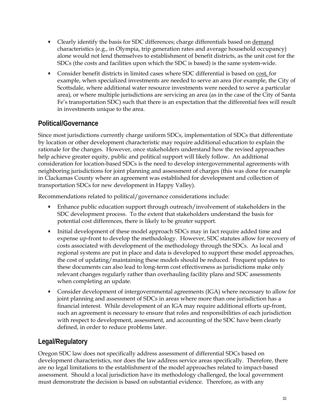- Clearly identify the basis for SDC differences; charge differentials based on demand characteristics (e.g., in Olympia, trip generation rates and average household occupancy) alone would not lend themselves to establishment of benefit districts, as the unit cost for the SDCs (the costs and facilities upon which the SDC is based) is the same system-wide.
- Consider benefit districts in limited cases where SDC differential is based on cost, for example, when specialized investments are needed to serve an area (for example, the City of Scottsdale, where additional water resource investments were needed to serve a particular area), or where multiple jurisdictions are servicing an area (as in the case of the City of Santa Fe's transportation SDC) such that there is an expectation that the differential fees will result in investments unique to the area.

### **Political/Governance**

Since most jurisdictions currently charge uniform SDCs, implementation of SDCs that differentiate by location or other development characteristic may require additional education to explain the rationale for the changes. However, once stakeholders understand how the revised approaches help achieve greater equity, public and political support will likely follow. An additional consideration for location-based SDCs is the need to develop intergovernmental agreements with neighboring jurisdictions for joint planning and assessment of charges (this was done for example in Clackamas County where an agreement was established for development and collection of transportation SDCs for new development in Happy Valley).

Recommendations related to political/governance considerations include:

- Enhance public education support through outreach/involvement of stakeholders in the SDC development process. To the extent that stakeholders understand the basis for potential cost differences, there is likely to be greater support.
- Initial development of these model approach SDCs may in fact require added time and expense up-front to develop the methodology. However, SDC statutes allow for recovery of costs associated with development of the methodology through the SDCs. As local and regional systems are put in place and data is developed to support these model approaches, the cost of updating/maintaining these models should be reduced. Frequent updates to these documents can also lead to long-term cost effectiveness as jurisdictions make only relevant changes regularly rather than overhauling facility plans and SDC assessments when completing an update.
- Consider development of intergovernmental agreements (IGA) where necessary to allow for joint planning and assessment of SDCs in areas where more than one jurisdiction has a financial interest. While development of an IGA may require additional efforts up-front, such an agreement is necessary to ensure that roles and responsibilities of each jurisdiction with respect to development, assessment, and accounting of the SDC have been clearly defined, in order to reduce problems later.

## **Legal/Regulatory**

Oregon SDC law does not specifically address assessment of differential SDCs based on development characteristics, nor does the law address service areas specifically. Therefore, there are no legal limitations to the establishment of the model approaches related to impact-based assessment. Should a local jurisdiction have its methodology challenged, the local government must demonstrate the decision is based on substantial evidence. Therefore, as with any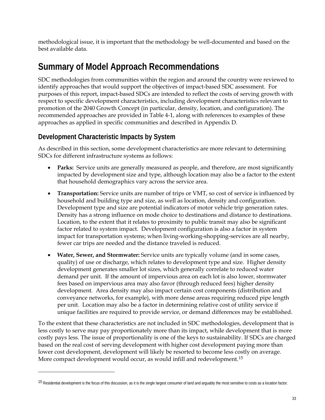<span id="page-42-0"></span>methodological issue, it is important that the methodology be well-documented and based on the best available data.

# **Summary of Model Approach Recommendations**

SDC methodologies from communities within the region and around the country were reviewed to identify approaches that would support the objectives of impact-based SDC assessment. For purposes of this report, impact-based SDCs are intended to reflect the costs of serving growth with respect to specific development characteristics, including development characteristics relevant to promotion of the 2040 Growth Concept (in particular, density, location, and configuration). The recommended approaches are provided in Table 4-1, along with references to examples of these approaches as applied in specific communities and described in Appendix D.

## **Development Characteristic Impacts by System**

 $\overline{a}$ 

As described in this section, some development characteristics are more relevant to determining SDCs for different infrastructure systems as follows:

- **Parks:** Service units are generally measured as people, and therefore, are most significantly impacted by development size and type, although location may also be a factor to the extent that household demographics vary across the service area.
- **Transportation:** Service units are number of trips or VMT, so cost of service is influenced by household and building type and size, as well as location, density and configuration. Development type and size are potential indicators of motor vehicle trip generation rates. Density has a strong influence on mode choice to destinations and distance to destinations. Location, to the extent that it relates to proximity to public transit may also be significant factor related to system impact. Development configuration is also a factor in system impact for transportation systems; when living-working-shopping-services are all nearby, fewer car trips are needed and the distance traveled is reduced.
- **Water, Sewer, and Stormwater:** Service units are typically volume (and in some cases, quality) of use or discharge, which relates to development type and size. Higher density development generates smaller lot sizes, which generally correlate to reduced water demand per unit. If the amount of impervious area on each lot is also lower, stormwater fees based on impervious area may also favor (through reduced fees) higher density development. Area density may also impact certain cost components (distribution and conveyance networks, for example), with more dense areas requiring reduced pipe length per unit. Location may also be a factor in determining relative cost of utility service if unique facilities are required to provide service, or demand differences may be established.

To the extent that these characteristics are not included in SDC methodologies, development that is less costly to serve may pay proportionately more than its impact, while development that is more costly pays less. The issue of proportionality is one of the keys to sustainability. If SDCs are charged based on the real cost of serving development with higher cost development paying more than lower cost development, development will likely be resorted to become less costly on average. More compact development would occur, as would infill and redevelopment.[15](#page-42-0)

<sup>&</sup>lt;sup>15</sup> Residential development is the focus of this discussion, as it is the single largest consumer of land and arguably the most sensitive to costs as a location factor.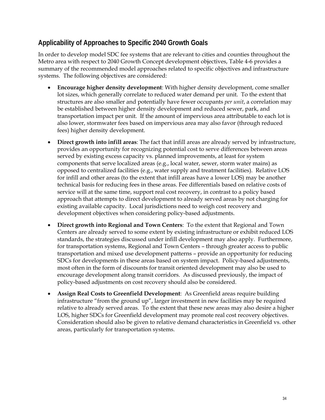## **Applicability of Approaches to Specific 2040 Growth Goals**

In order to develop model SDC fee systems that are relevant to cities and counties throughout the Metro area with respect to 2040 Growth Concept development objectives, Table 4-6 provides a summary of the recommended model approaches related to specific objectives and infrastructure systems. The following objectives are considered:

- **Encourage higher density development**: With higher density development, come smaller lot sizes, which generally correlate to reduced water demand per unit. To the extent that structures are also smaller and potentially have fewer occupants *per unit*, a correlation may be established between higher density development and reduced sewer, park, and transportation impact per unit. If the amount of impervious area attributable to each lot is also lower, stormwater fees based on impervious area may also favor (through reduced fees) higher density development.
- **Direct growth into infill areas**: The fact that infill areas are already served by infrastructure, provides an opportunity for recognizing potential cost to serve differences between areas served by existing excess capacity vs. planned improvements, at least for system components that serve localized areas (e.g., local water, sewer, storm water mains) as opposed to centralized facilities (e.g., water supply and treatment facilities). Relative LOS for infill and other areas (to the extent that infill areas have a lower LOS) may be another technical basis for reducing fees in these areas. Fee differentials based on relative costs of service will at the same time, support real cost recovery, in contrast to a policy based approach that attempts to direct development to already served areas by not charging for existing available capacity. Local jurisdictions need to weigh cost recovery and development objectives when considering policy-based adjustments.
- **Direct growth into Regional and Town Centers**: To the extent that Regional and Town Centers are already served to some extent by existing infrastructure or exhibit reduced LOS standards, the strategies discussed under infill development may also apply. Furthermore, for transportation systems, Regional and Town Centers – through greater access to public transportation and mixed use development patterns – provide an opportunity for reducing SDCs for developments in these areas based on system impact. Policy-based adjustments, most often in the form of discounts for transit oriented development may also be used to encourage development along transit corridors. As discussed previously, the impact of policy-based adjustments on cost recovery should also be considered.
- **Assign Real Costs to Greenfield Development**: As Greenfield areas require building infrastructure "from the ground up", larger investment in new facilities may be required relative to already served areas. To the extent that these new areas may also desire a higher LOS, higher SDCs for Greenfield development may promote real cost recovery objectives. Consideration should also be given to relative demand characteristics in Greenfield vs. other areas, particularly for transportation systems.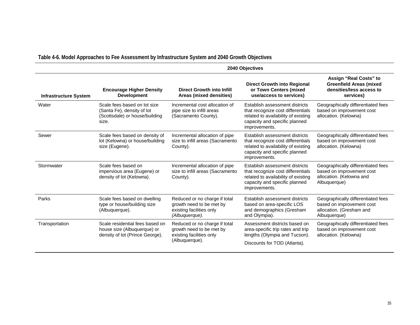|                              | 2040 Objectives                                                                                       |                                                                                                         |                                                                                                                                                              |                                                                                                             |  |  |
|------------------------------|-------------------------------------------------------------------------------------------------------|---------------------------------------------------------------------------------------------------------|--------------------------------------------------------------------------------------------------------------------------------------------------------------|-------------------------------------------------------------------------------------------------------------|--|--|
| <b>Infrastructure System</b> | <b>Encourage Higher Density</b><br><b>Development</b>                                                 | <b>Direct Growth into Infill</b><br>Areas (mixed densities)                                             | <b>Direct Growth into Regional</b><br>or Town Centers (mixed<br>use/access to services)                                                                      | Assign "Real Costs" to<br><b>Greenfield Areas (mixed</b><br>densities/less access to<br>services)           |  |  |
| Water                        | Scale fees based on lot size<br>(Santa Fe), density of lot<br>(Scottsdale) or house/building<br>size. | Incremental cost allocation of<br>pipe size to infill areas<br>(Sacramento County).                     | Establish assessment districts<br>that recognize cost differentials<br>related to availability of existing<br>capacity and specific planned<br>improvements. | Geographically differentiated fees<br>based on improvement cost<br>allocation. (Kelowna)                    |  |  |
| Sewer                        | Scale fees based on density of<br>lot (Kelowna) or house/building<br>size (Eugene).                   | Incremental allocation of pipe<br>size to infill areas (Sacramento<br>County).                          | Establish assessment districts<br>that recognize cost differentials<br>related to availability of existing<br>capacity and specific planned<br>improvements. | Geographically differentiated fees<br>based on improvement cost<br>allocation. (Kelowna)                    |  |  |
| Stormwater                   | Scale fees based on<br>impervious area (Eugene) or<br>density of lot (Kelowna).                       | Incremental allocation of pipe<br>size to infill areas (Sacramento<br>County).                          | Establish assessment districts<br>that recognize cost differentials<br>related to availability of existing<br>capacity and specific planned<br>improvements. | Geographically differentiated fees<br>based on improvement cost<br>allocation. (Kelowna and<br>Albuquerque) |  |  |
| Parks                        | Scale fees based on dwelling<br>type or house/building size<br>(Albuquerque).                         | Reduced or no charge if total<br>growth need to be met by<br>existing facilities only<br>(Albuquerque). | Establish assessment districts<br>based on area-specific LOS<br>and demographics (Gresham<br>and Olympia).                                                   | Geographically differentiated fees<br>based on improvement cost<br>allocation. (Gresham and<br>Albuquerque) |  |  |
| Transportation               | Scale residential fees based on<br>house size (Albuquerque) or<br>density of lot (Prince George).     | Reduced or no charge if total<br>growth need to be met by<br>existing facilities only<br>(Albuquerque). | Assessment districts based on<br>area-specific trip rates and trip<br>lengths (Olympia and Tucson).<br>Discounts for TOD (Atlanta).                          | Geographically differentiated fees<br>based on improvement cost<br>allocation. (Kelowna)                    |  |  |

## **Table 4-6. Model Approaches to Fee Assessment by Infrastructure System and 2040 Growth Objectives**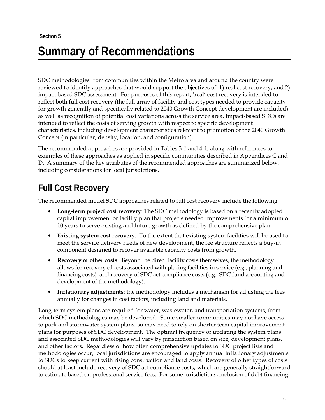# **Section 5 Summary of Recommendations**

SDC methodologies from communities within the Metro area and around the country were reviewed to identify approaches that would support the objectives of: 1) real cost recovery, and 2) impact-based SDC assessment. For purposes of this report, 'real' cost recovery is intended to reflect both full cost recovery (the full array of facility and cost types needed to provide capacity for growth generally and specifically related to 2040 Growth Concept development are included), as well as recognition of potential cost variations across the service area. Impact-based SDCs are intended to reflect the costs of serving growth with respect to specific development characteristics, including development characteristics relevant to promotion of the 2040 Growth Concept (in particular, density, location, and configuration).

The recommended approaches are provided in Tables 3-1 and 4-1, along with references to examples of these approaches as applied in specific communities described in Appendices C and D. A summary of the key attributes of the recommended approaches are summarized below, including considerations for local jurisdictions.

# **Full Cost Recovery**

The recommended model SDC approaches related to full cost recovery include the following:

- **Long-term project cost recovery**: The SDC methodology is based on a recently adopted capital improvement or facility plan that projects needed improvements for a minimum of 10 years to serve existing and future growth as defined by the comprehensive plan.
- **Existing system cost recovery**: To the extent that existing system facilities will be used to meet the service delivery needs of new development, the fee structure reflects a buy-in component designed to recover available capacity costs from growth.
- **Recovery of other costs**: Beyond the direct facility costs themselves, the methodology allows for recovery of costs associated with placing facilities in service (e.g., planning and financing costs), and recovery of SDC act compliance costs (e.g., SDC fund accounting and development of the methodology).
- **Inflationary adjustments**: the methodology includes a mechanism for adjusting the fees annually for changes in cost factors, including land and materials.

Long-term system plans are required for water, wastewater, and transportation systems, from which SDC methodologies may be developed. Some smaller communities may not have access to park and stormwater system plans, so may need to rely on shorter term capital improvement plans for purposes of SDC development. The optimal frequency of updating the system plans and associated SDC methodologies will vary by jurisdiction based on size, development plans, and other factors. Regardless of how often comprehensive updates to SDC project lists and methodologies occur, local jurisdictions are encouraged to apply annual inflationary adjustments to SDCs to keep current with rising construction and land costs. Recovery of other types of costs should at least include recovery of SDC act compliance costs, which are generally straightforward to estimate based on professional service fees. For some jurisdictions, inclusion of debt financing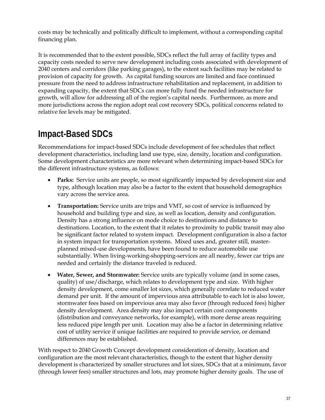costs may be technically and politically difficult to implement, without a corresponding capital financing plan.

It is recommended that to the extent possible, SDCs reflect the full array of facility types and capacity costs needed to serve new development including costs associated with development of 2040 centers and corridors (like parking garages), to the extent such facilities may be related to provision of capacity for growth. As capital funding sources are limited and face continued pressure from the need to address infrastructure rehabilitation and replacement, in addition to expanding capacity, the extent that SDCs can more fully fund the needed infrastructure for growth, will allow for addressing all of the region's capital needs. Furthermore, as more and more jurisdictions across the region adopt real cost recovery SDCs, political concerns related to relative fee levels may be mitigated.

# **Impact-Based SDCs**

Recommendations for impact-based SDCs include development of fee schedules that reflect development characteristics, including land use type, size, density, location and configuration. Some development characteristics are more relevant when determining impact-based SDCs for the different infrastructure systems, as follows:

- **Parks:** Service units are people, so most significantly impacted by development size and type, although location may also be a factor to the extent that household demographics vary across the service area.
- **Transportation:** Service units are trips and VMT, so cost of service is influenced by household and building type and size, as well as location, density and configuration. Density has a strong influence on mode choice to destinations and distance to destinations. Location, to the extent that it relates to proximity to public transit may also be significant factor related to system impact. Development configuration is also a factor in system impact for transportation systems. Mixed uses and, greater still, masterplanned mixed-use developments, have been found to reduce automobile use substantially. When living-working-shopping-services are all nearby, fewer car trips are needed and certainly the distance traveled is reduced.
- **Water, Sewer, and Stormwater:** Service units are typically volume (and in some cases, quality) of use/discharge, which relates to development type and size. With higher density development, come smaller lot sizes, which generally correlate to reduced water demand per unit. If the amount of impervious area attributable to each lot is also lower, stormwater fees based on impervious area may also favor (through reduced fees) higher density development. Area density may also impact certain cost components (distribution and conveyance networks, for example), with more dense areas requiring less reduced pipe length per unit. Location may also be a factor in determining relative cost of utility service if unique facilities are required to provide service, or demand differences may be established.

With respect to 2040 Growth Concept development consideration of density, location and configuration are the most relevant characteristics, though to the extent that higher density development is characterized by smaller structures and lot sizes, SDCs that at a minimum, favor (through lower fees) smaller structures and lots, may promote higher density goals. The use of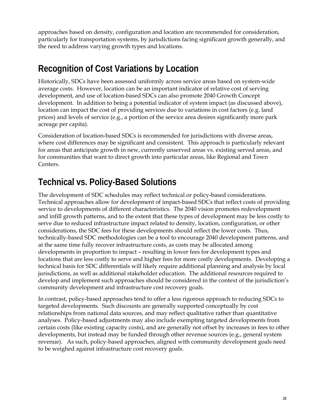approaches based on density, configuration and location are recommended for consideration, particularly for transportation systems, by jurisdictions facing significant growth generally, and the need to address varying growth types and locations.

# **Recognition of Cost Variations by Location**

Historically, SDCs have been assessed uniformly across service areas based on system-wide average costs. However, location can be an important indicator of relative cost of serving development, and use of location-based SDCs can also promote 2040 Growth Concept development. In addition to being a potential indicator of system impact (as discussed above), location can impact the cost of providing services due to variations in cost factors (e.g. land prices) and levels of service (e.g., a portion of the service area desires significantly more park acreage per capita).

Consideration of location-based SDCs is recommended for jurisdictions with diverse areas, where cost differences may be significant and consistent. This approach is particularly relevant for areas that anticipate growth in new, currently unserved areas vs. existing served areas, and for communities that want to direct growth into particular areas, like Regional and Town Centers.

# **Technical vs. Policy-Based Solutions**

The development of SDC schedules may reflect technical or policy-based considerations. Technical approaches allow for development of impact-based SDCs that reflect costs of providing service to developments of different characteristics. The 2040 vision promotes redevelopment and infill growth patterns, and to the extent that these types of development may be less costly to serve due to reduced infrastructure impact related to density, location, configuration, or other considerations, the SDC fees for these developments should reflect the lower costs. Thus, technically-based SDC methodologies can be a tool to encourage 2040 development patterns, and at the same time fully recover infrastructure costs, as costs may be allocated among developments in proportion to impact – resulting in lower fees for development types and locations that are less costly to serve and higher fees for more costly developments. Developing a technical basis for SDC differentials will likely require additional planning and analysis by local jurisdictions, as well as additional stakeholder education. The additional resources required to develop and implement such approaches should be considered in the context of the jurisdiction's community development and infrastructure cost recovery goals.

In contrast, policy-based approaches tend to offer a less rigorous approach to reducing SDCs to targeted developments. Such discounts are generally supported conceptually by cost relationships from national data sources, and may reflect qualitative rather than quantitative analyses. Policy-based adjustments may also include exempting targeted developments from certain costs (like existing capacity costs), and are generally not offset by increases in fees to other developments, but instead may be funded through other revenue sources (e.g., general system revenue). As such, policy-based approaches, aligned with community development goals need to be weighed against infrastructure cost recovery goals.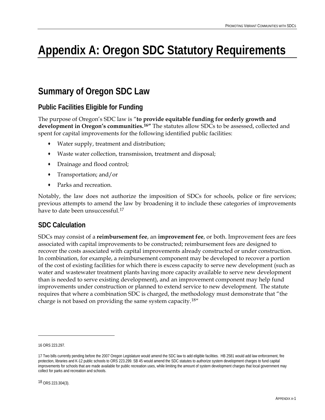# <span id="page-48-0"></span>**Appendix A: Oregon SDC Statutory Requirements**

## **Summary of Oregon SDC Law**

## **Public Facilities Eligible for Funding**

The purpose of Oregon's SDC law is "**to provide equitable funding for orderly growth and development in Oregon's communities.[1](#page-48-0)6"** The statutes allow SDCs to be assessed, collected and spent for capital improvements for the following identified public facilities:

- Water supply, treatment and distribution;
- Waste water collection, transmission, treatment and disposal;
- Drainage and flood control;
- Transportation; and/or
- Parks and recreation.

Notably, the law does not authorize the imposition of SDCs for schools, police or fire services; previous attempts to amend the law by broadening it to include these categories of improvements have to date been unsuccessful.<sup>[17](#page-48-0)</sup>

### **SDC Calculation**

SDCs may consist of a **reimbursement fee**, an **improvement fee**, or both. Improvement fees are fees associated with capital improvements to be constructed; reimbursement fees are designed to recover the costs associated with capital improvements already constructed or under construction. In combination, for example, a reimbursement component may be developed to recover a portion of the cost of existing facilities for which there is excess capacity to serve new development (such as water and wastewater treatment plants having more capacity available to serve new development than is needed to serve existing development), and an improvement component may help fund improvements under construction or planned to extend service to new development. The statute requires that where a combination SDC is charged, the methodology must demonstrate that "the charge is not based on providing the same system capacity.[18](#page-48-0)"

-

<sup>16</sup> ORS 223.297.

<sup>17</sup> Two bills currently pending before the 2007 Oregon Legislature would amend the SDC law to add eligible facilities. HB 2581 would add law enforcement, fire protection, libraries and K-12 public schools to ORS 223.299. SB 45 would amend the SDC statutes to authorize system development charges to fund capital improvements for schools that are made available for public recreation uses, while limiting the amount of system development charges that local government may collect for parks and recreation and schools.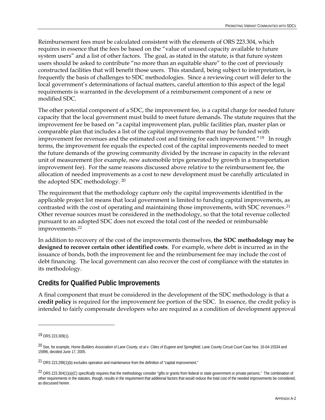<span id="page-49-0"></span>Reimbursement fees must be calculated consistent with the elements of ORS 223.304, which requires in essence that the fees be based on the "value of unused capacity available to future system users" and a list of other factors. The goal, as stated in the statute, is that future system users should be asked to contribute "no more than an equitable share" to the cost of previously constructed facilities that will benefit those users. This standard, being subject to interpretation, is frequently the basis of challenges to SDC methodologies. Since a reviewing court will defer to the local government's determinations of factual matters, careful attention to this aspect of the legal requirements is warranted in the development of a reimbursement component of a new or modified SDC.

The other potential component of a SDC, the improvement fee, is a capital charge for needed future capacity that the local government must build to meet future demands. The statute requires that the improvement fee be based on "a capital improvement plan, public facilities plan, master plan or comparable plan that includes a list of the capital improvements that may be funded with improvement fee revenues and the estimated cost and timing for each improvement.<sup>"[19](#page-49-0)</sup> In rough terms, the improvement fee equals the expected cost of the capital improvements needed to meet the future demands of the growing community divided by the increase in capacity in the relevant unit of measurement (for example, new automobile trips generated by growth in a transportation improvement fee). For the same reasons discussed above relative to the reimbursement fee, the allocation of needed improvements as a cost to new development must be carefully articulated in the adopted SDC methodology. [20](#page-49-0)

The requirement that the methodology capture only the capital improvements identified in the applicable project list means that local government is limited to funding capital improvements, as contrasted with the cost of operating and maintaining those improvements, with SDC revenues.<sup>[2](#page-49-0)1</sup> Other revenue sources must be considered in the methodology, so that the total revenue collected pursuant to an adopted SDC does not exceed the total cost of the needed or reimbursable improvements.[2](#page-49-0)2

In addition to recovery of the cost of the improvements themselves, **the SDC methodology may be designed to recover certain other identified costs**. For example, where debt is incurred as in the issuance of bonds, both the improvement fee and the reimbursement fee may include the cost of debt financing. The local government can also recover the cost of compliance with the statutes in its methodology.

### **Credits for Qualified Public Improvements**

A final component that must be considered in the development of the SDC methodology is that a **credit policy** is required for the improvement fee portion of the SDC. In essence, the credit policy is intended to fairly compensate developers who are required as a condition of development approval

 $\overline{a}$ 

<sup>19</sup> ORS 223.309(1).

<sup>20</sup> See, for example, *Home Builders Association of Lane County, et al v. Cities of Eugene and Springfield*, Lane County Circuit Court Case Nos. 16-04-15534 and 15996, decided June 17, 2005.

<sup>21</sup> ORS 223.299(1)(b) excludes operation and maintenance from the definition of "capital improvement."

<sup>&</sup>lt;sup>22</sup> ORS 223.304(1)(a)(C) *specifically* requires that the methodology consider "gifts or grants from federal or state government or private persons." The combination of other requirements in the statutes, though, results in the requirement that additional factors that would reduce the total cost of the needed improvements be considered, as discussed herein.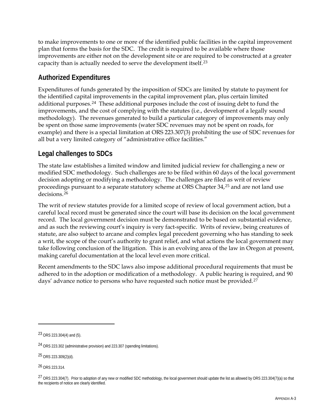<span id="page-50-0"></span>to make improvements to one or more of the identified public facilities in the capital improvement plan that forms the basis for the SDC. The credit is required to be available where those improvements are either not on the development site or are required to be constructed at a greater capacity than is actually needed to serve the development itself.[2](#page-50-0)3

### **Authorized Expenditures**

Expenditures of funds generated by the imposition of SDCs are limited by statute to payment for the identified capital improvements in the capital improvement plan, plus certain limited additional purposes.[24](#page-50-0) These additional purposes include the cost of issuing debt to fund the improvements, and the cost of complying with the statutes (i.e., development of a legally sound methodology). The revenues generated to build a particular category of improvements may only be spent on those same improvements (water SDC revenues may not be spent on roads, for example) and there is a special limitation at ORS 223.307(3) prohibiting the use of SDC revenues for all but a very limited category of "administrative office facilities."

## **Legal challenges to SDCs**

The state law establishes a limited window and limited judicial review for challenging a new or modified SDC methodology. Such challenges are to be filed within 60 days of the local government decision adopting or modifying a methodology. The challenges are filed as writ of review proceedings pursuant to a separate statutory scheme at ORS Chapter 34,<sup>[2](#page-50-0)5</sup> and are not land use decisions.[2](#page-50-0)6

The writ of review statutes provide for a limited scope of review of local government action, but a careful local record must be generated since the court will base its decision on the local government record. The local government decision must be demonstrated to be based on substantial evidence, and as such the reviewing court's inquiry is very fact-specific. Writs of review, being creatures of statute, are also subject to arcane and complex legal precedent governing who has standing to seek a writ, the scope of the court's authority to grant relief, and what actions the local government may take following conclusion of the litigation. This is an evolving area of the law in Oregon at present, making careful documentation at the local level even more critical.

Recent amendments to the SDC laws also impose additional procedural requirements that must be adhered to in the adoption or modification of a methodology. A public hearing is required, and 90 days' advance notice to persons who have requested such notice must be provided.<sup>[27](#page-50-0)</sup>

<u>.</u>

<sup>23</sup> ORS 223.304(4) and (5).

<sup>24</sup> ORS 223.302 (administrative provision) and 223.307 (spending limitations).

<sup>25</sup> ORS 223.309(2)(d).

<sup>26</sup> ORS 223.314.

<sup>27</sup> ORS 223.304(7). Prior to adoption of any new or modified SDC methodology, the local government should update the list as allowed by ORS 223.304(7)(a) so that the recipients of notice are clearly identified.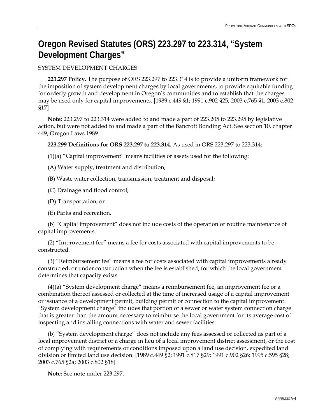# **Oregon Revised Statutes (ORS) 223.297 to 223.314, "System Development Charges"**

### SYSTEM DEVELOPMENT CHARGES

 **223.297 Policy.** The purpose of ORS 223.297 to 223.314 is to provide a uniform framework for the imposition of system development charges by local governments, to provide equitable funding for orderly growth and development in Oregon's communities and to establish that the charges may be used only for capital improvements. [1989 c.449 §1; 1991 c.902 §25; 2003 c.765 §1; 2003 c.802 §17]

 **Note:** 223.297 to 223.314 were added to and made a part of 223.205 to 223.295 by legislative action, but were not added to and made a part of the Bancroft Bonding Act. See section 10, chapter 449, Oregon Laws 1989.

### **223.299 Definitions for ORS 223.297 to 223.314.** As used in ORS 223.297 to 223.314:

 $(1)(a)$  "Capital improvement" means facilities or assets used for the following:

(A) Water supply, treatment and distribution;

(B) Waste water collection, transmission, treatment and disposal;

(C) Drainage and flood control;

(D) Transportation; or

(E) Parks and recreation.

 (b) "Capital improvement" does not include costs of the operation or routine maintenance of capital improvements.

 (2) "Improvement fee" means a fee for costs associated with capital improvements to be constructed.

 (3) "Reimbursement fee" means a fee for costs associated with capital improvements already constructed, or under construction when the fee is established, for which the local government determines that capacity exists.

 (4)(a) "System development charge" means a reimbursement fee, an improvement fee or a combination thereof assessed or collected at the time of increased usage of a capital improvement or issuance of a development permit, building permit or connection to the capital improvement. "System development charge" includes that portion of a sewer or water system connection charge that is greater than the amount necessary to reimburse the local government for its average cost of inspecting and installing connections with water and sewer facilities.

 (b) "System development charge" does not include any fees assessed or collected as part of a local improvement district or a charge in lieu of a local improvement district assessment, or the cost of complying with requirements or conditions imposed upon a land use decision, expedited land division or limited land use decision. [1989 c.449 §2; 1991 c.817 §29; 1991 c.902 §26; 1995 c.595 §28; 2003 c.765 §2a; 2003 c.802 §18]

 **Note:** See note under 223.297.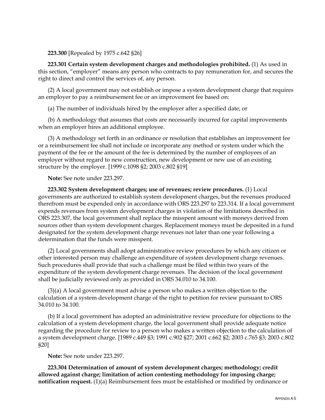**223.300** [Repealed by 1975 c.642 §26]

 **223.301 Certain system development charges and methodologies prohibited.** (1) As used in this section, "employer" means any person who contracts to pay remuneration for, and secures the right to direct and control the services of, any person.

 (2) A local government may not establish or impose a system development charge that requires an employer to pay a reimbursement fee or an improvement fee based on:

(a) The number of individuals hired by the employer after a specified date; or

 (b) A methodology that assumes that costs are necessarily incurred for capital improvements when an employer hires an additional employee.

 (3) A methodology set forth in an ordinance or resolution that establishes an improvement fee or a reimbursement fee shall not include or incorporate any method or system under which the payment of the fee or the amount of the fee is determined by the number of employees of an employer without regard to new construction, new development or new use of an existing structure by the employer. [1999 c.1098 §2; 2003 c.802 §19]

 **Note:** See note under 223.297.

 **223.302 System development charges; use of revenues; review procedures.** (1) Local governments are authorized to establish system development charges, but the revenues produced therefrom must be expended only in accordance with ORS 223.297 to 223.314. If a local government expends revenues from system development charges in violation of the limitations described in ORS 223.307, the local government shall replace the misspent amount with moneys derived from sources other than system development charges. Replacement moneys must be deposited in a fund designated for the system development charge revenues not later than one year following a determination that the funds were misspent.

 (2) Local governments shall adopt administrative review procedures by which any citizen or other interested person may challenge an expenditure of system development charge revenues. Such procedures shall provide that such a challenge must be filed within two years of the expenditure of the system development charge revenues. The decision of the local government shall be judicially reviewed only as provided in ORS 34.010 to 34.100.

 (3)(a) A local government must advise a person who makes a written objection to the calculation of a system development charge of the right to petition for review pursuant to ORS 34.010 to 34.100.

 (b) If a local government has adopted an administrative review procedure for objections to the calculation of a system development charge, the local government shall provide adequate notice regarding the procedure for review to a person who makes a written objection to the calculation of a system development charge. [1989 c.449 §3; 1991 c.902 §27; 2001 c.662 §2; 2003 c.765 §3; 2003 c.802 §20]

 **Note:** See note under 223.297.

 **223.304 Determination of amount of system development charges; methodology; credit allowed against charge; limitation of action contesting methodology for imposing charge; notification request.** (1)(a) Reimbursement fees must be established or modified by ordinance or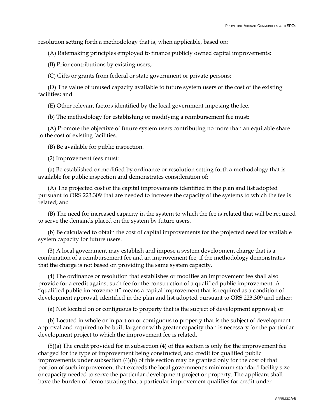resolution setting forth a methodology that is, when applicable, based on:

(A) Ratemaking principles employed to finance publicly owned capital improvements;

(B) Prior contributions by existing users;

(C) Gifts or grants from federal or state government or private persons;

 (D) The value of unused capacity available to future system users or the cost of the existing facilities; and

(E) Other relevant factors identified by the local government imposing the fee.

(b) The methodology for establishing or modifying a reimbursement fee must:

 (A) Promote the objective of future system users contributing no more than an equitable share to the cost of existing facilities.

(B) Be available for public inspection.

(2) Improvement fees must:

 (a) Be established or modified by ordinance or resolution setting forth a methodology that is available for public inspection and demonstrates consideration of:

 (A) The projected cost of the capital improvements identified in the plan and list adopted pursuant to ORS 223.309 that are needed to increase the capacity of the systems to which the fee is related; and

 (B) The need for increased capacity in the system to which the fee is related that will be required to serve the demands placed on the system by future users.

 (b) Be calculated to obtain the cost of capital improvements for the projected need for available system capacity for future users.

 (3) A local government may establish and impose a system development charge that is a combination of a reimbursement fee and an improvement fee, if the methodology demonstrates that the charge is not based on providing the same system capacity.

 (4) The ordinance or resolution that establishes or modifies an improvement fee shall also provide for a credit against such fee for the construction of a qualified public improvement. A "qualified public improvement" means a capital improvement that is required as a condition of development approval, identified in the plan and list adopted pursuant to ORS 223.309 and either:

(a) Not located on or contiguous to property that is the subject of development approval; or

 (b) Located in whole or in part on or contiguous to property that is the subject of development approval and required to be built larger or with greater capacity than is necessary for the particular development project to which the improvement fee is related.

 (5)(a) The credit provided for in subsection (4) of this section is only for the improvement fee charged for the type of improvement being constructed, and credit for qualified public improvements under subsection (4)(b) of this section may be granted only for the cost of that portion of such improvement that exceeds the local government's minimum standard facility size or capacity needed to serve the particular development project or property. The applicant shall have the burden of demonstrating that a particular improvement qualifies for credit under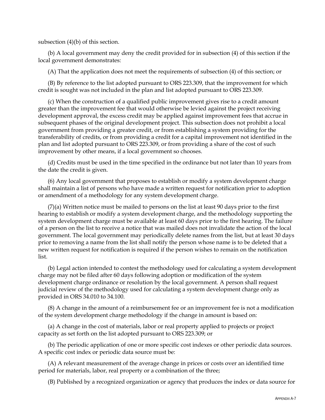subsection (4)(b) of this section.

 (b) A local government may deny the credit provided for in subsection (4) of this section if the local government demonstrates:

(A) That the application does not meet the requirements of subsection (4) of this section; or

 (B) By reference to the list adopted pursuant to ORS 223.309, that the improvement for which credit is sought was not included in the plan and list adopted pursuant to ORS 223.309.

 (c) When the construction of a qualified public improvement gives rise to a credit amount greater than the improvement fee that would otherwise be levied against the project receiving development approval, the excess credit may be applied against improvement fees that accrue in subsequent phases of the original development project. This subsection does not prohibit a local government from providing a greater credit, or from establishing a system providing for the transferability of credits, or from providing a credit for a capital improvement not identified in the plan and list adopted pursuant to ORS 223.309, or from providing a share of the cost of such improvement by other means, if a local government so chooses.

 (d) Credits must be used in the time specified in the ordinance but not later than 10 years from the date the credit is given.

 (6) Any local government that proposes to establish or modify a system development charge shall maintain a list of persons who have made a written request for notification prior to adoption or amendment of a methodology for any system development charge.

 (7)(a) Written notice must be mailed to persons on the list at least 90 days prior to the first hearing to establish or modify a system development charge, and the methodology supporting the system development charge must be available at least 60 days prior to the first hearing. The failure of a person on the list to receive a notice that was mailed does not invalidate the action of the local government. The local government may periodically delete names from the list, but at least 30 days prior to removing a name from the list shall notify the person whose name is to be deleted that a new written request for notification is required if the person wishes to remain on the notification list.

 (b) Legal action intended to contest the methodology used for calculating a system development charge may not be filed after 60 days following adoption or modification of the system development charge ordinance or resolution by the local government. A person shall request judicial review of the methodology used for calculating a system development charge only as provided in ORS 34.010 to 34.100.

 (8) A change in the amount of a reimbursement fee or an improvement fee is not a modification of the system development charge methodology if the change in amount is based on:

 (a) A change in the cost of materials, labor or real property applied to projects or project capacity as set forth on the list adopted pursuant to ORS 223.309; or

 (b) The periodic application of one or more specific cost indexes or other periodic data sources. A specific cost index or periodic data source must be:

 (A) A relevant measurement of the average change in prices or costs over an identified time period for materials, labor, real property or a combination of the three;

(B) Published by a recognized organization or agency that produces the index or data source for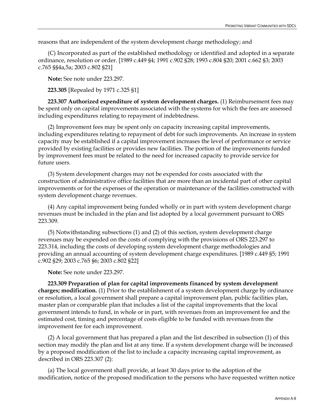reasons that are independent of the system development charge methodology; and

 (C) Incorporated as part of the established methodology or identified and adopted in a separate ordinance, resolution or order. [1989 c.449 §4; 1991 c.902 §28; 1993 c.804 §20; 2001 c.662 §3; 2003 c.765 §§4a,5a; 2003 c.802 §21]

 **Note:** See note under 223.297.

 **223.305** [Repealed by 1971 c.325 §1]

 **223.307 Authorized expenditure of system development charges.** (1) Reimbursement fees may be spent only on capital improvements associated with the systems for which the fees are assessed including expenditures relating to repayment of indebtedness.

 (2) Improvement fees may be spent only on capacity increasing capital improvements, including expenditures relating to repayment of debt for such improvements. An increase in system capacity may be established if a capital improvement increases the level of performance or service provided by existing facilities or provides new facilities. The portion of the improvements funded by improvement fees must be related to the need for increased capacity to provide service for future users.

 (3) System development charges may not be expended for costs associated with the construction of administrative office facilities that are more than an incidental part of other capital improvements or for the expenses of the operation or maintenance of the facilities constructed with system development charge revenues.

 (4) Any capital improvement being funded wholly or in part with system development charge revenues must be included in the plan and list adopted by a local government pursuant to ORS 223.309.

 (5) Notwithstanding subsections (1) and (2) of this section, system development charge revenues may be expended on the costs of complying with the provisions of ORS 223.297 to 223.314, including the costs of developing system development charge methodologies and providing an annual accounting of system development charge expenditures. [1989 c.449 §5; 1991 c.902 §29; 2003 c.765 §6; 2003 c.802 §22]

 **Note:** See note under 223.297.

 **223.309 Preparation of plan for capital improvements financed by system development charges; modification.** (1) Prior to the establishment of a system development charge by ordinance or resolution, a local government shall prepare a capital improvement plan, public facilities plan, master plan or comparable plan that includes a list of the capital improvements that the local government intends to fund, in whole or in part, with revenues from an improvement fee and the estimated cost, timing and percentage of costs eligible to be funded with revenues from the improvement fee for each improvement.

 (2) A local government that has prepared a plan and the list described in subsection (1) of this section may modify the plan and list at any time. If a system development charge will be increased by a proposed modification of the list to include a capacity increasing capital improvement, as described in ORS 223.307 (2):

 (a) The local government shall provide, at least 30 days prior to the adoption of the modification, notice of the proposed modification to the persons who have requested written notice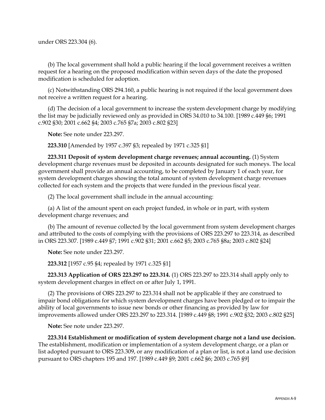(b) The local government shall hold a public hearing if the local government receives a written request for a hearing on the proposed modification within seven days of the date the proposed modification is scheduled for adoption.

 (c) Notwithstanding ORS 294.160, a public hearing is not required if the local government does not receive a written request for a hearing.

 (d) The decision of a local government to increase the system development charge by modifying the list may be judicially reviewed only as provided in ORS 34.010 to 34.100. [1989 c.449 §6; 1991 c.902 §30; 2001 c.662 §4; 2003 c.765 §7a; 2003 c.802 §23]

 **Note:** See note under 223.297.

 **223.310** [Amended by 1957 c.397 §3; repealed by 1971 c.325 §1]

 **223.311 Deposit of system development charge revenues; annual accounting.** (1) System development charge revenues must be deposited in accounts designated for such moneys. The local government shall provide an annual accounting, to be completed by January 1 of each year, for system development charges showing the total amount of system development charge revenues collected for each system and the projects that were funded in the previous fiscal year.

(2) The local government shall include in the annual accounting:

 (a) A list of the amount spent on each project funded, in whole or in part, with system development charge revenues; and

 (b) The amount of revenue collected by the local government from system development charges and attributed to the costs of complying with the provisions of ORS 223.297 to 223.314, as described in ORS 223.307. [1989 c.449 §7; 1991 c.902 §31; 2001 c.662 §5; 2003 c.765 §8a; 2003 c.802 §24]

 **Note:** See note under 223.297.

 **223.312** [1957 c.95 §4; repealed by 1971 c.325 §1]

 **223.313 Application of ORS 223.297 to 223.314.** (1) ORS 223.297 to 223.314 shall apply only to system development charges in effect on or after July 1, 1991.

 (2) The provisions of ORS 223.297 to 223.314 shall not be applicable if they are construed to impair bond obligations for which system development charges have been pledged or to impair the ability of local governments to issue new bonds or other financing as provided by law for improvements allowed under ORS 223.297 to 223.314. [1989 c.449 §8; 1991 c.902 §32; 2003 c.802 §25]

 **Note:** See note under 223.297.

 **223.314 Establishment or modification of system development charge not a land use decision.** The establishment, modification or implementation of a system development charge, or a plan or list adopted pursuant to ORS 223.309, or any modification of a plan or list, is not a land use decision pursuant to ORS chapters 195 and 197. [1989 c.449 §9; 2001 c.662 §6; 2003 c.765 §9]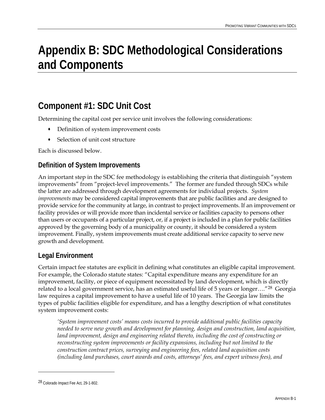# <span id="page-58-0"></span>**Appendix B: SDC Methodological Considerations and Components**

# **Component #1: SDC Unit Cost**

Determining the capital cost per service unit involves the following considerations:

- Definition of system improvement costs
- Selection of unit cost structure

Each is discussed below.

### **Definition of System Improvements**

An important step in the SDC fee methodology is establishing the criteria that distinguish "system improvements" from "project-level improvements." The former are funded through SDCs while the latter are addressed through development agreements for individual projects. *System improvements* may be considered capital improvements that are public facilities and are designed to provide service for the community at large, in contrast to project improvements. If an improvement or facility provides or will provide more than incidental service or facilities capacity to persons other than users or occupants of a particular project, or, if a project is included in a plan for public facilities approved by the governing body of a municipality or county, it should be considered a system improvement. Finally, system improvements must create additional service capacity to serve new growth and development.

### **Legal Environment**

Certain impact fee statutes are explicit in defining what constitutes an eligible capital improvement. For example, the Colorado statute states: "Capital expenditure means any expenditure for an improvement, facility, or piece of equipment necessitated by land development, which is directly related to a local government service, has an estimated useful life of 5 years or longer…."[2](#page-58-0)8 Georgia law requires a capital improvement to have a useful life of 10 years. The Georgia law limits the types of public facilities eligible for expenditure, and has a lengthy description of what constitutes system improvement costs:

*'System improvement costs' means costs incurred to provide additional public facilities capacity needed to serve new growth and development for planning, design and construction, land acquisition, land improvement, design and engineering related thereto, including the cost of constructing or reconstructing system improvements or facility expansions, including but not limited to the construction contract prices, surveying and engineering fees, related land acquisition costs (including land purchases, court awards and costs, attorneys' fees, and expert witness fees), and* 

<u>.</u>

<sup>28</sup> Colorado Impact Fee Act, 29-1-802.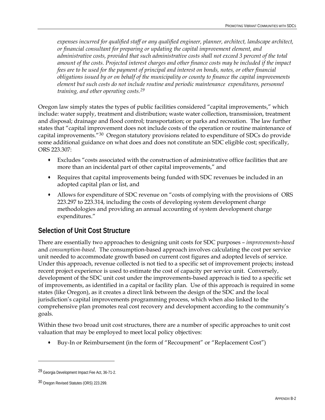<span id="page-59-0"></span>*expenses incurred for qualified staff or any qualified engineer, planner, architect, landscape architect, or financial consultant for preparing or updating the capital improvement element, and administrative costs, provided that such administrative costs shall not exceed 3 percent of the total amount of the costs. Projected interest charges and other finance costs may be included if the impact fees are to be used for the payment of principal and interest on bonds, notes, or other financial obligations issued by or on behalf of the municipality or county to finance the capital improvements element but such costs do not include routine and periodic maintenance expenditures, personnel training, and other operating costs.[2](#page-59-0)9*

Oregon law simply states the types of public facilities considered "capital improvements," which include: water supply, treatment and distribution; waste water collection, transmission, treatment and disposal; drainage and flood control; transportation; or parks and recreation. The law further states that "capital improvement does not include costs of the operation or routine maintenance of capital improvements."[3](#page-59-0)0 Oregon statutory provisions related to expenditure of SDCs do provide some additional guidance on what does and does not constitute an SDC eligible cost; specifically, ORS 223.307:

- Excludes "costs associated with the construction of administrative office facilities that are more than an incidental part of other capital improvements," and
- Requires that capital improvements being funded with SDC revenues be included in an adopted capital plan or list, and
- Allows for expenditure of SDC revenue on "costs of complying with the provisions of ORS 223.297 to 223.314, including the costs of developing system development charge methodologies and providing an annual accounting of system development charge expenditures."

### **Selection of Unit Cost Structure**

There are essentially two approaches to designing unit costs for SDC purposes – *improvements-based* and *consumption-based*. The consumption-based approach involves calculating the cost per service unit needed to accommodate growth based on current cost figures and adopted levels of service. Under this approach, revenue collected is not tied to a specific set of improvement projects; instead recent project experience is used to estimate the cost of capacity per service unit. Conversely, development of the SDC unit cost under the improvements-based approach is tied to a specific set of improvements, as identified in a capital or facility plan. Use of this approach is required in some states (like Oregon), as it creates a direct link between the design of the SDC and the local jurisdiction's capital improvements programming process, which when also linked to the comprehensive plan promotes real cost recovery and development according to the community's goals.

Within these two broad unit cost structures, there are a number of specific approaches to unit cost valuation that may be employed to meet local policy objectives:

Buy-In or Reimbursement (in the form of "Recoupment" or "Replacement Cost")

 $\overline{a}$ 

<sup>29</sup> Georgia Development Impact Fee Act, 36-71-2.

<sup>30</sup> Oregon Revised Statutes (ORS) 223.299.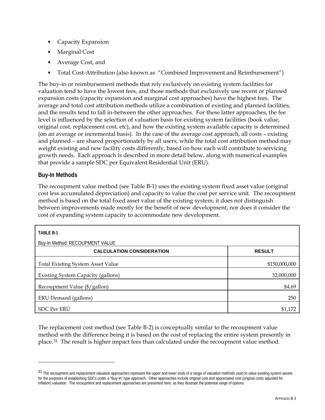- <span id="page-60-0"></span>Capacity Expansion
- Marginal Cost
- Average Cost, and
- Total Cost-Attribution (also known as "Combined Improvement and Reimbursement")

The buy-in or reimbursement methods that rely exclusively on existing system facilities for valuation tend to have the lowest fees, and those methods that exclusively use recent or planned expansion costs (capacity expansion and marginal cost approaches) have the highest fees. The average and total cost attribution methods utilize a combination of existing and planned facilities, and the results tend to fall in-between the other approaches. For these latter approaches, the fee level is influenced by the selection of valuation basis for existing system facilities (book value, original cost, replacement cost, etc), and how the existing system available capacity is determined (on an average or incremental basis). In the case of the average cost approach, all costs – existing and planned – are shared proportionately by all users, while the total cost attribution method may weight existing and new facility costs differently, based on how each will contribute to servicing growth needs. Each approach is described in more detail below, along with numerical examples that provide a sample SDC per Equivalent Residential Unit (ERU).

### **Buy-In Methods**

-

The recoupment value method (see Table B-1) uses the existing system fixed asset value (original cost less accumulated depreciation) and capacity to value the cost per service unit. The recoupment method is based on the total fixed asset value of the existing system; it does not distinguish between improvements made mostly for the benefit of new development, nor does it consider the cost of expanding system capacity to accommodate new development.

| <b>TABLE B-1</b>                         |               |  |  |  |  |
|------------------------------------------|---------------|--|--|--|--|
| Buy-In Method: RECOUPMENT VALUE          |               |  |  |  |  |
| <b>CALCULATION CONSIDERATION</b>         | <b>RESULT</b> |  |  |  |  |
| <b>Total Existing System Asset Value</b> | \$150,000,000 |  |  |  |  |
| Existing System Capacity (gallons)       | 32,000,000    |  |  |  |  |
| Recoupment Value (\$/gallon)             | \$4.69        |  |  |  |  |
| ERU Demand (gallons)                     | 250           |  |  |  |  |
| <b>SDC Per ERU</b>                       | \$1,172       |  |  |  |  |

The replacement cost method (see Table B-2) is conceptually similar to the recoupment value method with the difference being it is based on the cost of replacing the entire system presently in place.[31](#page-60-0) The result is higher impact fees than calculated under the recoupment value method.

<sup>&</sup>lt;sup>31</sup> The recoupment and replacement valuation approaches represent the upper and lower ends of a range of valuation methods used to value existing system assets for the purposes of establishing SDCs under a "Buy-In" type approach. Other approaches include original cost and appreciated cost (original costs adjusted for inflation) valuation. The recoupment and replacement approaches are presented here, as they illustrate the potential range of options.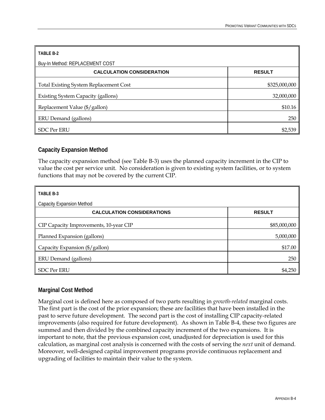| TABLE B-2                                     |               |
|-----------------------------------------------|---------------|
| Buy-In Method: REPLACEMENT COST               |               |
| <b>CALCULATION CONSIDERATION</b>              | <b>RESULT</b> |
| <b>Total Existing System Replacement Cost</b> | \$325,000,000 |
| <b>Existing System Capacity (gallons)</b>     | 32,000,000    |
| Replacement Value (\$/gallon)                 | \$10.16       |
| ERU Demand (gallons)                          | 250           |
| <b>SDC Per ERU</b>                            | \$2,539       |

### **Capacity Expansion Method**

The capacity expansion method (see Table B-3) uses the planned capacity increment in the CIP to value the cost per service unit. No consideration is given to existing system facilities, or to system functions that may not be covered by the current CIP.

| TABLE B-3                              |               |  |  |  |  |
|----------------------------------------|---------------|--|--|--|--|
| <b>Capacity Expansion Method</b>       |               |  |  |  |  |
| <b>CALCULATION CONSIDERATIONS</b>      | <b>RESULT</b> |  |  |  |  |
| CIP Capacity Improvements, 10-year CIP | \$85,000,000  |  |  |  |  |
| Planned Expansion (gallons)            | 5,000,000     |  |  |  |  |
| Capacity Expansion (\$/gallon)         | \$17.00       |  |  |  |  |
| ERU Demand (gallons)                   | 250           |  |  |  |  |
| <b>SDC Per ERU</b>                     | \$4,250       |  |  |  |  |

### **Marginal Cost Method**

Marginal cost is defined here as composed of two parts resulting in *growth-related* marginal costs. The first part is the cost of the prior expansion; these are facilities that have been installed in the past to serve future development. The second part is the cost of installing CIP capacity-related improvements (also required for future development). As shown in Table B-4, these two figures are summed and then divided by the combined capacity increment of the two expansions. It is important to note, that the previous expansion cost, unadjusted for depreciation is used for this calculation, as marginal cost analysis is concerned with the costs of serving the *next* unit of demand. Moreover, well-designed capital improvement programs provide continuous replacement and upgrading of facilities to maintain their value to the system.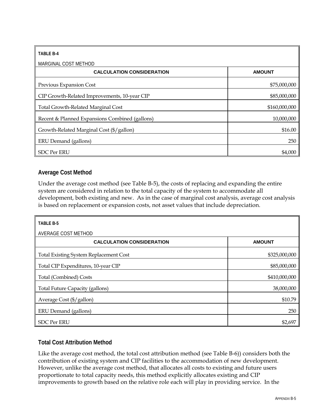| <b>TABLE B-4</b>                               |               |
|------------------------------------------------|---------------|
| MARGINAL COST METHOD                           |               |
| <b>CALCULATION CONSIDERATION</b>               | <b>AMOUNT</b> |
| Previous Expansion Cost                        | \$75,000,000  |
| CIP Growth-Related Improvements, 10-year CIP   | \$85,000,000  |
| <b>Total Growth-Related Marginal Cost</b>      | \$160,000,000 |
| Recent & Planned Expansions Combined (gallons) | 10,000,000    |
| Growth-Related Marginal Cost (\$/gallon)       | \$16.00       |
| ERU Demand (gallons)                           | 250           |
| <b>SDC Per ERU</b>                             | \$4,000       |

### **Average Cost Method**

Under the average cost method (see Table B-5), the costs of replacing and expanding the entire system are considered in relation to the total capacity of the system to accommodate all development, both existing and new. As in the case of marginal cost analysis, average cost analysis is based on replacement or expansion costs, not asset values that include depreciation.

| TABLE B-5                                     |               |
|-----------------------------------------------|---------------|
| AVERAGE COST METHOD                           |               |
| <b>CALCULATION CONSIDERATION</b>              | <b>AMOUNT</b> |
| <b>Total Existing System Replacement Cost</b> | \$325,000,000 |
| Total CIP Expenditures, 10-year CIP           | \$85,000,000  |
| <b>Total (Combined) Costs</b>                 | \$410,000,000 |
| <b>Total Future Capacity (gallons)</b>        | 38,000,000    |
| Average Cost (\$/gallon)                      | \$10.79       |
| ERU Demand (gallons)                          | 250           |
| <b>SDC Per ERU</b>                            | \$2,697       |

### **Total Cost Attribution Method**

Like the average cost method, the total cost attribution method (see Table B-6)) considers both the contribution of existing system and CIP facilities to the accommodation of new development. However, unlike the average cost method, that allocates all costs to existing and future users proportionate to total capacity needs, this method explicitly allocates existing and CIP improvements to growth based on the relative role each will play in providing service. In the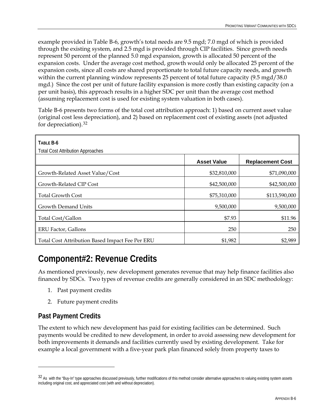<span id="page-63-0"></span>example provided in Table B-6, growth's total needs are 9.5 mgd; 7.0 mgd of which is provided through the existing system, and 2.5 mgd is provided through CIP facilities. Since growth needs represent 50 percent of the planned 5.0 mgd expansion, growth is allocated 50 percent of the expansion costs. Under the average cost method, growth would only be allocated 25 percent of the expansion costs, since all costs are shared proportionate to total future capacity needs, and growth within the current planning window represents 25 percent of total future capacity (9.5 mgd/38.0 mgd.) Since the cost per unit of future facility expansion is more costly than existing capacity (on a per unit basis), this approach results in a higher SDC per unit than the average cost method (assuming replacement cost is used for existing system valuation in both cases).

Table B-6 presents two forms of the total cost attribution approach: 1) based on current asset value (original cost less depreciation), and 2) based on replacement cost of existing assets (not adjusted for depreciation).[32](#page-63-0)

| TABLE B-6<br><b>Total Cost Attribution Approaches</b> |                    |                         |
|-------------------------------------------------------|--------------------|-------------------------|
|                                                       | <b>Asset Value</b> | <b>Replacement Cost</b> |
| Growth-Related Asset Value/Cost                       | \$32,810,000       | \$71,090,000            |
| Growth-Related CIP Cost                               | \$42,500,000       | \$42,500,000            |
| <b>Total Growth Cost</b>                              | \$75,310,000       | \$113,590,000           |
| Growth Demand Units                                   | 9,500,000          | 9,500,000               |
| Total Cost/Gallon                                     | \$7.93             | \$11.96                 |
| <b>ERU Factor, Gallons</b>                            | 250                | 250                     |
| Total Cost Attribution Based Impact Fee Per ERU       | \$1,982            | \$2,989                 |

## **Component#2: Revenue Credits**

As mentioned previously, new development generates revenue that may help finance facilities also financed by SDCs. Two types of revenue credits are generally considered in an SDC methodology:

- 1. Past payment credits
- 2. Future payment credits

### **Past Payment Credits**

-

The extent to which new development has paid for existing facilities can be determined. Such payments would be credited to new development, in order to avoid assessing new development for both improvements it demands and facilities currently used by existing development. Take for example a local government with a five-year park plan financed solely from property taxes to

<sup>&</sup>lt;sup>32</sup> As with the "Buy-In" type approaches discussed previously, further modifications of this method consider alternative approaches to valuing existing system assets including original cost, and appreciated cost (with and without depreciation).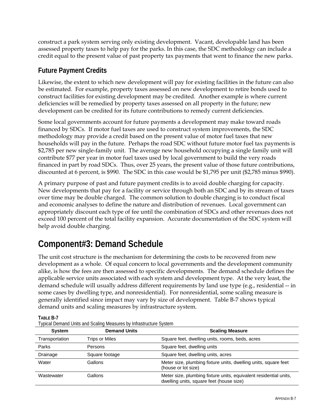construct a park system serving only existing development. Vacant, developable land has been assessed property taxes to help pay for the parks. In this case, the SDC methodology can include a credit equal to the present value of past property tax payments that went to finance the new parks.

### **Future Payment Credits**

Likewise, the extent to which new development will pay for existing facilities in the future can also be estimated. For example, property taxes assessed on new development to retire bonds used to construct facilities for existing development may be credited. Another example is where current deficiencies will be remedied by property taxes assessed on all property in the future; new development can be credited for its future contributions to remedy current deficiencies.

Some local governments account for future payments a development may make toward roads financed by SDCs. If motor fuel taxes are used to construct system improvements, the SDC methodology may provide a credit based on the present value of motor fuel taxes that new households will pay in the future. Perhaps the road SDC without future motor fuel tax payments is \$2,785 per new single-family unit. The average new household occupying a single family unit will contribute \$77 per year in motor fuel taxes used by local government to build the very roads financed in part by road SDCs. Thus, over 25 years, the present value of those future contributions, discounted at 6 percent, is \$990. The SDC in this case would be \$1,795 per unit (\$2,785 minus \$990).

A primary purpose of past and future payment credits is to avoid double charging for capacity. New developments that pay for a facility or service through both an SDC and by its stream of taxes over time may be double charged. The common solution to double charging is to conduct fiscal and economic analyses to define the nature and distribution of revenues. Local government can appropriately discount each type of fee until the combination of SDCs and other revenues does not exceed 100 percent of the total facility expansion. Accurate documentation of the SDC system will help avoid double charging.

# **Component#3: Demand Schedule**

The unit cost structure is the mechanism for determining the costs to be recovered from new development as a whole. Of equal concern to local governments and the development community alike, is how the fees are then assessed to specific developments. The demand schedule defines the applicable service units associated with each system and development type. At the very least, the demand schedule will usually address different requirements by land use type (e.g., residential -- in some cases by dwelling type, and nonresidential). For nonresidential, some scaling measure is generally identified since impact may vary by size of development. Table B-7 shows typical demand units and scaling measures by infrastructure system.

**TABLE B-7** 

| <b>System</b>  | <b>Demand Units</b>   | <b>Scaling Measure</b>                                                                                        |
|----------------|-----------------------|---------------------------------------------------------------------------------------------------------------|
| Transportation | <b>Trips or Miles</b> | Square feet, dwelling units, rooms, beds, acres                                                               |
| Parks          | Persons               | Square feet, dwelling units                                                                                   |
| Drainage       | Square footage        | Square feet, dwelling units, acres                                                                            |
| Water          | Gallons               | Meter size, plumbing fixture units, dwelling units, square feet<br>(house or lot size)                        |
| Wastewater     | Gallons               | Meter size, plumbing fixture units, equivalent residential units,<br>dwelling units, square feet (house size) |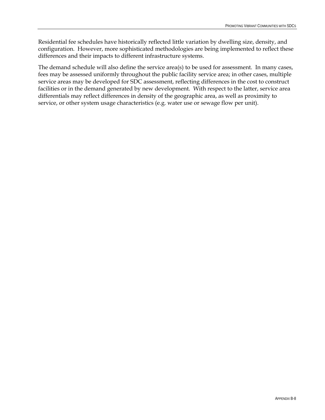Residential fee schedules have historically reflected little variation by dwelling size, density, and configuration. However, more sophisticated methodologies are being implemented to reflect these differences and their impacts to different infrastructure systems.

The demand schedule will also define the service area(s) to be used for assessment. In many cases, fees may be assessed uniformly throughout the public facility service area; in other cases, multiple service areas may be developed for SDC assessment, reflecting differences in the cost to construct facilities or in the demand generated by new development. With respect to the latter, service area differentials may reflect differences in density of the geographic area, as well as proximity to service, or other system usage characteristics (e.g. water use or sewage flow per unit).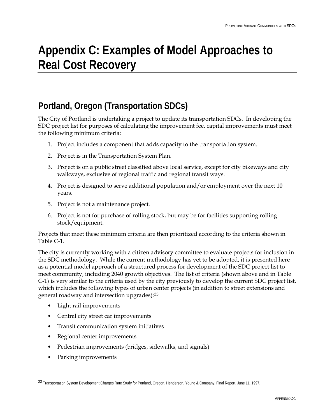# <span id="page-66-0"></span>**Appendix C: Examples of Model Approaches to Real Cost Recovery**

# **Portland, Oregon (Transportation SDCs)**

The City of Portland is undertaking a project to update its transportation SDCs. In developing the SDC project list for purposes of calculating the improvement fee, capital improvements must meet the following minimum criteria:

- 1. Project includes a component that adds capacity to the transportation system.
- 2. Project is in the Transportation System Plan.
- 3. Project is on a public street classified above local service, except for city bikeways and city walkways, exclusive of regional traffic and regional transit ways.
- 4. Project is designed to serve additional population and/or employment over the next 10 years.
- 5. Project is not a maintenance project.
- 6. Project is not for purchase of rolling stock, but may be for facilities supporting rolling stock/equipment.

Projects that meet these minimum criteria are then prioritized according to the criteria shown in Table C-1.

The city is currently working with a citizen advisory committee to evaluate projects for inclusion in the SDC methodology. While the current methodology has yet to be adopted, it is presented here as a potential model approach of a structured process for development of the SDC project list to meet community, including 2040 growth objectives. The list of criteria (shown above and in Table C-1) is very similar to the criteria used by the city previously to develop the current SDC project list, which includes the following types of urban center projects (in addition to street extensions and general roadway and intersection upgrades):[33](#page-66-0)

- Light rail improvements
- Central city street car improvements
- Transit communication system initiatives
- Regional center improvements
- Pedestrian improvements (bridges, sidewalks, and signals)
- Parking improvements

<u>.</u>

<sup>33</sup> Transportation System Development Charges Rate Study for Portland, Oregon, Henderson, Young & Company, Final Report, June 11, 1997.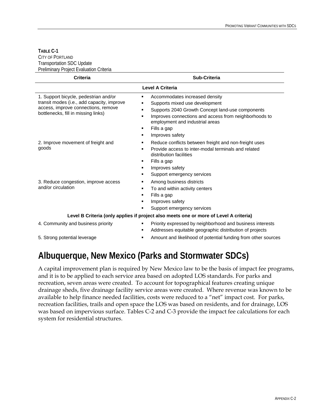#### **TABLE C-1**  CITY OF PORTLAND Transportation SDC Update Preliminary Project Evaluation Criteria

| <b>Criteria</b>                                                                                                                                                   | <b>Sub-Criteria</b>                                                                                                                                                                                                                                          |  |  |  |
|-------------------------------------------------------------------------------------------------------------------------------------------------------------------|--------------------------------------------------------------------------------------------------------------------------------------------------------------------------------------------------------------------------------------------------------------|--|--|--|
|                                                                                                                                                                   | Level A Criteria                                                                                                                                                                                                                                             |  |  |  |
| 1. Support bicycle, pedestrian and/or<br>transit modes (i.e., add capacity, improve<br>access, improve connections, remove<br>bottlenecks, fill in missing links) | Accommodates increased density<br>٠<br>Supports mixed use development<br>Supports 2040 Growth Concept land-use components<br>Improves connections and access from neighborhoods to<br>employment and industrial areas<br>Fills a gap<br>٠<br>Improves safety |  |  |  |
| 2. Improve movement of freight and<br>goods                                                                                                                       | Reduce conflicts between freight and non-freight uses<br>Provide access to inter-modal terminals and related<br>distribution facilities<br>Fills a gap<br>Improves safety<br>٠<br>Support emergency services<br>٠                                            |  |  |  |
| 3. Reduce congestion, improve access<br>and/or circulation                                                                                                        | Among business districts<br>To and within activity centers<br>Fills a gap<br>٠<br>Improves safety<br>Support emergency services                                                                                                                              |  |  |  |
| Level B Criteria (only applies if project also meets one or more of Level A criteria)                                                                             |                                                                                                                                                                                                                                                              |  |  |  |
| 4. Community and business priority                                                                                                                                | Priority expressed by neighborhood and business interests<br>٠<br>Addresses equitable geographic distribution of projects                                                                                                                                    |  |  |  |
| 5. Strong potential leverage                                                                                                                                      | Amount and likelihood of potential funding from other sources                                                                                                                                                                                                |  |  |  |

# **Albuquerque, New Mexico (Parks and Stormwater SDCs)**

A capital improvement plan is required by New Mexico law to be the basis of impact fee programs, and it is to be applied to each service area based on adopted LOS standards. For parks and recreation, seven areas were created. To account for topographical features creating unique drainage sheds, five drainage facility service areas were created. Where revenue was known to be available to help finance needed facilities, costs were reduced to a "net" impact cost. For parks, recreation facilities, trails and open space the LOS was based on residents, and for drainage, LOS was based on impervious surface. Tables C-2 and C-3 provide the impact fee calculations for each system for residential structures.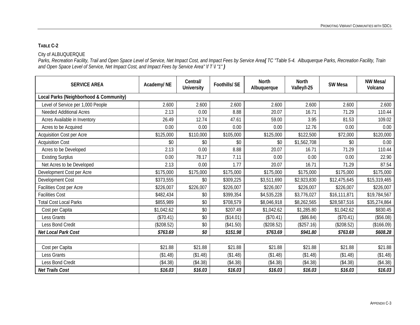#### **TABLE C-2**

#### City of ALBUQUERQUE

*Parks, Recreation Facility, Trail and Open Space Level of Service, Net Impact Cost, and Impact Fees by Service Area{ TC "Table 5-4. Albuquerque Parks, Recreation Facility, Train and Open Space Level of Service, Net Impact Cost, and Impact Fees by Service Area" \f T \l "1" }*

| <b>SERVICE AREA</b>                    | Academy/NE | Central/<br><b>University</b> | <b>Foothills/SE</b> | <b>North</b><br>Albuquerque | <b>North</b><br>Valley/I-25 | <b>SW Mesa</b> | NW Mesa/<br>Volcano |
|----------------------------------------|------------|-------------------------------|---------------------|-----------------------------|-----------------------------|----------------|---------------------|
| Local Parks (Neighborhood & Community) |            |                               |                     |                             |                             |                |                     |
| Level of Service per 1,000 People      | 2.600      | 2.600                         | 2.600               | 2.600                       | 2.600                       | 2.600          | 2.600               |
| <b>Needed Additional Acres</b>         | 2.13       | 0.00                          | 8.88                | 20.07                       | 16.71                       | 71.29          | 110.44              |
| Acres Available in Inventory           | 26.49      | 12.74                         | 47.61               | 59.00                       | 3.95                        | 81.53          | 109.02              |
| Acres to be Acquired                   | 0.00       | 0.00                          | 0.00                | 0.00                        | 12.76                       | 0.00           | 0.00                |
| <b>Acquisition Cost per Acre</b>       | \$125,000  | \$110,000                     | \$105,000           | \$125,000                   | \$122,500                   | \$72,000       | \$120,000           |
| <b>Acquisition Cost</b>                | \$0        | \$0                           | \$0                 | \$0                         | \$1,562,708                 | \$0            | 0.00                |
| Acres to be Developed                  | 2.13       | 0.00                          | 8.88                | 20.07                       | 16.71                       | 71.29          | 110.44              |
| <b>Existing Surplus</b>                | 0.00       | 78.17                         | 7.11                | 0.00                        | 0.00                        | 0.00           | 22.90               |
| Net Acres to be Developed              | 2.13       | 0.00                          | 1.77                | 20.07                       | 16.71                       | 71.29          | 87.54               |
| Development Cost per Acre              | \$175,000  | \$175,000                     | \$175,000           | \$175,000                   | \$175,000                   | \$175,000      | \$175,000           |
| Development Cost                       | \$373,555  | \$0                           | \$309,225           | \$3,511,690                 | \$2,923,830                 | \$12,475,645   | \$15,319,465        |
| Facilities Cost per Acre               | \$226,007  | \$226,007                     | \$226,007           | \$226,007                   | \$226,007                   | \$226,007      | \$226,007           |
| <b>Facilities Cost</b>                 | \$482,434  | \$0                           | \$399,354           | \$4,535,228                 | \$3,776,027                 | \$16,111,871   | \$19,784,567        |
| <b>Total Cost Local Parks</b>          | \$855,989  | \$0                           | \$708,579           | \$8,046,918                 | \$8,262,565                 | \$28,587,516   | \$35,274,864        |
| Cost per Capita                        | \$1,042.62 | \$0                           | \$207.49            | \$1,042.62                  | \$1,285.80                  | \$1,042.62     | \$830.45            |
| Less Grants                            | (\$70.41)  | \$0                           | (\$14.01)           | (\$70.41)                   | (\$86.84)                   | (\$70.41)      | (\$56.08)           |
| Less Bond Credit                       | (\$208.52) | \$0                           | (\$41.50)           | (\$208.52)                  | (\$257.16)                  | (\$208.52)     | (\$166.09)          |
| Net Local Park Cost                    | \$763.69   | \$0                           | \$151.98            | \$763.69                    | \$941.80                    | \$763.69       | \$608.28            |
|                                        |            |                               |                     |                             |                             |                |                     |
| Cost per Capita                        | \$21.88    | \$21.88                       | \$21.88             | \$21.88                     | \$21.88                     | \$21.88        | \$21.88             |
| Less Grants                            | (\$1.48)   | (\$1.48)                      | (\$1.48)            | (\$1.48)                    | (\$1.48)                    | (\$1.48)       | (\$1.48)            |
| Less Bond Credit                       | (\$4.38)   | (\$4.38)                      | (\$4.38)            | (\$4.38)                    | (\$4.38)                    | (\$4.38)       | (\$4.38)            |
| <b>Net Trails Cost</b>                 | \$16.03    | \$16.03                       | \$16.03             | \$16.03                     | \$16.03                     | \$16.03        | \$16.03             |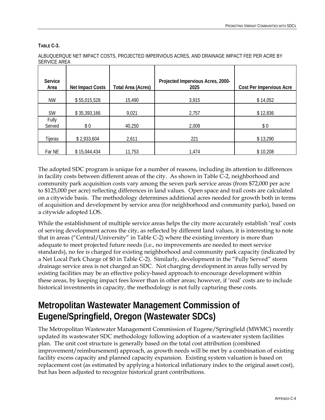**TABLE C-3.** 

|                     | ALBUQUERQUE NET IMPACT COSTS, PROJECTED IMPERVIOUS ACRES, AND DRAINAGE IMPACT FEE PER ACRE BY |
|---------------------|-----------------------------------------------------------------------------------------------|
| <b>SERVICE AREA</b> |                                                                                               |

| Service<br>Area | <b>Net Impact Costs</b> | <b>Total Area (Acres)</b> | Projected Impervious Acres, 2000-<br>2025 | <b>Cost Per Impervious Acre</b> |
|-----------------|-------------------------|---------------------------|-------------------------------------------|---------------------------------|
| <b>NW</b>       | \$55,015,528            | 15,490                    | 3,915                                     | \$14,052                        |
| <b>SW</b>       | \$35,393,166            | 9,021                     | 2,757                                     | \$12,836                        |
| Fully<br>Served | \$0                     | 40,250                    | 2,009                                     | \$0                             |
| Tijeras         | \$2,933,604             | 2,611                     | 221                                       | \$13,290                        |
| Far NE          | \$15,044,434            | 11,753                    | 1,474                                     | \$10,208                        |

The adopted SDC program is unique for a number of reasons, including its attention to differences in facility costs between different areas of the city. As shown in Table C-2, neighborhood and community park acquisition costs vary among the seven park service areas (from \$72,000 per acre to \$125,000 per acre) reflecting differences in land values. Open space and trail costs are calculated on a citywide basis. The methodology determines additional acres needed for growth both in terms of acquisition and development by service area (for neighborhood and community parks), based on a citywide adopted LOS.

While the establishment of multiple service areas helps the city more accurately establish 'real' costs of serving development across the city, as reflected by different land values, it is interesting to note that in areas ("Central/University" in Table C-2) where the existing inventory is more than adequate to meet projected future needs (i.e., no improvements are needed to meet service standards), no fee is charged for existing neighborhood and community park capacity (indicated by a Net Local Park Charge of \$0 in Table C-2). Similarly, development in the "Fully Served" storm drainage service area is not charged an SDC. Not charging development in areas fully served by existing facilities may be an effective policy-based approach to encourage development within these areas, by keeping impact fees lower than in other areas; however, if 'real' costs are to include historical investments in capacity, the methodology is not fully capturing these costs.

# **Metropolitan Wastewater Management Commission of Eugene/Springfield, Oregon (Wastewater SDCs)**

The Metropolitan Wastewater Management Commission of Eugene/Springfield (MWMC) recently updated its wastewater SDC methodology following adoption of a wastewater system facilities plan. The unit cost structure is generally based on the total cost attribution (combined improvement/reimbursement) approach, as growth needs will be met by a combination of existing facility excess capacity and planned capacity expansion. Existing system valuation is based on replacement cost (as estimated by applying a historical inflationary index to the original asset cost), but has been adjusted to recognize historical grant contributions.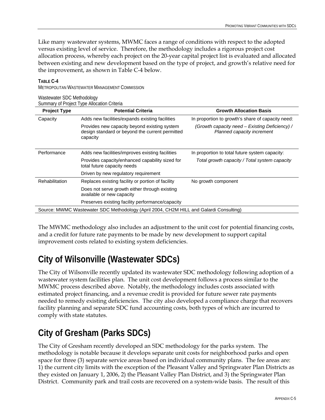Like many wastewater systems, MWMC faces a range of conditions with respect to the adopted versus existing level of service. Therefore, the methodology includes a rigorous project cost allocation process, whereby each project on the 20-year capital project list is evaluated and allocated between existing and new development based on the type of project, and growth's relative need for the improvement, as shown in Table C-4 below.

| wasiowater sportrictification<br>Summary of Project Type Allocation Criteria           |                                                                                                             |                                                                              |  |  |  |
|----------------------------------------------------------------------------------------|-------------------------------------------------------------------------------------------------------------|------------------------------------------------------------------------------|--|--|--|
| <b>Project Type</b>                                                                    | <b>Potential Criteria</b>                                                                                   | <b>Growth Allocation Basis</b>                                               |  |  |  |
| Capacity                                                                               | Adds new facilities/expands existing facilities                                                             | In proportion to growth's share of capacity need:                            |  |  |  |
|                                                                                        | Provides new capacity beyond existing system<br>design standard or beyond the current permitted<br>capacity | (Growth capacity need – Existing Deficiency) /<br>Planned capacity increment |  |  |  |
| Performance                                                                            | Adds new facilities/improves existing facilities                                                            | In proportion to total future system capacity:                               |  |  |  |
|                                                                                        | Provides capacity/enhanced capability sized for<br>total future capacity needs                              | Total growth capacity / Total system capacity                                |  |  |  |
|                                                                                        | Driven by new regulatory requirement                                                                        |                                                                              |  |  |  |
| Rehabilitation                                                                         | Replaces existing facility or portion of facility                                                           | No growth component                                                          |  |  |  |
|                                                                                        | Does not serve growth either through existing<br>available or new capacity                                  |                                                                              |  |  |  |
|                                                                                        | Preserves existing facility performance/capacity                                                            |                                                                              |  |  |  |
| Source: MWMC Wastewater SDC Methodology (April 2004, CH2M HILL and Galardi Consulting) |                                                                                                             |                                                                              |  |  |  |

#### **TABLE C-4**

Wastewater SDC Methodology

METROPOLITAN WASTEWATER MANAGEMENT COMMISSION

The MWMC methodology also includes an adjustment to the unit cost for potential financing costs, and a credit for future rate payments to be made by new development to support capital improvement costs related to existing system deficiencies.

## **City of Wilsonville (Wastewater SDCs)**

The City of Wilsonville recently updated its wastewater SDC methodology following adoption of a wastewater system facilities plan. The unit cost development follows a process similar to the MWMC process described above. Notably, the methodology includes costs associated with estimated project financing, and a revenue credit is provided for future sewer rate payments needed to remedy existing deficiencies. The city also developed a compliance charge that recovers facility planning and separate SDC fund accounting costs, both types of which are incurred to comply with state statutes.

# **City of Gresham (Parks SDCs)**

The City of Gresham recently developed an SDC methodology for the parks system. The methodology is notable because it develops separate unit costs for neighborhood parks and open space for three (3) separate service areas based on individual community plans. The fee areas are: 1) the current city limits with the exception of the Pleasant Valley and Springwater Plan Districts as they existed on January 1, 2006, 2) the Pleasant Valley Plan District, and 3) the Springwater Plan District. Community park and trail costs are recovered on a system-wide basis. The result of this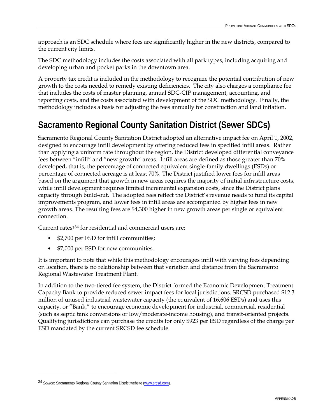<span id="page-71-0"></span>approach is an SDC schedule where fees are significantly higher in the new districts, compared to the current city limits.

The SDC methodology includes the costs associated with all park types, including acquiring and developing urban and pocket parks in the downtown area.

A property tax credit is included in the methodology to recognize the potential contribution of new growth to the costs needed to remedy existing deficiencies. The city also charges a compliance fee that includes the costs of master planning, annual SDC-CIP management, accounting, and reporting costs, and the costs associated with development of the SDC methodology. Finally, the methodology includes a basis for adjusting the fees annually for construction and land inflation.

# **Sacramento Regional County Sanitation District (Sewer SDCs)**

Sacramento Regional County Sanitation District adopted an alternative impact fee on April 1, 2002, designed to encourage infill development by offering reduced fees in specified infill areas. Rather than applying a uniform rate throughout the region, the District developed differential conveyance fees between "infill" and "new growth" areas. Infill areas are defined as those greater than 70% developed, that is, the percentage of connected equivalent single-family dwellings (ESDs) or percentage of connected acreage is at least 70%. The District justified lower fees for infill areas based on the argument that growth in new areas requires the majority of initial infrastructure costs, while infill development requires limited incremental expansion costs, since the District plans capacity through build-out. The adopted fees reflect the District's revenue needs to fund its capital improvements program, and lower fees in infill areas are accompanied by higher fees in new growth areas. The resulting fees are \$4,300 higher in new growth areas per single or equivalent connection.

Current rates1[34](#page-71-0) for residential and commercial users are:

- \$2,700 per ESD for infill communities;
- \$7,000 per ESD for new communities.

It is important to note that while this methodology encourages infill with varying fees depending on location, there is no relationship between that variation and distance from the Sacramento Regional Wastewater Treatment Plant.

In addition to the two-tiered fee system, the District formed the Economic Development Treatment Capacity Bank to provide reduced sewer impact fees for local jurisdictions. SRCSD purchased \$12.3 million of unused industrial wastewater capacity (the equivalent of 16,606 ESDs) and uses this capacity, or "Bank," to encourage economic development for industrial, commercial, residential (such as septic tank conversions or low/moderate-income housing), and transit-oriented projects. Qualifying jurisdictions can purchase the credits for only \$923 per ESD regardless of the charge per ESD mandated by the current SRCSD fee schedule.

<u>.</u>

<sup>34</sup> *Source*: Sacramento Regional County Sanitation District website (www.srcsd.com).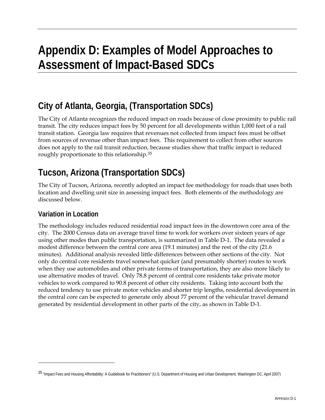# <span id="page-72-0"></span>**Appendix D: Examples of Model Approaches to Assessment of Impact-Based SDCs**

# **City of Atlanta, Georgia, (Transportation SDCs)**

The City of Atlanta recognizes the reduced impact on roads because of close proximity to public rail transit. The city reduces impact fees by 50 percent for all developments within 1,000 feet of a rail transit station. Georgia law requires that revenues not collected from impact fees must be offset from sources of revenue other than impact fees. This requirement to collect from other sources does not apply to the rail transit reduction, because studies show that traffic impact is reduced roughly proportionate to this relationship.[3](#page-72-0)5

# **Tucson, Arizona (Transportation SDCs)**

The City of Tucson, Arizona, recently adopted an impact fee methodology for roads that uses both location and dwelling unit size in assessing impact fees. Both elements of the methodology are discussed below.

## **Variation in Location**

 $\overline{a}$ 

The methodology includes reduced residential road impact fees in the downtown core area of the city. The 2000 Census data on average travel time to work for workers over sixteen years of age using other modes than public transportation, is summarized in Table D-1. The data revealed a modest difference between the central core area (19.1 minutes) and the rest of the city (21.6 minutes). Additional analysis revealed little differences between other sections of the city. Not only do central core residents travel somewhat quicker (and presumably shorter) routes to work when they use automobiles and other private forms of transportation, they are also more likely to use alternative modes of travel. Only 78.8 percent of central core residents take private motor vehicles to work compared to 90.8 percent of other city residents. Taking into account both the reduced tendency to use private motor vehicles and shorter trip lengths, residential development in the central core can be expected to generate only about 77 percent of the vehicular travel demand generated by residential development in other parts of the city, as shown in Table D-1.

<sup>35 &</sup>quot;Impact Fees and Housing Affordability: A Guidebook for Practitioners" (U.S. Department of Housing and Urban Development, Washington DC, April 2007)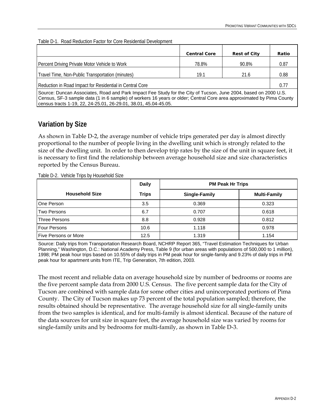| Table D-1. Road Reduction Factor for Core Residential Development |
|-------------------------------------------------------------------|
|-------------------------------------------------------------------|

|                                                                                                                                                                                                                                                                                                            | <b>Central Core</b> | <b>Rest of City</b> | Ratio |  |  |  |  |
|------------------------------------------------------------------------------------------------------------------------------------------------------------------------------------------------------------------------------------------------------------------------------------------------------------|---------------------|---------------------|-------|--|--|--|--|
| Percent Driving Private Motor Vehicle to Work                                                                                                                                                                                                                                                              | 78.8%               | 90.8%               | 0.87  |  |  |  |  |
| Travel Time, Non-Public Transportation (minutes)                                                                                                                                                                                                                                                           | 19.1                | 21.6                | 0.88  |  |  |  |  |
| Reduction in Road Impact for Residential in Central Core<br>0.77                                                                                                                                                                                                                                           |                     |                     |       |  |  |  |  |
| Source: Duncan Associates, Road and Park Impact Fee Study for the City of Tucson, June 2004, based on 2000 U.S.<br>Census, SF-3 sample data (1 in 6 sample) of workers 16 years or older; Central Core area approximated by Pima County<br>census tracts 1-19, 22, 24-25.01, 26-29.01, 38.01, 45.04-45.05. |                     |                     |       |  |  |  |  |

## **Variation by Size**

As shown in Table D-2, the average number of vehicle trips generated per day is almost directly proportional to the number of people living in the dwelling unit which is strongly related to the size of the dwelling unit. In order to then develop trip rates by the size of the unit in square feet, it is necessary to first find the relationship between average household size and size characteristics reported by the Census Bureau.

Table D-2. Vehicle Trips by Household Size

|                             | <b>Daily</b> | <b>PM Peak Hr Trips</b> |                     |  |  |  |
|-----------------------------|--------------|-------------------------|---------------------|--|--|--|
| <b>Household Size</b>       | <b>Trips</b> | Single-Family           | <b>Multi-Family</b> |  |  |  |
| One Person                  | 3.5          | 0.369                   | 0.323               |  |  |  |
| <b>Two Persons</b>          | 6.7          | 0.707                   | 0.618               |  |  |  |
| Three Persons               | 8.8          | 0.928                   | 0.812               |  |  |  |
| Four Persons                | 10.6         | 1.118                   | 0.978               |  |  |  |
| <b>Five Persons or More</b> | 12.5         | 1.319                   | 1.154               |  |  |  |

Source: Daily trips from Transportation Research Board, NCHRP Report 365, "Travel Estimation Techniques for Urban Planning," Washington, D.C.: National Academy Press, Table 9 (for urban areas with populations of 500,000 to 1 million), 1998; PM peak hour trips based on 10.55% of daily trips in PM peak hour for single-family and 9.23% of daily trips in PM peak hour for apartment units from ITE, Trip Generation, 7th edition, 2003.

The most recent and reliable data on average household size by number of bedrooms or rooms are the five percent sample data from 2000 U.S. Census. The five percent sample data for the City of Tucson are combined with sample data for some other cities and unincorporated portions of Pima County. The City of Tucson makes up 73 percent of the total population sampled; therefore, the results obtained should be representative. The average household size for all single-family units from the two samples is identical, and for multi-family is almost identical. Because of the nature of the data sources for unit size in square feet, the average household size was varied by rooms for single-family units and by bedrooms for multi-family, as shown in Table D-3.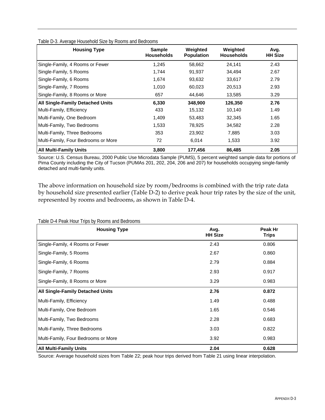| <b>Housing Type</b>                     | <b>Sample</b><br><b>Households</b> | Weighted<br><b>Population</b> | Weighted<br><b>Households</b> | Avg.<br><b>HH Size</b> |
|-----------------------------------------|------------------------------------|-------------------------------|-------------------------------|------------------------|
| Single-Family, 4 Rooms or Fewer         | 1,245                              | 58,662                        | 24.141                        | 2.43                   |
| Single-Family, 5 Rooms                  | 1,744                              | 91,937                        | 34,494                        | 2.67                   |
| Single-Family, 6 Rooms                  | 1,674                              | 93,632                        | 33,617                        | 2.79                   |
| Single-Family, 7 Rooms                  | 1,010                              | 60,023                        | 20,513                        | 2.93                   |
| Single-Family, 8 Rooms or More          | 657                                | 44,646                        | 13,585                        | 3.29                   |
| <b>All Single-Family Detached Units</b> | 6,330                              | 348,900                       | 126,350                       | 2.76                   |
| Multi-Family, Efficiency                | 433                                | 15,132                        | 10,140                        | 1.49                   |
| Multi-Family, One Bedroom               | 1,409                              | 53,483                        | 32,345                        | 1.65                   |
| Multi-Family, Two Bedrooms              | 1,533                              | 78,925                        | 34,582                        | 2.28                   |
| Multi-Family, Three Bedrooms            | 353                                | 23,902                        | 7,885                         | 3.03                   |
| Multi-Family, Four Bedrooms or More     | 72                                 | 6,014                         | 1,533                         | 3.92                   |
| <b>All Multi-Family Units</b>           | 3,800                              | 177,456                       | 86,485                        | 2.05                   |

Table D-3. Average Household Size by Rooms and Bedrooms

Source: U.S. Census Bureau, 2000 Public Use Microdata Sample (PUMS), 5 percent weighted sample data for portions of Pima County including the City of Tucson (PUMAs 201, 202, 204, 206 and 207) for households occupying single-family detached and multi-family units.

The above information on household size by room/bedrooms is combined with the trip rate data by household size presented earlier (Table D-2) to derive peak hour trip rates by the size of the unit, represented by rooms and bedrooms, as shown in Table D-4.

| <b>Housing Type</b>                 | Avg.<br><b>HH Size</b> | Peak Hr<br><b>Trips</b> |
|-------------------------------------|------------------------|-------------------------|
| Single-Family, 4 Rooms or Fewer     | 2.43                   | 0.806                   |
| Single-Family, 5 Rooms              | 2.67                   | 0.860                   |
| Single-Family, 6 Rooms              | 2.79                   | 0.884                   |
| Single-Family, 7 Rooms              | 2.93                   | 0.917                   |
| Single-Family, 8 Rooms or More      | 3.29                   | 0.983                   |
| All Single-Family Detached Units    | 2.76                   | 0.872                   |
| Multi-Family, Efficiency            | 1.49                   | 0.488                   |
| Multi-Family, One Bedroom           | 1.65                   | 0.546                   |
| Multi-Family, Two Bedrooms          | 2.28                   | 0.683                   |
| Multi-Family, Three Bedrooms        | 3.03                   | 0.822                   |
| Multi-Family, Four Bedrooms or More | 3.92                   | 0.983                   |
| <b>All Multi-Family Units</b>       | 2.04                   | 0.628                   |

Table D-4 Peak Hour Trips by Rooms and Bedrooms

Source: Average household sizes from Table 22; peak hour trips derived from Table 21 using linear interpolation.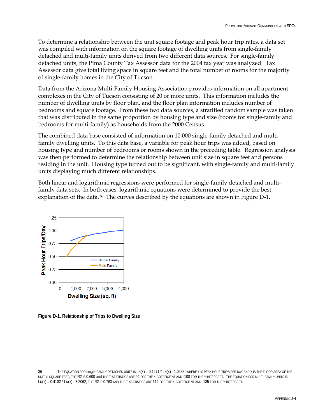<span id="page-75-0"></span>To determine a relationship between the unit square footage and peak hour trip rates, a data set was compiled with information on the square footage of dwelling units from single-family detached and multi-family units derived from two different data sources. For single-family detached units, the Pima County Tax Assessor data for the 2004 tax year was analyzed. Tax Assessor data give total living space in square feet and the total number of rooms for the majority of single-family homes in the City of Tucson.

Data from the Arizona Multi-Family Housing Association provides information on all apartment complexes in the City of Tucson consisting of 20 or more units. This information includes the number of dwelling units by floor plan, and the floor plan information includes number of bedrooms and square footage. From these two data sources, a stratified random sample was taken that was distributed in the same proportion by housing type and size (rooms for single-family and bedrooms for multi-family) as households from the 2000 Census.

The combined data base consisted of information on 10,000 single-family detached and multifamily dwelling units. To this data base, a variable for peak hour trips was added, based on housing type and number of bedrooms or rooms shown in the preceding table. Regression analysis was then performed to determine the relationship between unit size in square feet and persons residing in the unit. Housing type turned out to be significant, with single-family and multi-family units displaying much different relationships.

Both linear and logarithmic regressions were performed for single-family detached and multifamily data sets. In both cases, logarithmic equations were determined to provide the best explanation of the data.<sup>[36](#page-75-0)</sup> The curves described by the equations are shown in Figure D-1.



**Figure D-1. Relationship of Trips to Dwelling Size** 

 $\overline{a}$ 

<sup>36</sup> THE EQUATION FOR single-FAMILY DETACHED UNITS IS LN(Y) = 0.1271 \* LN(X) - 1.0433, WHERE Y IS PEAK HOUR TRIPS PER DAY AND X IS THE FLOOR AREA OF THE UNIT IN SQUARE FEET; THE R2 IS 0.600 and THE T-STATISTICS ARE 94 FOR THE X-COEFFICIENT AND -108 FOR THE Y-INTERCEPT. THE EQUATION FOR MULTI-FAMILY UNITS IS LN(Y) = 0.4182 \* LN(X) - 3.2062; THE R2 IS 0.763 AND THE T-STATISTICS ARE 114 FOR THE X-COEFFICIENT AND -135 FOR THE Y-INTERCEPT.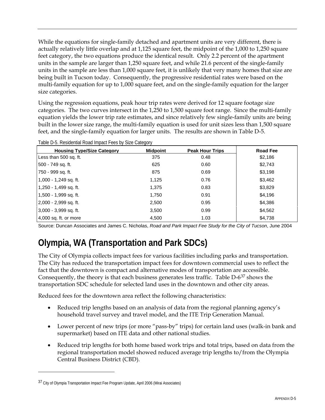<span id="page-76-0"></span>While the equations for single-family detached and apartment units are very different, there is actually relatively little overlap and at 1,125 square feet, the midpoint of the 1,000 to 1,250 square feet category, the two equations produce the identical result. Only 2.2 percent of the apartment units in the sample are larger than 1,250 square feet, and while 21.6 percent of the single-family units in the sample are less than 1,000 square feet, it is unlikely that very many homes that size are being built in Tucson today. Consequently, the progressive residential rates were based on the multi-family equation for up to 1,000 square feet, and on the single-family equation for the larger size categories.

Using the regression equations, peak hour trip rates were derived for 12 square footage size categories. The two curves intersect in the 1,250 to 1,500 square foot range. Since the multi-family equation yields the lower trip rate estimates, and since relatively few single-family units are being built in the lower size range, the multi-family equation is used for unit sizes less than 1,500 square feet, and the single-family equation for larger units. The results are shown in Table D-5.

| <b>Housing Type/Size Category</b> | <b>Midpoint</b> | <b>Peak Hour Trips</b> | <b>Road Fee</b> |
|-----------------------------------|-----------------|------------------------|-----------------|
| Less than 500 sq. ft.             | 375             | 0.48                   | \$2,186         |
| 500 - 749 sq. ft.                 | 625             | 0.60                   | \$2,743         |
| 750 - 999 sq. ft.                 | 875             | 0.69                   | \$3,198         |
| 1,000 - 1,249 sq. ft.             | 1,125           | 0.76                   | \$3,462         |
| 1,250 - 1,499 sq. ft.             | 1,375           | 0.83                   | \$3,829         |
| 1,500 - 1,999 sq. ft.             | 1,750           | 0.91                   | \$4,196         |
| 2,000 - 2,999 sq. ft.             | 2,500           | 0.95                   | \$4,386         |
| 3,000 - 3,999 sq. ft.             | 3,500           | 0.99                   | \$4,562         |
| 4,000 sq. ft. or more             | 4,500           | 1.03                   | \$4,738         |

Table D-5. Residential Road Impact Fees by Size Category

Source: Duncan Associates and James C. Nicholas, *Road and Park Impact Fee Study for the City of Tucson*, June 2004

# **Olympia, WA (Transportation and Park SDCs)**

The City of Olympia collects impact fees for various facilities including parks and transportation. The City has reduced the transportation impact fees for downtown commercial uses to reflect the fact that the downtown is compact and alternative modes of transportation are accessible. Consequently, the theory is that each business generates less traffic. Table D-6[37](#page-76-0) shows the transportation SDC schedule for selected land uses in the downtown and other city areas.

Reduced fees for the downtown area reflect the following characteristics:

- Reduced trip lengths based on an analysis of data from the regional planning agency's household travel survey and travel model, and the ITE Trip Generation Manual.
- Lower percent of new trips (or more "pass-by" trips) for certain land uses (walk-in bank and supermarket) based on ITE data and other national studies.
- Reduced trip lengths for both home based work trips and total trips, based on data from the regional transportation model showed reduced average trip lengths to/from the Olympia Central Business District (CBD).

 $\overline{a}$ 

<sup>37</sup> City of Olympia Transportation Impact Fee Program Update, April 2006 (Mirai Associates)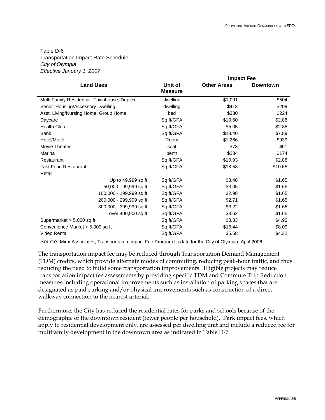### Table D-6 Transportation Impact Rate Schedule *City of Olympia Effective January 1, 2007*

|                                             |                           | <b>Impact Fee</b>  |                 |  |  |  |
|---------------------------------------------|---------------------------|--------------------|-----------------|--|--|--|
| <b>Land Uses</b>                            | Unit of<br><b>Measure</b> | <b>Other Areas</b> | <b>Downtown</b> |  |  |  |
| Multi Family Residential -Townhouse, Duplex | dwelling                  | \$1,091            | \$504           |  |  |  |
| Senior Housing/Accessory Dwelling           | dwelling                  | \$413              | \$209           |  |  |  |
| Asst. Living/Nursing Home, Group Home       | bed                       | \$330              | \$224           |  |  |  |
| Daycare                                     | Sq ft/GFA                 | \$10.60            | \$2.88          |  |  |  |
| Health Club                                 | Sq ft/GFA                 | \$5.05             | \$2.88          |  |  |  |
| <b>Bank</b>                                 | Sq ft/GFA                 | \$18.40            | \$7.89          |  |  |  |
| Hotel/Motel                                 | Room                      | \$1,266            | \$939           |  |  |  |
| Movie Theater                               | seat                      | \$73               | \$61            |  |  |  |
| Marina                                      | berth                     | \$284              | \$174           |  |  |  |
| Restaurant                                  | Sq ft/GFA                 | \$10.93            | \$2.88          |  |  |  |
| <b>Fast Food Restaurant</b>                 | Sq ft/GFA                 | \$18.58            | \$10.65         |  |  |  |
| Retail                                      |                           |                    |                 |  |  |  |
| Up to 49,999 sq ft                          | Sq ft/GFA                 | \$3.48             | \$1.65          |  |  |  |
| 50,000 - 99,999 sq ft                       | Sq ft/GFA                 | \$3.05             | \$1.65          |  |  |  |
| 100,000 - 199,999 sq ft                     | Sq ft/GFA                 | \$2.98             | \$1.65          |  |  |  |
| 200,000 - 299,999 sq ft                     | Sq ft/GFA                 | \$2.71             | \$1.65          |  |  |  |
| 300,000 - 399,999 sq ft                     | Sq ft/GFA                 | \$3.22             | \$1.65          |  |  |  |
| over 400,000 sq ft                          | Sq ft/GFA                 | \$3.62             | \$1.65          |  |  |  |
| Supermarket > 5,000 sq ft                   | Sq ft/GFA                 | \$8.83             | \$4.93          |  |  |  |
| Convenience Market < 5,000 sq ft            | Sq ft/GFA                 | \$16.44            | \$8.09          |  |  |  |
| <b>Video Rental</b>                         | Sq ft/GFA                 | \$5.58             | \$4.32          |  |  |  |

Source: Mirai Associates, Transportation Impact Fee Program Update for the City of Olympia, April 2006

The transportation impact fee may be reduced through Transportation Demand Management (TDM) credits, which provide alternate modes of commuting, reducing peak-hour traffic, and thus reducing the need to build some transportation improvements. Eligible projects may reduce transportation impact fee assessments by providing specific TDM and Commute Trip Reduction measures including operational improvements such as installation of parking spaces that are designated as paid parking and/or physical improvements such as construction of a direct walkway connection to the nearest arterial.

Furthermore, the City has reduced the residential rates for parks and schools because of the demographic of the downtown resident (fewer people per household). Park impact fees, which apply to residential development only, are assessed per dwelling unit and include a reduced fee for multifamily development in the downtown area as indicated in Table D-7.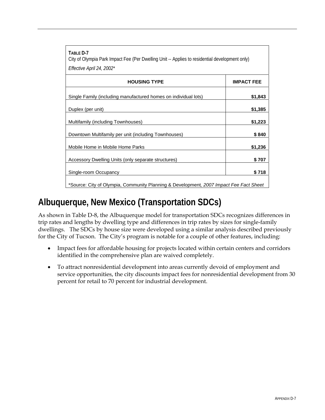| TABLE D-7<br>City of Olympia Park Impact Fee (Per Dwelling Unit -- Applies to residential development only) |                   |
|-------------------------------------------------------------------------------------------------------------|-------------------|
| Effective April 24, 2002*                                                                                   |                   |
| <b>HOUSING TYPE</b>                                                                                         | <b>IMPACT FEE</b> |
| Single Family (including manufactured homes on individual lots)                                             | \$1,843           |
| Duplex (per unit)                                                                                           | \$1,385           |
| Multifamily (including Townhouses)                                                                          | \$1,223           |
| Downtown Multifamily per unit (including Townhouses)                                                        | \$840             |
| Mobile Home in Mobile Home Parks                                                                            | \$1,236           |
| Accessory Dwelling Units (only separate structures)                                                         | \$707             |
| Single-room Occupancy                                                                                       | \$718             |
| *Source: City of Olympia, Community Planning & Development, 2007 Impact Fee Fact Sheet                      |                   |

# **Albuquerque, New Mexico (Transportation SDCs)**

As shown in Table D-8, the Albuquerque model for transportation SDCs recognizes differences in trip rates and lengths by dwelling type and differences in trip rates by sizes for single-family dwellings. The SDCs by house size were developed using a similar analysis described previously for the City of Tucson. The City's program is notable for a couple of other features, including:

- Impact fees for affordable housing for projects located within certain centers and corridors identified in the comprehensive plan are waived completely.
- To attract nonresidential development into areas currently devoid of employment and service opportunities, the city discounts impact fees for nonresidential development from 30 percent for retail to 70 percent for industrial development.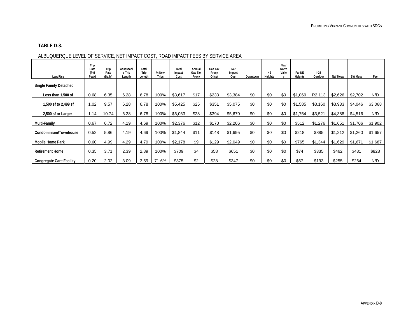### **TABLE D-8.**

| Land Use                        | Trip<br>Rate<br>(PM<br>Peak) | Trip<br>Rate<br>(Daily) | Assessabl<br>e Trip<br>Length | Total<br>Trip<br>Length | % New<br>Trips | Total<br>Impact<br>Cost | Annual<br>Gas Tax<br>Proxy | Gas Tax<br>Proxy<br>Offset | Net<br>Impact<br>Cost | Downtown | <b>NE</b><br>Heights | Near<br>North<br>Valle | Far NE<br>Heights | $1-25$<br>Corridor  | NW Mesa | SW Mesa | Fee     |
|---------------------------------|------------------------------|-------------------------|-------------------------------|-------------------------|----------------|-------------------------|----------------------------|----------------------------|-----------------------|----------|----------------------|------------------------|-------------------|---------------------|---------|---------|---------|
| <b>Single Family Detached</b>   |                              |                         |                               |                         |                |                         |                            |                            |                       |          |                      |                        |                   |                     |         |         |         |
| Less than 1,500 sf              | 0.68                         | 6.35                    | 6.28                          | 6.78                    | 100%           | \$3,617                 | \$17                       | \$233                      | \$3,384               | \$0      | \$0                  | \$0                    | \$1,069           | R <sub>2</sub> ,113 | \$2,626 | \$2,702 | N/D     |
| 1,500 sf to 2,499 sf            | 1.02                         | 9.57                    | 6.28                          | 6.78                    | 100%           | \$5,425                 | \$25                       | \$351                      | \$5,075               | \$0      | \$0                  | \$0                    | \$1,585           | \$3,160             | \$3,933 | \$4,046 | \$3,068 |
| 2,500 sf or Larger              | 1.14                         | 10.74                   | 6.28                          | 6.78                    | 100%           | \$6,063                 | \$28                       | \$394                      | \$5,670               | \$0      | \$0                  | \$0                    | \$1,754           | \$3,521             | \$4,388 | \$4,516 | N/D     |
| Multi-Family                    | 0.67                         | 6.72                    | 4.19                          | 4.69                    | 100%           | \$2,376                 | \$12                       | \$170                      | \$2,206               | \$0      | \$0                  | \$0                    | \$512             | \$1,276             | \$1,651 | \$1,706 | \$1,902 |
| Condominium/Townhouse           | 0.52                         | 5.86                    | 4.19                          | 4.69                    | 100%           | \$1,844                 | \$11                       | \$148                      | \$1,695               | \$0      | \$0                  | \$0                    | \$218             | \$885               | \$1,212 | \$1,260 | \$1,657 |
| <b>Mobile Home Park</b>         | 0.60                         | 4.99                    | 4.29                          | 4.79                    | 100%           | \$2,178                 | \$9                        | \$129                      | \$2,049               | \$0      | \$0                  | \$0                    | \$765             | \$1,344             | \$1,629 | \$1,671 | \$1,687 |
| <b>Retirement Home</b>          | 0.35                         | 3.71                    | 2.39                          | 2.89                    | 100%           | \$709                   | \$4                        | \$58                       | \$651                 | \$0      | \$0                  | \$0                    | \$74              | \$335               | \$462   | \$481   | \$828   |
| <b>Congregate Care Facility</b> | 0.20                         | 2.02                    | 3.09                          | 3.59                    | 71.6%          | \$375                   | \$2                        | \$28                       | \$347                 | \$0      | \$0                  | \$0                    | \$67              | \$193               | \$255   | \$264   | N/D     |

### ALBUQUERQUE LEVEL OF SERVICE, NET IMPACT COST, ROAD IMPACT FEES BY SERVICE AREA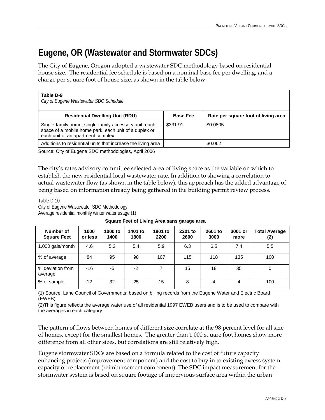# **Eugene, OR (Wastewater and Stormwater SDCs)**

The City of Eugene, Oregon adopted a wastewater SDC methodology based on residential house size. The residential fee schedule is based on a nominal base fee per dwelling, and a charge per square foot of house size, as shown in the table below.

| Table D-9<br>City of Eugene Wastewater SDC Schedule                                                                                                  |                 |                                     |
|------------------------------------------------------------------------------------------------------------------------------------------------------|-----------------|-------------------------------------|
| <b>Residential Dwelling Unit (RDU)</b>                                                                                                               | <b>Base Fee</b> | Rate per square foot of living area |
| Single-family home, single-family accessory unit, each<br>space of a mobile home park, each unit of a duplex or<br>each unit of an apartment complex | \$331.91        | \$0.0805                            |
| Additions to residential units that increase the living area                                                                                         |                 | \$0.062                             |

Source: City of Eugene SDC methodologies, April 2006

The city's rates advisory committee selected area of living space as the variable on which to establish the new residential local wastewater rate. In addition to showing a correlation to actual wastewater flow (as shown in the table below), this approach has the added advantage of being based on information already being gathered in the building permit review process.

Table D-10 City of Eugene Wastewater SDC Methodology Average residential monthly winter water usage (1)

**Square Feet of Living Area sans garage area** 

| Number of<br><b>Square Feet</b> | 1000<br>or less   | 1000 to<br>1400 | 1401 to<br>1800 | 1801 to<br>2200 | 2201 to<br>2600 | 2601 to<br>3000 | 3001 or<br>more | <b>Total Average</b><br>(2) |
|---------------------------------|-------------------|-----------------|-----------------|-----------------|-----------------|-----------------|-----------------|-----------------------------|
| 1,000 gals/month                | 4.6               | 5.2             | 5.4             | 5.9             | 6.3             | 6.5             | 7.4             | 5.5                         |
| % of average                    | 84                | 95              | 98              | 107             | 115             | 118             | 135             | 100                         |
| % deviation from<br>average     | -16               | -5              | $-2$            | 7               | 15              | 18              | 35              | 0                           |
| % of sample                     | $12 \overline{ }$ | 32              | 25              | 15              | 8               | 4               | 4               | 100                         |

(1) Source: Lane Council of Governments; based on billing records from the Eugene Water and Electric Board (EWEB)

(2)This figure reflects the average water use of all residential 1997 EWEB users and is to be used to compare with the averages in each category.

The pattern of flows between homes of different size correlate at the 98 percent level for all size of homes, except for the smallest homes. The greater than 1,000 square foot homes show more difference from all other sizes, but correlations are still relatively high.

Eugene stormwater SDCs are based on a formula related to the cost of future capacity enhancing projects (improvement component) and the cost to buy in to existing excess system capacity or replacement (reimbursement component). The SDC impact measurement for the stormwater system is based on square footage of impervious surface area within the urban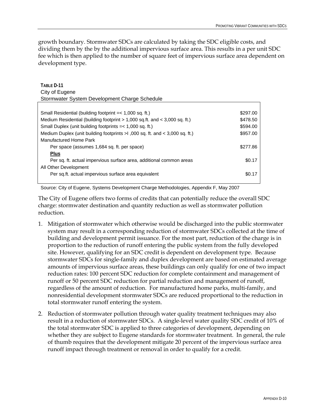growth boundary. Stormwater SDCs are calculated by taking the SDC eligible costs, and dividing them by the by the additional impervious surface area. This results in a per unit SDC fee which is then applied to the number of square feet of impervious surface area dependent on development type.

| TABI F D-11                                                                      |          |
|----------------------------------------------------------------------------------|----------|
| City of Eugene                                                                   |          |
| Stormwater System Development Charge Schedule                                    |          |
|                                                                                  |          |
| Small Residential (building footprint $=< 1,000$ sq. ft.)                        | \$297.00 |
| Medium Residential (building footprint $> 1,000$ sq.ft. and $< 3,000$ sq.ft.)    | \$478.50 |
| Small Duplex (unit building footprints $=< 1,000$ sq. ft.)                       | \$594.00 |
| Medium Duplex (unit building footprints $>1$ ,000 sq. ft. and $<$ 3,000 sq. ft.) | \$957.00 |
| Manufactured Home Park                                                           |          |
| Per space (assumes 1,684 sq. ft. per space)                                      | \$277.86 |
| <b>Plus</b>                                                                      |          |
| Per sq. ft. actual impervious surface area, additional common areas              | \$0.17   |
| All Other Development                                                            |          |
| Per sq.ft. actual impervious surface area equivalent                             | \$0.17   |
|                                                                                  |          |

Source: City of Eugene, Systems Development Charge Methodologies, Appendix F, May 2007

The City of Eugene offers two forms of credits that can potentially reduce the overall SDC charge: stormwater destination and quantity reduction as well as stormwater pollution reduction.

- 1. Mitigation of stormwater which otherwise would be discharged into the public stormwater system may result in a corresponding reduction of stormwater SDCs collected at the time of building and development permit issuance. For the most part, reduction of the charge is in proportion to the reduction of runoff entering the public system from the fully developed site. However, qualifying for an SDC credit is dependent on development type. Because stormwater SDCs for single-family and duplex development are based on estimated average amounts of impervious surface areas, these buildings can only qualify for one of two impact reduction rates: 100 percent SDC reduction for complete containment and management of runoff or 50 percent SDC reduction for partial reduction and management of runoff, regardless of the amount of reduction. For manufactured home parks, multi-family, and nonresidential development stormwater SDCs are reduced proportional to the reduction in total stormwater runoff entering the system.
- 2. Reduction of stormwater pollution through water quality treatment techniques may also result in a reduction of stormwater SDCs. A single-level water quality SDC credit of 10% of the total stormwater SDC is applied to three categories of development, depending on whether they are subject to Eugene standards for stormwater treatment. In general, the rule of thumb requires that the development mitigate 20 percent of the impervious surface area runoff impact through treatment or removal in order to qualify for a credit.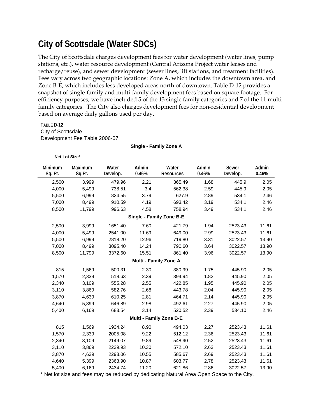# **City of Scottsdale (Water SDCs)**

The City of Scottsdale charges development fees for water development (water lines, pump stations, etc.), water resource development (Central Arizona Project water leases and recharge/reuse), and sewer development (sewer lines, lift stations, and treatment facilities). Fees vary across two geographic locations: Zone A, which includes the downtown area, and Zone B-E, which includes less developed areas north of downtown. Table D-12 provides a snapshot of single-family and multi-family development fees based on square footage. For efficiency purposes, we have included 5 of the 13 single family categories and 7 of the 11 multifamily categories. The City also charges development fees for non-residential development based on average daily gallons used per day.

**TABLE D-12**  City of Scottsdale

Development Fee Table 2006-07

#### **Single - Family Zone A**

#### **Net Lot Size\***

| Minimum<br>Sq. Ft.             | Maximum<br>Sq.Ft. | Water<br>Develop. | Admin<br>0.46% | Water<br><b>Resources</b> | Admin<br>0.46% | Sewer<br>Develop. | Admin<br>0.46% |  |  |  |  |
|--------------------------------|-------------------|-------------------|----------------|---------------------------|----------------|-------------------|----------------|--|--|--|--|
| 2,500                          | 3,999             | 479.96            | 2.21           | 365.49                    | 1.68           | 445.9             | 2.05           |  |  |  |  |
| 4,000                          | 5,499             | 738.51            | 3.4            | 562.38                    | 2.59           | 445.9             | 2.05           |  |  |  |  |
| 5,500                          | 6,999             | 824.55            | 3.79           | 627.9                     | 2.89           | 534.1             | 2.46           |  |  |  |  |
| 7,000                          | 8,499             | 910.59            | 4.19           | 693.42                    | 3.19           | 534.1             | 2.46           |  |  |  |  |
| 8,500                          | 11,799            | 996.63            | 4.58           | 758.94                    | 3.49           | 534.1             | 2.46           |  |  |  |  |
| Single - Family Zone B-E       |                   |                   |                |                           |                |                   |                |  |  |  |  |
| 2,500                          | 3,999             | 1651.40           | 7.60           | 421.79                    | 1.94           | 2523.43           | 11.61          |  |  |  |  |
| 4,000                          | 5,499             | 2541.00           | 11.69          | 649.00                    | 2.99           | 2523.43           | 11.61          |  |  |  |  |
| 5,500                          | 6,999             | 2818.20           | 12.96          | 719.80                    | 3.31           | 3022.57           | 13.90          |  |  |  |  |
| 7,000                          | 8,499             | 3095.40           | 14.24          | 790.60                    | 3.64           | 3022.57           | 13.90          |  |  |  |  |
| 8,500                          | 11,799            | 3372.60           | 15.51          | 861.40                    | 3.96           | 3022.57           | 13.90          |  |  |  |  |
|                                |                   |                   |                | Multi - Family Zone A     |                |                   |                |  |  |  |  |
| 815                            | 1,569             | 500.31            | 2.30           | 380.99                    | 1.75           | 445.90            | 2.05           |  |  |  |  |
| 1,570                          | 2,339             | 518.63            | 2.39           | 394.94                    | 1.82           | 445.90            | 2.05           |  |  |  |  |
| 2,340                          | 3,109             | 555.28            | 2.55           | 422.85                    | 1.95           | 445.90            | 2.05           |  |  |  |  |
| 3,110                          | 3,869             | 582.76            | 2.68           | 443.78                    | 2.04           | 445.90            | 2.05           |  |  |  |  |
| 3,870                          | 4,639             | 610.25            | 2.81           | 464.71                    | 2.14           | 445.90            | 2.05           |  |  |  |  |
| 4,640                          | 5,399             | 646.89            | 2.98           | 492.61                    | 2.27           | 445.90            | 2.05           |  |  |  |  |
| 5,400                          | 6,169             | 683.54            | 3.14           | 520.52                    | 2.39           | 534.10            | 2.46           |  |  |  |  |
| <b>Multi - Family Zone B-E</b> |                   |                   |                |                           |                |                   |                |  |  |  |  |
| 815                            | 1,569             | 1934.24           | 8.90           | 494.03                    | 2.27           | 2523.43           | 11.61          |  |  |  |  |
| 1,570                          | 2,339             | 2005.08           | 9.22           | 512.12                    | 2.36           | 2523.43           | 11.61          |  |  |  |  |
| 2,340                          | 3,109             | 2149.07           | 9.89           | 548.90                    | 2.52           | 2523.43           | 11.61          |  |  |  |  |
| 3,110                          | 3,869             | 2239.93           | 10.30          | 572.10                    | 2.63           | 2523.43           | 11.61          |  |  |  |  |
| 3,870                          | 4,639             | 2293.06           | 10.55          | 585.67                    | 2.69           | 2523.43           | 11.61          |  |  |  |  |
| 4,640                          | 5,399             | 2363.90           | 10.87          | 603.77                    | 2.78           | 2523.43           | 11.61          |  |  |  |  |
| 5,400                          | 6,169             | 2434.74           | 11.20          | 621.86                    | 2.86           | 3022.57           | 13.90          |  |  |  |  |

\* Net lot size and fees may be reduced by dedicating Natural Area Open Space to the City.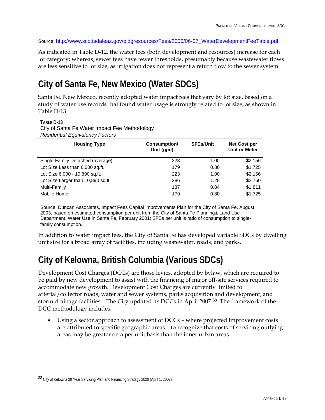<span id="page-83-0"></span>Source: [http://www.scottsdaleaz.gov/bldgresources/Fees/2006/06-07\\_WaterDevelopmentFeeTable.pdf](http://www.scottsdaleaz.gov/bldgresources/Fees/2006/06-07_WaterDevelopmentFeeTable.pdf)

As indicated in Table D-12, the water fees (both development and resources) increase for each lot category; whereas, sewer fees have fewer thresholds, presumably because wastewater flows are less sensitive to lot size, as irrigation does not represent a return flow to the sewer system.

# **City of Santa Fe, New Mexico (Water SDCs)**

Santa Fe, New Mexico, recently adopted water impact fees that vary by lot size, based on a study of water use records that found water usage is strongly related to lot size, as shown in Table D-13.

### **TABLE D-13**

<u>.</u>

City of Santa Fe Water Impact Fee Methodology *Residential Equivalency Factors* 

| <b>Housing Type</b>                | Consumption/<br>Unit (gpd) | <b>SFEs/Unit</b> | <b>Net Cost per</b><br><b>Unit or Meter</b> |
|------------------------------------|----------------------------|------------------|---------------------------------------------|
| Single-Family Detached (average)   | 223                        | 1.00             | \$2,156                                     |
| Lot Size Less than 6,000 sq.ft.    | 179                        | 0.80             | \$1,725                                     |
| Lot Size 6,000 - 10,890 sq.ft.     | 223                        | 1.00             | \$2,156                                     |
| Lot Size Larger than 10,890 sq.ft. | 286                        | 1.28             | \$2,760                                     |
| Multi-Family                       | 187                        | 0.84             | \$1,811                                     |
| Mobile Home                        | 179                        | 0.80             | \$1.725                                     |

Source: Duncan Associates, Impact Fees Capital Improvements Plan for the City of Santa Fe, August 2003, based on estimated consumption per unit from the City of Santa Fe Planning& Land Use Department, Water Use in Santa Fe, February 2001; SFEs per unit is ratio of consumption to singlefamily consumption.

In addition to water impact fees, the City of Santa Fe has developed variable SDCs by dwelling unit size for a broad array of facilities, including wastewater, roads, and parks.

# **City of Kelowna, British Columbia (Various SDCs)**

Development Cost Charges (DCCs) are those levies, adopted by bylaw, which are required to be paid by new development to assist with the financing of major off-site services required to accommodate new growth. Development Cost Charges are currently limited to arterial/collector roads, water and sewer systems, parks acquisition and development, and storm drainage facilities. The City updated its DCCs in April 2007.[38](#page-83-0) The framework of the DCC methodology includes:

Using a sector approach to assessment of DCCs – where projected improvement costs are attributed to specific geographic areas – to recognize that costs of servicing outlying areas may be greater on a per unit basis than the inner urban areas.

<sup>38</sup> City of Kelowna 20 Year Servicing Plan and Financing Strategy 2020 (April 1, 2007)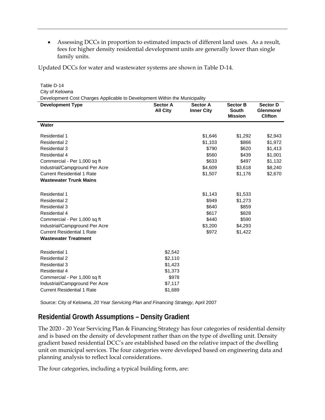• Assessing DCCs in proportion to estimated impacts of different land uses. As a result, fees for higher density residential development units are generally lower than single family units.

Updated DCCs for water and wastewater systems are shown in Table D-14.

| Table D-14                                                                 |                                    |                                      |                                                   |                                                |
|----------------------------------------------------------------------------|------------------------------------|--------------------------------------|---------------------------------------------------|------------------------------------------------|
| City of Kelowna                                                            |                                    |                                      |                                                   |                                                |
| Development Cost Charges Applicable to Development Within the Municipality |                                    |                                      |                                                   |                                                |
| <b>Development Type</b>                                                    | <b>Sector A</b><br><b>All City</b> | <b>Sector A</b><br><b>Inner City</b> | <b>Sector B</b><br><b>South</b><br><b>Mission</b> | <b>Sector D</b><br>Glenmore/<br><b>Clifton</b> |
| <b>Water</b>                                                               |                                    |                                      |                                                   |                                                |
| <b>Residential 1</b>                                                       |                                    | \$1,646                              | \$1,292                                           | \$2,943                                        |
| Residential 2                                                              |                                    | \$1,103                              | \$866                                             | \$1,972                                        |
| Residential 3                                                              |                                    | \$790                                | \$620                                             | \$1,413                                        |
| <b>Residential 4</b>                                                       |                                    | \$560                                | \$439                                             | \$1,001                                        |
| Commercial - Per 1,000 sq ft                                               |                                    | \$633                                | \$497                                             | \$1,132                                        |
| Industrial/Campground Per Acre                                             |                                    | \$4,609                              | \$3,618                                           | \$8,240                                        |
| <b>Current Residential 1 Rate</b>                                          |                                    | \$1,507                              | \$1,176                                           | \$2,670                                        |
| <b>Wastewater Trunk Mains</b>                                              |                                    |                                      |                                                   |                                                |
| Residential 1                                                              |                                    | \$1,143                              | \$1,533                                           |                                                |
| Residential 2                                                              |                                    | \$949                                | \$1,273                                           |                                                |
| Residential 3                                                              |                                    | \$640                                | \$859                                             |                                                |
| <b>Residential 4</b>                                                       |                                    | \$617                                | \$828                                             |                                                |
| Commercial - Per 1,000 sq ft                                               |                                    | \$440                                | \$590                                             |                                                |
| Industrial/Campground Per Acre                                             |                                    | \$3,200                              | \$4,293                                           |                                                |
| <b>Current Residential 1 Rate</b>                                          |                                    | \$972                                | \$1,422                                           |                                                |
| <b>Wastewater Treatment</b>                                                |                                    |                                      |                                                   |                                                |
| <b>Residential 1</b>                                                       | \$2,542                            |                                      |                                                   |                                                |
| <b>Residential 2</b>                                                       | \$2,110                            |                                      |                                                   |                                                |
| <b>Residential 3</b>                                                       | \$1,423                            |                                      |                                                   |                                                |
| <b>Residential 4</b>                                                       | \$1,373                            |                                      |                                                   |                                                |
| Commercial - Per 1,000 sq ft                                               | \$978                              |                                      |                                                   |                                                |
| Industrial/Campground Per Acre                                             | \$7,117                            |                                      |                                                   |                                                |
| <b>Current Residential 1 Rate</b>                                          | \$1,689                            |                                      |                                                   |                                                |
|                                                                            |                                    |                                      |                                                   |                                                |

Source: City of Kelowna, *20 Year Servicing Plan and Financing Strategy*, April 2007

## **Residential Growth Assumptions – Density Gradient**

The 2020 - 20 Year Servicing Plan & Financing Strategy has four categories of residential density and is based on the density of development rather than on the type of dwelling unit. Density gradient based residential DCC's are established based on the relative impact of the dwelling unit on municipal services. The four categories were developed based on engineering data and planning analysis to reflect local considerations.

The four categories, including a typical building form, are: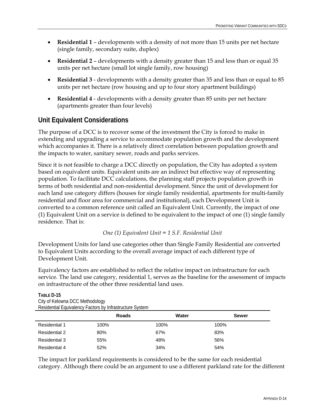- **Residential 1**  developments with a density of not more than 15 units per net hectare (single family, secondary suite, duplex)
- **Residential 2**  developments with a density greater than 15 and less than or equal 35 units per net hectare (small lot single family, row housing)
- **Residential 3**  developments with a density greater than 35 and less than or equal to 85 units per net hectare (row housing and up to four story apartment buildings)
- **Residential 4**  developments with a density greater than 85 units per net hectare (apartments greater than four levels)

## **Unit Equivalent Considerations**

The purpose of a DCC is to recover some of the investment the City is forced to make in extending and upgrading a service to accommodate population growth and the development which accompanies it. There is a relatively direct correlation between population growth and the impacts to water, sanitary sewer, roads and parks services.

Since it is not feasible to charge a DCC directly on population, the City has adopted a system based on equivalent units. Equivalent units are an indirect but effective way of representing population. To facilitate DCC calculations, the planning staff projects population growth in terms of both residential and non-residential development. Since the unit of development for each land use category differs (houses for single family residential, apartments for multi-family residential and floor area for commercial and institutional), each Development Unit is converted to a common reference unit called an Equivalent Unit. Currently, the impact of one (1) Equivalent Unit on a service is defined to be equivalent to the impact of one (1) single family residence. That is:

One (1) Equivalent Unit = 
$$
1
$$
 S.F. Residental Unit

Development Units for land use categories other than Single Family Residential are converted to Equivalent Units according to the overall average impact of each different type of Development Unit.

Equivalency factors are established to reflect the relative impact on infrastructure for each service. The land use category, residential 1, serves as the baseline for the assessment of impacts on infrastructure of the other three residential land uses.

Residential Equivalency Factors by Infrastructure System **Roads** Water Sewer Residential 1 100% 100% 100% Residential 2 80% 67% 83% Residential 3 55% 48% 56% Residential 4 52% 34% 54%

## **TABLE D-15**  City of Kelowna DCC Methodology

The impact for parkland requirements is considered to be the same for each residential category. Although there could be an argument to use a different parkland rate for the different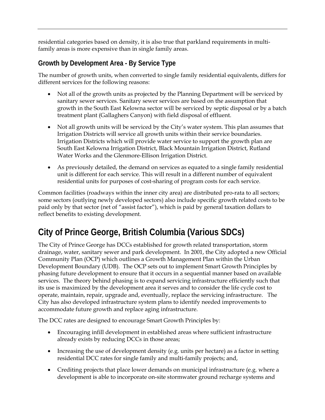residential categories based on density, it is also true that parkland requirements in multifamily areas is more expensive than in single family areas.

## **Growth by Development Area - By Service Type**

The number of growth units, when converted to single family residential equivalents, differs for different services for the following reasons:

- Not all of the growth units as projected by the Planning Department will be serviced by sanitary sewer services. Sanitary sewer services are based on the assumption that growth in the South East Kelowna sector will be serviced by septic disposal or by a batch treatment plant (Gallaghers Canyon) with field disposal of effluent.
- Not all growth units will be serviced by the City's water system. This plan assumes that Irrigation Districts will service all growth units within their service boundaries. Irrigation Districts which will provide water service to support the growth plan are South East Kelowna Irrigation District, Black Mountain Irrigation District, Rutland Water Works and the Glenmore-Ellison Irrigation District.
- As previously detailed, the demand on services as equated to a single family residential unit is different for each service. This will result in a different number of equivalent residential units for purposes of cost-sharing of program costs for each service.

Common facilities (roadways within the inner city area) are distributed pro-rata to all sectors; some sectors (outlying newly developed sectors) also include specific growth related costs to be paid only by that sector (net of "assist factor"), which is paid by general taxation dollars to reflect benefits to existing development.

# **City of Prince George, British Columbia (Various SDCs)**

The City of Prince George has DCCs established for growth related transportation, storm drainage, water, sanitary sewer and park development. In 2001, the City adopted a new Official Community Plan (OCP) which outlines a Growth Management Plan within the Urban Development Boundary (UDB). The OCP sets out to implement Smart Growth Principles by phasing future development to ensure that it occurs in a sequential manner based on available services. The theory behind phasing is to expand servicing infrastructure efficiently such that its use is maximized by the development area it serves and to consider the life cycle cost to operate, maintain, repair, upgrade and, eventually, replace the servicing infrastructure. The City has also developed infrastructure system plans to identify needed improvements to accommodate future growth and replace aging infrastructure.

The DCC rates are designed to encourage Smart Growth Principles by:

- Encouraging infill development in established areas where sufficient infrastructure already exists by reducing DCCs in those areas;
- Increasing the use of development density (e.g. units per hectare) as a factor in setting residential DCC rates for single family and multi-family projects; and,
- Crediting projects that place lower demands on municipal infrastructure (e.g. where a development is able to incorporate on-site stormwater ground recharge systems and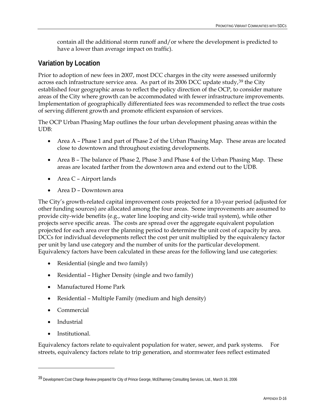<span id="page-87-0"></span>contain all the additional storm runoff and/or where the development is predicted to have a lower than average impact on traffic).

## **Variation by Location**

Prior to adoption of new fees in 2007, most DCC charges in the city were assessed uniformly across each infrastructure service area. As part of its 2006 DCC update study,  $39$  $39$  the City established four geographic areas to reflect the policy direction of the OCP, to consider mature areas of the City where growth can be accommodated with fewer infrastructure improvements. Implementation of geographically differentiated fees was recommended to reflect the true costs of serving different growth and promote efficient expansion of services.

The OCP Urban Phasing Map outlines the four urban development phasing areas within the UDB:

- Area A Phase 1 and part of Phase 2 of the Urban Phasing Map. These areas are located close to downtown and throughout existing developments.
- Area B The balance of Phase 2, Phase 3 and Phase 4 of the Urban Phasing Map. These areas are located farther from the downtown area and extend out to the UDB.
- Area C Airport lands
- Area D Downtown area

The City's growth-related capital improvement costs projected for a 10-year period (adjusted for other funding sources) are allocated among the four areas. Some improvements are assumed to provide city-wide benefits (e.g., water line looping and city-wide trail system), while other projects serve specific areas. The costs are spread over the aggregate equivalent population projected for each area over the planning period to determine the unit cost of capacity by area. DCCs for individual developments reflect the cost per unit multiplied by the equivalency factor per unit by land use category and the number of units for the particular development. Equivalency factors have been calculated in these areas for the following land use categories:

- Residential (single and two family)
- Residential Higher Density (single and two family)
- Manufactured Home Park
- Residential Multiple Family (medium and high density)
- Commercial
- **Industrial**

<u>.</u>

• Institutional.

Equivalency factors relate to equivalent population for water, sewer, and park systems. For streets, equivalency factors relate to trip generation, and stormwater fees reflect estimated

<sup>39</sup> Development Cost Charge Review prepared for City of Prince George, McElhanney Consulting Services, Ltd., March 16, 2006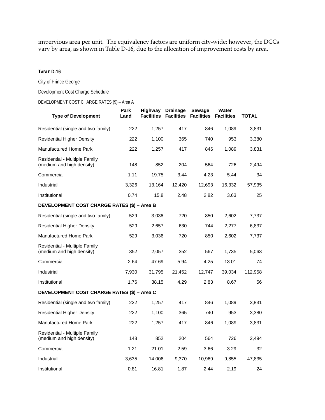impervious area per unit. The equivalency factors are uniform city-wide; however, the DCCs vary by area, as shown in Table D-16, due to the allocation of improvement costs by area.

### **TABLE D-16**

City of Prince George

Development Cost Charge Schedule

DEVELOPMENT COST CHARGE RATES (\$) – Area A

| <b>Type of Development</b>                                 | Park<br>Land | Highway<br><b>Facilities</b> | <b>Drainage</b><br><b>Facilities</b> | Sewage<br><b>Facilities</b> | Water<br><b>Facilities</b> | <b>TOTAL</b> |  |
|------------------------------------------------------------|--------------|------------------------------|--------------------------------------|-----------------------------|----------------------------|--------------|--|
| Residential (single and two family)                        | 222          | 1,257                        | 417                                  | 846                         | 1,089                      | 3,831        |  |
| <b>Residential Higher Density</b>                          | 222          | 1,100                        | 365                                  | 740                         | 953                        | 3,380        |  |
| <b>Manufactured Home Park</b>                              | 222          | 1,257                        | 417                                  | 846                         | 1,089                      | 3,831        |  |
| Residential - Multiple Family<br>(medium and high density) | 148          | 852                          | 204                                  | 564                         | 726                        | 2,494        |  |
| Commercial                                                 | 1.11         | 19.75                        | 3.44                                 | 4.23                        | 5.44                       | 34           |  |
| Industrial                                                 | 3,326        | 13,164                       | 12,420                               | 12,693                      | 16,332                     | 57,935       |  |
| Institutional                                              | 0.74         | 15.8                         | 2.48                                 | 2.82                        | 3.63                       | 25           |  |
| DEVELOPMENT COST CHARGE RATES (\$) - Area B                |              |                              |                                      |                             |                            |              |  |
| Residential (single and two family)                        | 529          | 3,036                        | 720                                  | 850                         | 2,602                      | 7,737        |  |
| <b>Residential Higher Density</b>                          | 529          | 2,657                        | 630                                  | 744                         | 2,277                      | 6,837        |  |
| <b>Manufactured Home Park</b>                              | 529          | 3,036                        | 720                                  | 850                         | 2,602                      | 7,737        |  |
| Residential - Multiple Family<br>(medium and high density) | 352          | 2,057                        | 352                                  | 567                         | 1,735                      | 5,063        |  |
| Commercial                                                 | 2.64         | 47.69                        | 5.94                                 | 4.25                        | 13.01                      | 74           |  |
| Industrial                                                 | 7,930        | 31,795                       | 21,452                               | 12,747                      | 39,034                     | 112.958      |  |
| Institutional                                              | 1.76         | 38.15                        | 4.29                                 | 2.83                        | 8.67                       | 56           |  |
| DEVELOPMENT COST CHARGE RATES (\$) - Area C                |              |                              |                                      |                             |                            |              |  |
| Residential (single and two family)                        | 222          | 1,257                        | 417                                  | 846                         | 1,089                      | 3,831        |  |
| <b>Residential Higher Density</b>                          | 222          | 1,100                        | 365                                  | 740                         | 953                        | 3,380        |  |
| <b>Manufactured Home Park</b>                              | 222          | 1,257                        | 417                                  | 846                         | 1,089                      | 3,831        |  |
| Residential - Multiple Family<br>(medium and high density) | 148          | 852                          | 204                                  | 564                         | 726                        | 2,494        |  |
| Commercial                                                 | 1.21         | 21.01                        | 2.59                                 | 3.66                        | 3.29                       | 32           |  |
| Industrial                                                 | 3,635        | 14,006                       | 9,370                                | 10,969                      | 9,855                      | 47,835       |  |
| Institutional                                              | 0.81         | 16.81                        | 1.87                                 | 2.44                        | 2.19                       | 24           |  |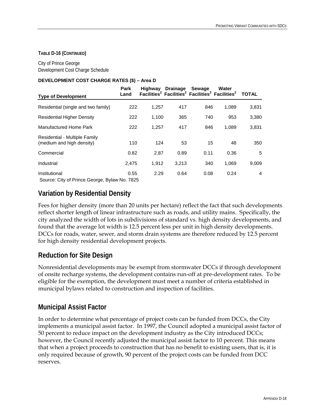#### **TABLE D-16 (CONTINUED)**

City of Prince George Development Cost Charge Schedule

#### **DEVELOPMENT COST CHARGE RATES (\$) – Area D**

| <b>Type of Development</b>                                     | Park<br>Land | Highway | <b>Drainage</b> | Sewage<br>Facilities <sup>2</sup> Facilities <sup>2</sup> Facilities <sup>2</sup> Facilities <sup>2</sup> | Water | <b>TOTAL</b> |
|----------------------------------------------------------------|--------------|---------|-----------------|-----------------------------------------------------------------------------------------------------------|-------|--------------|
| Residential (single and two family)                            | 222          | 1,257   | 417             | 846                                                                                                       | 1,089 | 3,831        |
| <b>Residential Higher Density</b>                              | 222          | 1,100   | 365             | 740                                                                                                       | 953   | 3,380        |
| Manufactured Home Park                                         | 222          | 1.257   | 417             | 846                                                                                                       | 1.089 | 3,831        |
| Residential - Multiple Family<br>(medium and high density)     | 110          | 124     | 53              | 15                                                                                                        | 48    | 350          |
| Commercial                                                     | 0.82         | 2.87    | 0.89            | 0.11                                                                                                      | 0.36  | 5            |
| Industrial                                                     | 2.475        | 1.912   | 3.213           | 340                                                                                                       | 1.069 | 9,009        |
| Institutional<br>Source: City of Prince George, Bylaw No. 7825 | 0.55         | 2.29    | 0.64            | 0.08                                                                                                      | 0.24  | 4            |

## **Variation by Residential Density**

Fees for higher density (more than 20 units per hectare) reflect the fact that such developments reflect shorter length of linear infrastructure such as roads, and utility mains. Specifically, the city analyzed the width of lots in subdivisions of standard vs. high density developments, and found that the average lot width is 12.5 percent less per unit in high density developments. DCCs for roads, water, sewer, and storm drain systems are therefore reduced by 12.5 percent for high density residential development projects.

## **Reduction for Site Design**

Nonresidential developments may be exempt from stormwater DCCs if through development of onsite recharge systems, the development contains run-off at pre-development rates. To be eligible for the exemption, the development must meet a number of criteria established in municipal bylaws related to construction and inspection of facilities.

## **Municipal Assist Factor**

In order to determine what percentage of project costs can be funded from DCCs, the City implements a municipal assist factor. In 1997, the Council adopted a municipal assist factor of 50 percent to reduce impact on the development industry as the City introduced DCCs; however, the Council recently adjusted the municipal assist factor to 10 percent. This means that when a project proceeds to construction that has no benefit to existing users, that is, it is only required because of growth, 90 percent of the project costs can be funded from DCC reserves.